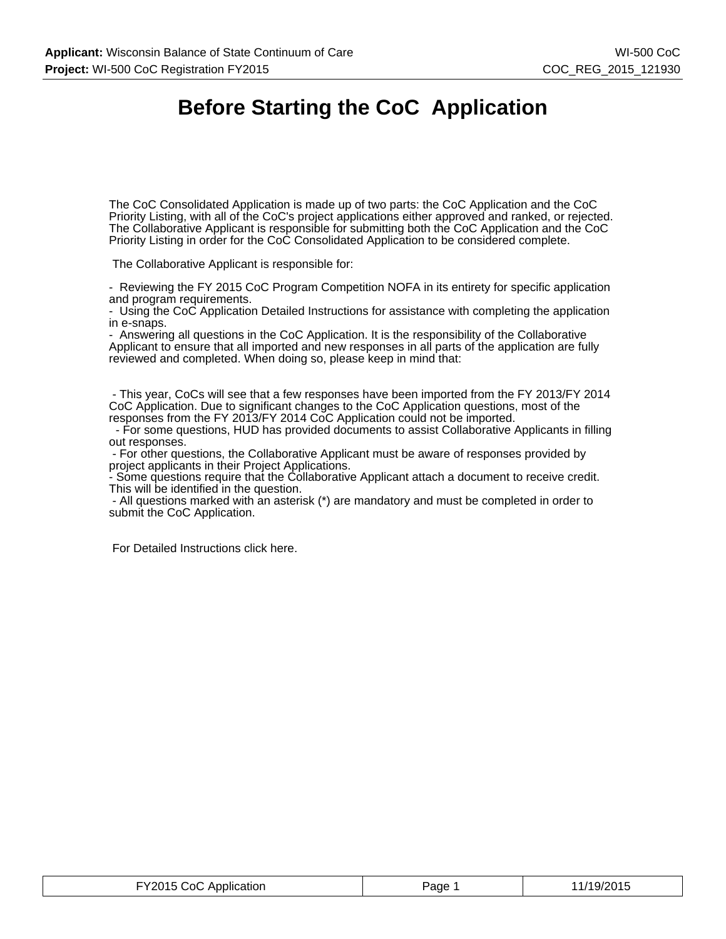## **Before Starting the CoC Application**

The CoC Consolidated Application is made up of two parts: the CoC Application and the CoC Priority Listing, with all of the CoC's project applications either approved and ranked, or rejected. The Collaborative Applicant is responsible for submitting both the CoC Application and the CoC Priority Listing in order for the CoC Consolidated Application to be considered complete.

The Collaborative Applicant is responsible for:

- Reviewing the FY 2015 CoC Program Competition NOFA in its entirety for specific application and program requirements.

- Using the CoC Application Detailed Instructions for assistance with completing the application in e-snaps.

- Answering all questions in the CoC Application. It is the responsibility of the Collaborative Applicant to ensure that all imported and new responses in all parts of the application are fully reviewed and completed. When doing so, please keep in mind that:

 - This year, CoCs will see that a few responses have been imported from the FY 2013/FY 2014 CoC Application. Due to significant changes to the CoC Application questions, most of the responses from the FY 2013/FY 2014 CoC Application could not be imported.

 - For some questions, HUD has provided documents to assist Collaborative Applicants in filling out responses.

 - For other questions, the Collaborative Applicant must be aware of responses provided by project applicants in their Project Applications.

- Some questions require that the Collaborative Applicant attach a document to receive credit. This will be identified in the question.

 - All questions marked with an asterisk (\*) are mandatory and must be completed in order to submit the CoC Application.

For Detailed Instructions click here.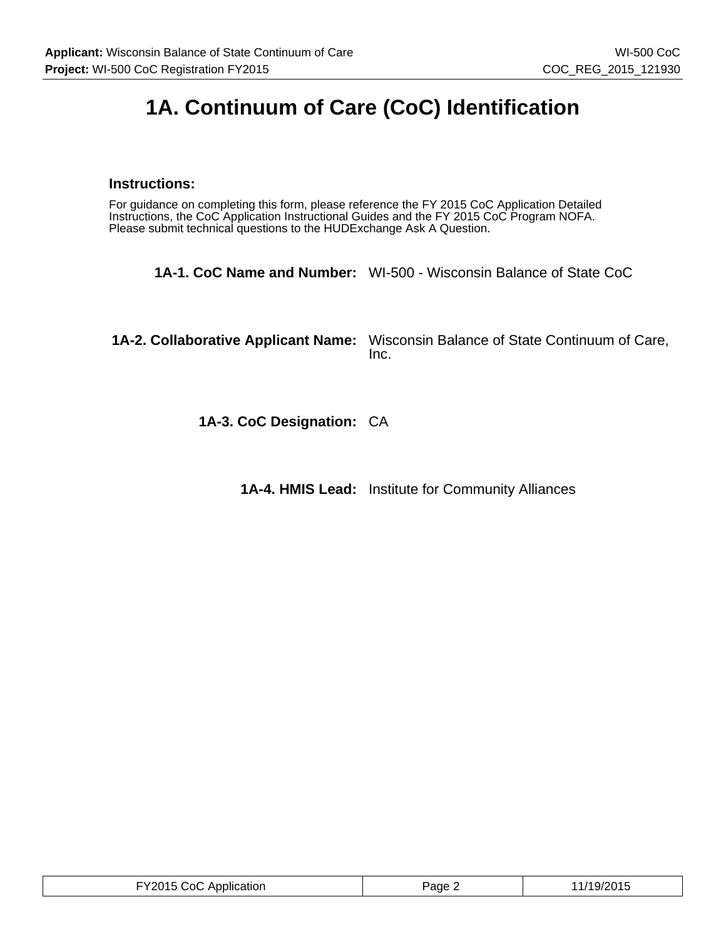# **1A. Continuum of Care (CoC) Identification**

## **Instructions:**

For guidance on completing this form, please reference the FY 2015 CoC Application Detailed Instructions, the CoC Application Instructional Guides and the FY 2015 CoC Program NOFA. Please submit technical questions to the HUDExchange Ask A Question.

**1A-1. CoC Name and Number:** WI-500 - Wisconsin Balance of State CoC

**1A-2. Collaborative Applicant Name:** Wisconsin Balance of State Continuum of Care, Inc.

**1A-3. CoC Designation:** CA

**1A-4. HMIS Lead:** Institute for Community Alliances

| FY2015 CoC Application | Page 2 | 11/19/2015 |
|------------------------|--------|------------|
|------------------------|--------|------------|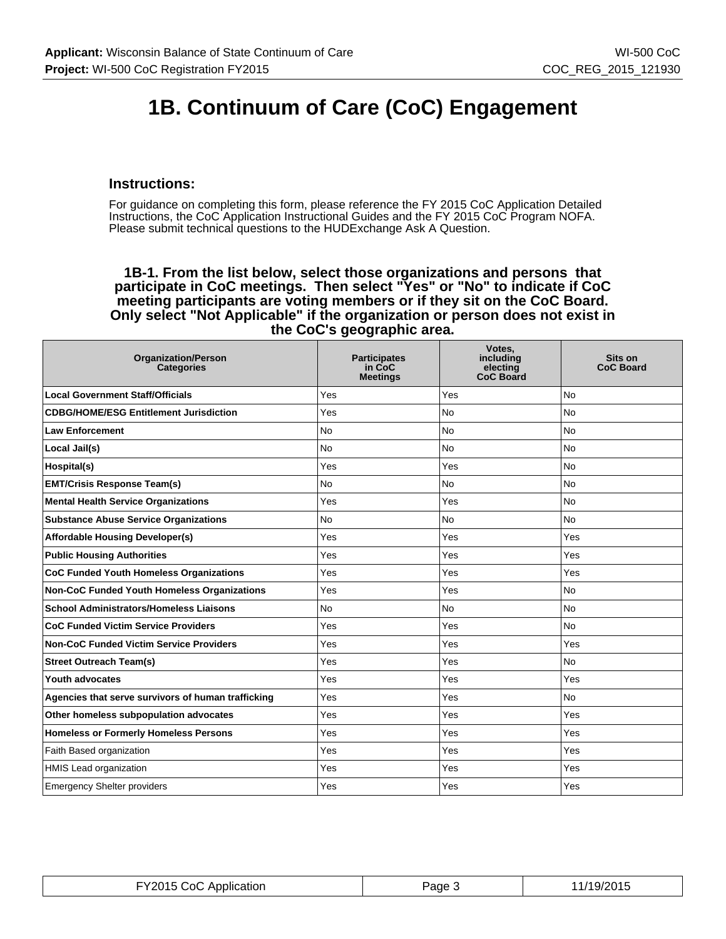# **1B. Continuum of Care (CoC) Engagement**

## **Instructions:**

For guidance on completing this form, please reference the FY 2015 CoC Application Detailed Instructions, the CoC Application Instructional Guides and the FY 2015 CoC Program NOFA. Please submit technical questions to the HUDExchange Ask A Question.

**1B-1. From the list below, select those organizations and persons that participate in CoC meetings. Then select "Yes" or "No" to indicate if CoC meeting participants are voting members or if they sit on the CoC Board. Only select "Not Applicable" if the organization or person does not exist in the CoC's geographic area.**

| <b>Organization/Person</b><br><b>Categories</b>    | <b>Participates</b><br>in CoC<br><b>Meetings</b> | Votes.<br>including<br>electing<br><b>CoC Board</b> | Sits on<br><b>CoC Board</b> |
|----------------------------------------------------|--------------------------------------------------|-----------------------------------------------------|-----------------------------|
| <b>Local Government Staff/Officials</b>            | Yes                                              | Yes                                                 | <b>No</b>                   |
| <b>CDBG/HOME/ESG Entitlement Jurisdiction</b>      | Yes                                              | <b>No</b>                                           | <b>No</b>                   |
| <b>Law Enforcement</b>                             | N <sub>o</sub>                                   | <b>No</b>                                           | <b>No</b>                   |
| Local Jail(s)                                      | <b>No</b>                                        | <b>No</b>                                           | <b>No</b>                   |
| Hospital(s)                                        | <b>Yes</b>                                       | Yes                                                 | <b>No</b>                   |
| <b>EMT/Crisis Response Team(s)</b>                 | <b>No</b>                                        | <b>No</b>                                           | <b>No</b>                   |
| <b>Mental Health Service Organizations</b>         | Yes                                              | Yes                                                 | <b>No</b>                   |
| <b>Substance Abuse Service Organizations</b>       | <b>No</b>                                        | <b>No</b>                                           | <b>No</b>                   |
| <b>Affordable Housing Developer(s)</b>             | Yes                                              | Yes                                                 | Yes                         |
| <b>Public Housing Authorities</b>                  | Yes                                              | Yes                                                 | Yes                         |
| <b>CoC Funded Youth Homeless Organizations</b>     | Yes                                              | Yes                                                 | Yes                         |
| <b>Non-CoC Funded Youth Homeless Organizations</b> | Yes                                              | Yes                                                 | <b>No</b>                   |
| <b>School Administrators/Homeless Liaisons</b>     | <b>No</b>                                        | <b>No</b>                                           | <b>No</b>                   |
| <b>CoC Funded Victim Service Providers</b>         | Yes                                              | Yes                                                 | <b>No</b>                   |
| <b>Non-CoC Funded Victim Service Providers</b>     | Yes                                              | Yes                                                 | Yes                         |
| <b>Street Outreach Team(s)</b>                     | Yes                                              | Yes                                                 | <b>No</b>                   |
| Youth advocates                                    | Yes                                              | Yes                                                 | Yes                         |
| Agencies that serve survivors of human trafficking | Yes                                              | Yes                                                 | <b>No</b>                   |
| Other homeless subpopulation advocates             | Yes                                              | Yes                                                 | Yes                         |
| <b>Homeless or Formerly Homeless Persons</b>       | Yes                                              | Yes                                                 | Yes                         |
| Faith Based organization                           | Yes                                              | Yes                                                 | Yes                         |
| HMIS Lead organization                             | Yes                                              | Yes                                                 | Yes                         |
| <b>Emergency Shelter providers</b>                 | Yes                                              | Yes                                                 | Yes                         |

| FY2015 CoC Application | ెage ప | 11/19/2015 |
|------------------------|--------|------------|
|------------------------|--------|------------|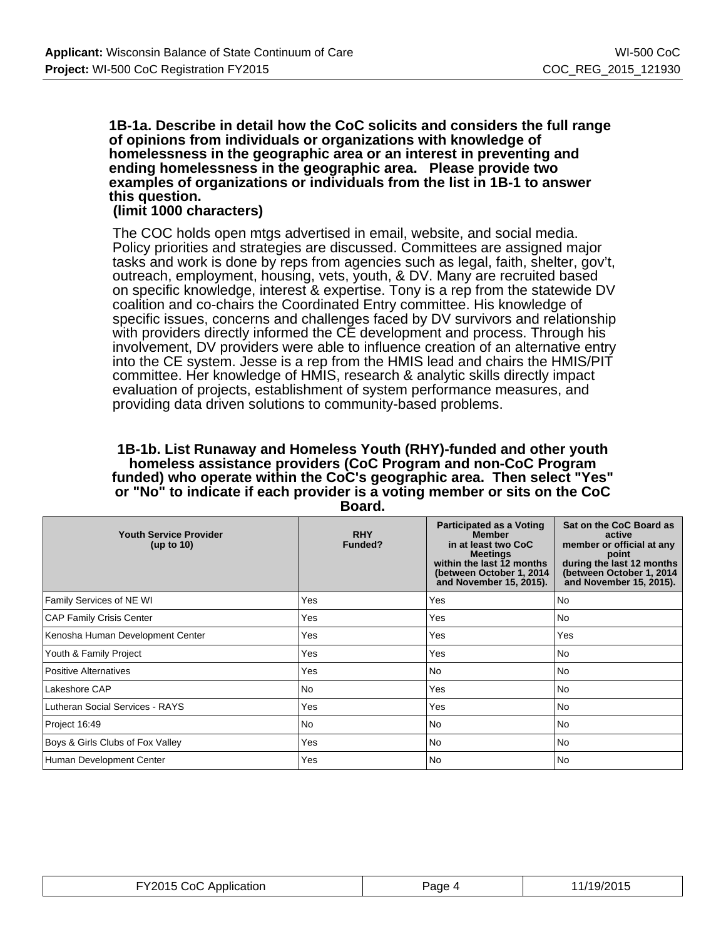## **1B-1a. Describe in detail how the CoC solicits and considers the full range of opinions from individuals or organizations with knowledge of homelessness in the geographic area or an interest in preventing and ending homelessness in the geographic area. Please provide two examples of organizations or individuals from the list in 1B-1 to answer this question.**

## **(limit 1000 characters)**

The COC holds open mtgs advertised in email, website, and social media. Policy priorities and strategies are discussed. Committees are assigned major tasks and work is done by reps from agencies such as legal, faith, shelter, gov't, outreach, employment, housing, vets, youth, & DV. Many are recruited based on specific knowledge, interest & expertise. Tony is a rep from the statewide DV coalition and co-chairs the Coordinated Entry committee. His knowledge of specific issues, concerns and challenges faced by DV survivors and relationship with providers directly informed the CE development and process. Through his involvement, DV providers were able to influence creation of an alternative entry into the CE system. Jesse is a rep from the HMIS lead and chairs the HMIS/PIT committee. Her knowledge of HMIS, research & analytic skills directly impact evaluation of projects, establishment of system performance measures, and providing data driven solutions to community-based problems.

## **1B-1b. List Runaway and Homeless Youth (RHY)-funded and other youth homeless assistance providers (CoC Program and non-CoC Program funded) who operate within the CoC's geographic area. Then select "Yes" or "No" to indicate if each provider is a voting member or sits on the CoC**

| <b>Youth Service Provider</b><br>(up to $10$ ) | <b>RHY</b><br>Funded? | <b>Participated as a Voting</b><br><b>Member</b><br>in at least two CoC<br><b>Meetings</b><br>within the last 12 months<br>(between October 1, 2014<br>and November 15, 2015). | Sat on the CoC Board as<br>active<br>member or official at any<br>point<br>during the last 12 months<br>(between October 1, 2014<br>and November 15, 2015). |
|------------------------------------------------|-----------------------|--------------------------------------------------------------------------------------------------------------------------------------------------------------------------------|-------------------------------------------------------------------------------------------------------------------------------------------------------------|
| Family Services of NE WI                       | Yes                   | Yes                                                                                                                                                                            | No                                                                                                                                                          |
| <b>CAP Family Crisis Center</b>                | Yes                   | Yes                                                                                                                                                                            | <b>No</b>                                                                                                                                                   |
| Kenosha Human Development Center               | Yes                   | Yes                                                                                                                                                                            | Yes                                                                                                                                                         |
| Youth & Family Project                         | Yes                   | Yes                                                                                                                                                                            | No                                                                                                                                                          |
| <b>Positive Alternatives</b>                   | Yes                   | <b>No</b>                                                                                                                                                                      | <b>No</b>                                                                                                                                                   |
| Lakeshore CAP                                  | <b>No</b>             | Yes                                                                                                                                                                            | <b>No</b>                                                                                                                                                   |
| Lutheran Social Services - RAYS                | Yes                   | Yes                                                                                                                                                                            | <b>No</b>                                                                                                                                                   |
| Project 16:49                                  | <b>No</b>             | <b>No</b>                                                                                                                                                                      | <b>No</b>                                                                                                                                                   |
| Boys & Girls Clubs of Fox Valley               | Yes                   | <b>No</b>                                                                                                                                                                      | <b>No</b>                                                                                                                                                   |
| Human Development Center                       | Yes                   | No                                                                                                                                                                             | <b>No</b>                                                                                                                                                   |

**Board.**

| FY2015 CoC Application | Page 4 | 11/19/2015 |
|------------------------|--------|------------|
|------------------------|--------|------------|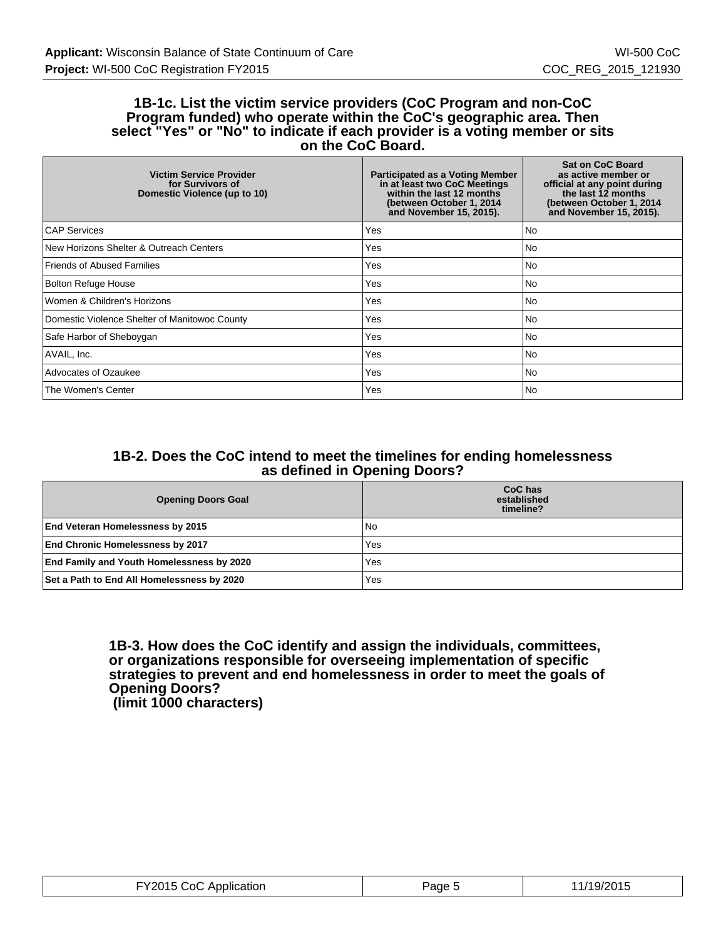## **1B-1c. List the victim service providers (CoC Program and non-CoC Program funded) who operate within the CoC's geographic area. Then select "Yes" or "No" to indicate if each provider is a voting member or sits on the CoC Board.**

| <b>Victim Service Provider</b><br>for Survivors of<br>Domestic Violence (up to 10) | <b>Participated as a Voting Member</b><br>in at least two CoC Meetings<br>within the last 12 months<br>(between October 1, 2014)<br>and November 15, 2015). | <b>Sat on CoC Board</b><br>as active member or<br>official at any point during<br>the last 12 months<br>(between October 1, 2014)<br>and November 15, 2015). |
|------------------------------------------------------------------------------------|-------------------------------------------------------------------------------------------------------------------------------------------------------------|--------------------------------------------------------------------------------------------------------------------------------------------------------------|
| <b>CAP Services</b>                                                                | Yes                                                                                                                                                         | <b>No</b>                                                                                                                                                    |
| New Horizons Shelter & Outreach Centers                                            | Yes                                                                                                                                                         | <b>No</b>                                                                                                                                                    |
| <b>Friends of Abused Families</b>                                                  | Yes                                                                                                                                                         | <b>No</b>                                                                                                                                                    |
| <b>Bolton Refuge House</b>                                                         | Yes                                                                                                                                                         | <b>No</b>                                                                                                                                                    |
| Women & Children's Horizons                                                        | Yes                                                                                                                                                         | <b>No</b>                                                                                                                                                    |
| Domestic Violence Shelter of Manitowoc County                                      | Yes                                                                                                                                                         | <b>No</b>                                                                                                                                                    |
| Safe Harbor of Sheboygan                                                           | Yes                                                                                                                                                         | <b>No</b>                                                                                                                                                    |
| AVAIL, Inc.                                                                        | Yes                                                                                                                                                         | <b>No</b>                                                                                                                                                    |
| Advocates of Ozaukee                                                               | Yes                                                                                                                                                         | <b>No</b>                                                                                                                                                    |
| The Women's Center                                                                 | Yes                                                                                                                                                         | <b>No</b>                                                                                                                                                    |

## **1B-2. Does the CoC intend to meet the timelines for ending homelessness as defined in Opening Doors?**

| <b>Opening Doors Goal</b>                        | CoC has<br>established<br>timeline? |
|--------------------------------------------------|-------------------------------------|
| <b>End Veteran Homelessness by 2015</b>          | l No                                |
| <b>End Chronic Homelessness by 2017</b>          | Yes                                 |
| <b>End Family and Youth Homelessness by 2020</b> | Yes                                 |
| Set a Path to End All Homelessness by 2020       | Yes                                 |

**1B-3. How does the CoC identify and assign the individuals, committees, or organizations responsible for overseeing implementation of specific strategies to prevent and end homelessness in order to meet the goals of Opening Doors? (limit 1000 characters)**

| FY2015 CoC Application | Page 5 | 11/19/2015 |
|------------------------|--------|------------|
|------------------------|--------|------------|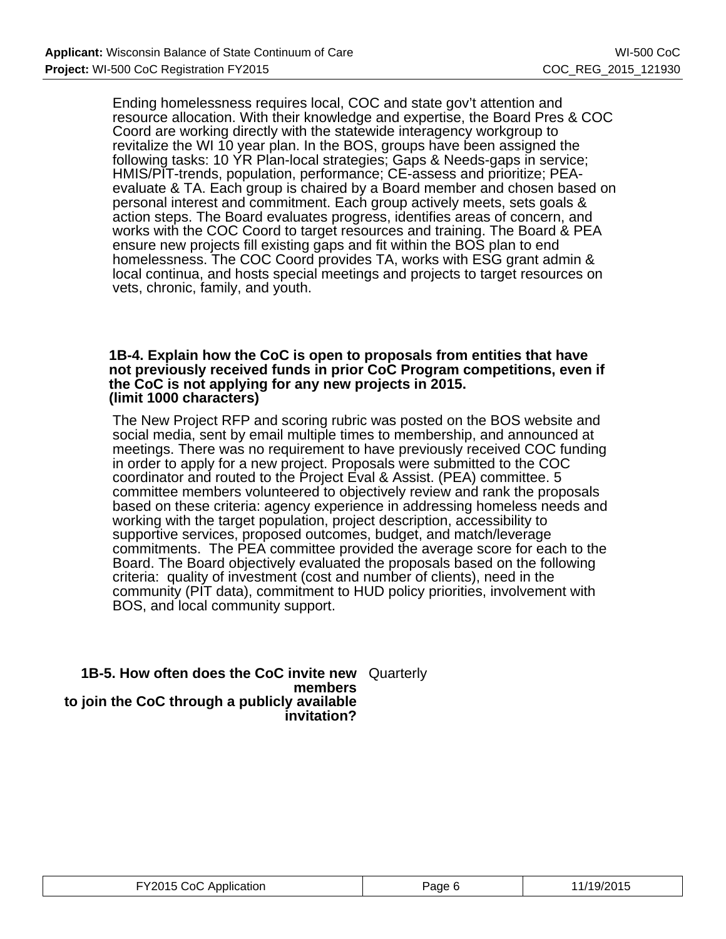Ending homelessness requires local, COC and state gov't attention and resource allocation. With their knowledge and expertise, the Board Pres & COC Coord are working directly with the statewide interagency workgroup to revitalize the WI 10 year plan. In the BOS, groups have been assigned the following tasks: 10 YR Plan-local strategies; Gaps & Needs-gaps in service; HMIS/PIT-trends, population, performance; CE-assess and prioritize; PEAevaluate & TA. Each group is chaired by a Board member and chosen based on personal interest and commitment. Each group actively meets, sets goals & action steps. The Board evaluates progress, identifies areas of concern, and works with the COC Coord to target resources and training. The Board & PEA ensure new projects fill existing gaps and fit within the BOS plan to end homelessness. The COC Coord provides TA, works with ESG grant admin & local continua, and hosts special meetings and projects to target resources on vets, chronic, family, and youth.

#### **1B-4. Explain how the CoC is open to proposals from entities that have not previously received funds in prior CoC Program competitions, even if the CoC is not applying for any new projects in 2015. (limit 1000 characters)**

The New Project RFP and scoring rubric was posted on the BOS website and social media, sent by email multiple times to membership, and announced at meetings. There was no requirement to have previously received COC funding in order to apply for a new project. Proposals were submitted to the COC coordinator and routed to the Project Eval & Assist. (PEA) committee. 5 committee members volunteered to objectively review and rank the proposals based on these criteria: agency experience in addressing homeless needs and working with the target population, project description, accessibility to supportive services, proposed outcomes, budget, and match/leverage commitments. The PEA committee provided the average score for each to the Board. The Board objectively evaluated the proposals based on the following criteria: quality of investment (cost and number of clients), need in the community (PIT data), commitment to HUD policy priorities, involvement with BOS, and local community support.

## **1B-5. How often does the CoC invite new** Quarterly **members to join the CoC through a publicly available invitation?**

| FY2015 CoC Application | Page 6 | 11/19/2015 |
|------------------------|--------|------------|
|------------------------|--------|------------|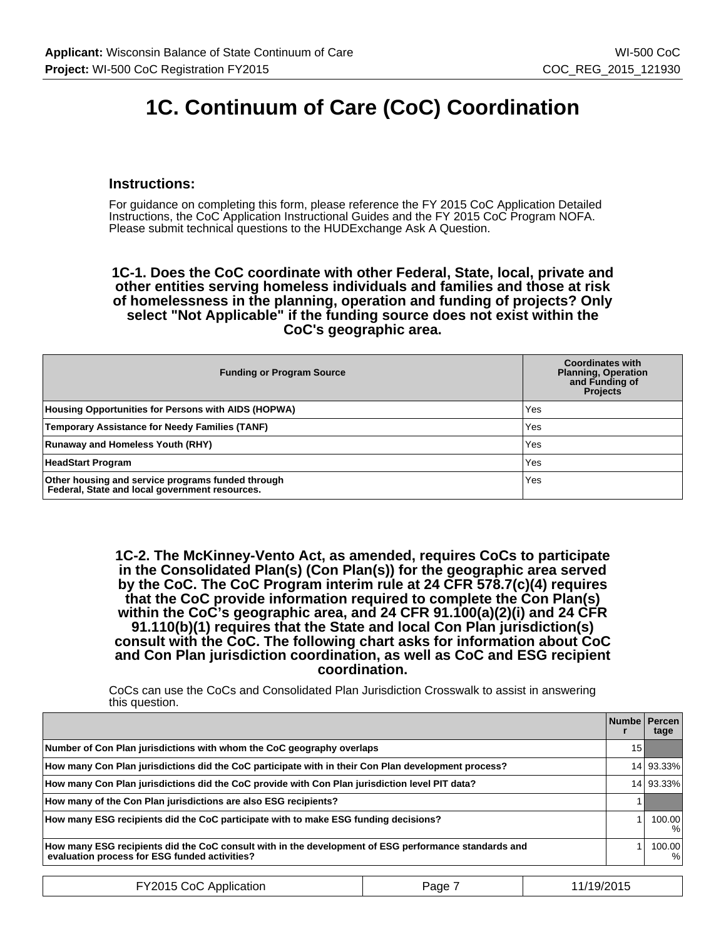## **1C. Continuum of Care (CoC) Coordination**

## **Instructions:**

For guidance on completing this form, please reference the FY 2015 CoC Application Detailed Instructions, the CoC Application Instructional Guides and the FY 2015 CoC Program NOFA. Please submit technical questions to the HUDExchange Ask A Question.

**1C-1. Does the CoC coordinate with other Federal, State, local, private and other entities serving homeless individuals and families and those at risk of homelessness in the planning, operation and funding of projects? Only select "Not Applicable" if the funding source does not exist within the CoC's geographic area.**

| <b>Funding or Program Source</b>                                                                    | <b>Coordinates with</b><br><b>Planning, Operation</b><br>and Funding of<br><b>Projects</b> |
|-----------------------------------------------------------------------------------------------------|--------------------------------------------------------------------------------------------|
| Housing Opportunities for Persons with AIDS (HOPWA)                                                 | Yes                                                                                        |
| <b>Temporary Assistance for Needy Families (TANF)</b>                                               | Yes                                                                                        |
| <b>Runaway and Homeless Youth (RHY)</b>                                                             | Yes                                                                                        |
| <b>HeadStart Program</b>                                                                            | Yes                                                                                        |
| Other housing and service programs funded through<br>Federal, State and local government resources. | Yes                                                                                        |

**1C-2. The McKinney-Vento Act, as amended, requires CoCs to participate in the Consolidated Plan(s) (Con Plan(s)) for the geographic area served by the CoC. The CoC Program interim rule at 24 CFR 578.7(c)(4) requires that the CoC provide information required to complete the Con Plan(s) within the CoC's geographic area, and 24 CFR 91.100(a)(2)(i) and 24 CFR 91.110(b)(1) requires that the State and local Con Plan jurisdiction(s) consult with the CoC. The following chart asks for information about CoC and Con Plan jurisdiction coordination, as well as CoC and ESG recipient coordination.**

CoCs can use the CoCs and Consolidated Plan Jurisdiction Crosswalk to assist in answering this question.

|                                                                                                                                                       | Numbe   Percen  | tage        |
|-------------------------------------------------------------------------------------------------------------------------------------------------------|-----------------|-------------|
| Number of Con Plan jurisdictions with whom the CoC geography overlaps                                                                                 | 15 <sub>1</sub> |             |
| How many Con Plan jurisdictions did the CoC participate with in their Con Plan development process?                                                   |                 | 14 93.33%   |
| How many Con Plan jurisdictions did the CoC provide with Con Plan jurisdiction level PIT data?                                                        |                 | 14 93.33%   |
| How many of the Con Plan jurisdictions are also ESG recipients?                                                                                       |                 |             |
| How many ESG recipients did the CoC participate with to make ESG funding decisions?                                                                   |                 | 100.00<br>% |
| How many ESG recipients did the CoC consult with in the development of ESG performance standards and<br>evaluation process for ESG funded activities? |                 | 100.00<br>% |

| FY2015 CoC Application | Page | 11/19/2015 |
|------------------------|------|------------|
|------------------------|------|------------|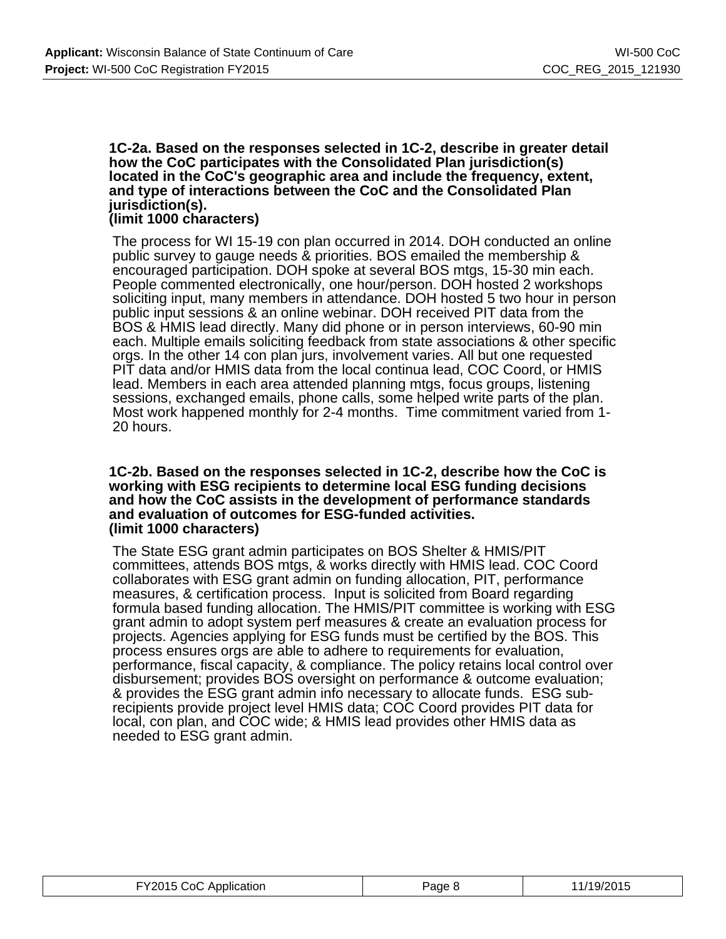## **1C-2a. Based on the responses selected in 1C-2, describe in greater detail how the CoC participates with the Consolidated Plan jurisdiction(s) located in the CoC's geographic area and include the frequency, extent, and type of interactions between the CoC and the Consolidated Plan jurisdiction(s).**

## **(limit 1000 characters)**

The process for WI 15-19 con plan occurred in 2014. DOH conducted an online public survey to gauge needs & priorities. BOS emailed the membership & encouraged participation. DOH spoke at several BOS mtgs, 15-30 min each. People commented electronically, one hour/person. DOH hosted 2 workshops soliciting input, many members in attendance. DOH hosted 5 two hour in person public input sessions & an online webinar. DOH received PIT data from the BOS & HMIS lead directly. Many did phone or in person interviews, 60-90 min each. Multiple emails soliciting feedback from state associations & other specific orgs. In the other 14 con plan jurs, involvement varies. All but one requested PIT data and/or HMIS data from the local continua lead, COC Coord, or HMIS lead. Members in each area attended planning mtgs, focus groups, listening sessions, exchanged emails, phone calls, some helped write parts of the plan. Most work happened monthly for 2-4 months. Time commitment varied from 1- 20 hours.

### **1C-2b. Based on the responses selected in 1C-2, describe how the CoC is working with ESG recipients to determine local ESG funding decisions and how the CoC assists in the development of performance standards and evaluation of outcomes for ESG-funded activities. (limit 1000 characters)**

The State ESG grant admin participates on BOS Shelter & HMIS/PIT committees, attends BOS mtgs, & works directly with HMIS lead. COC Coord collaborates with ESG grant admin on funding allocation, PIT, performance measures, & certification process. Input is solicited from Board regarding formula based funding allocation. The HMIS/PIT committee is working with ESG grant admin to adopt system perf measures & create an evaluation process for projects. Agencies applying for ESG funds must be certified by the BOS. This process ensures orgs are able to adhere to requirements for evaluation, performance, fiscal capacity, & compliance. The policy retains local control over disbursement; provides BOS oversight on performance & outcome evaluation; & provides the ESG grant admin info necessary to allocate funds. ESG subrecipients provide project level HMIS data; COC Coord provides PIT data for local, con plan, and COC wide; & HMIS lead provides other HMIS data as needed to ESG grant admin.

| FY2015 CoC Application | Page 8 | 11/19/2015 |
|------------------------|--------|------------|
|------------------------|--------|------------|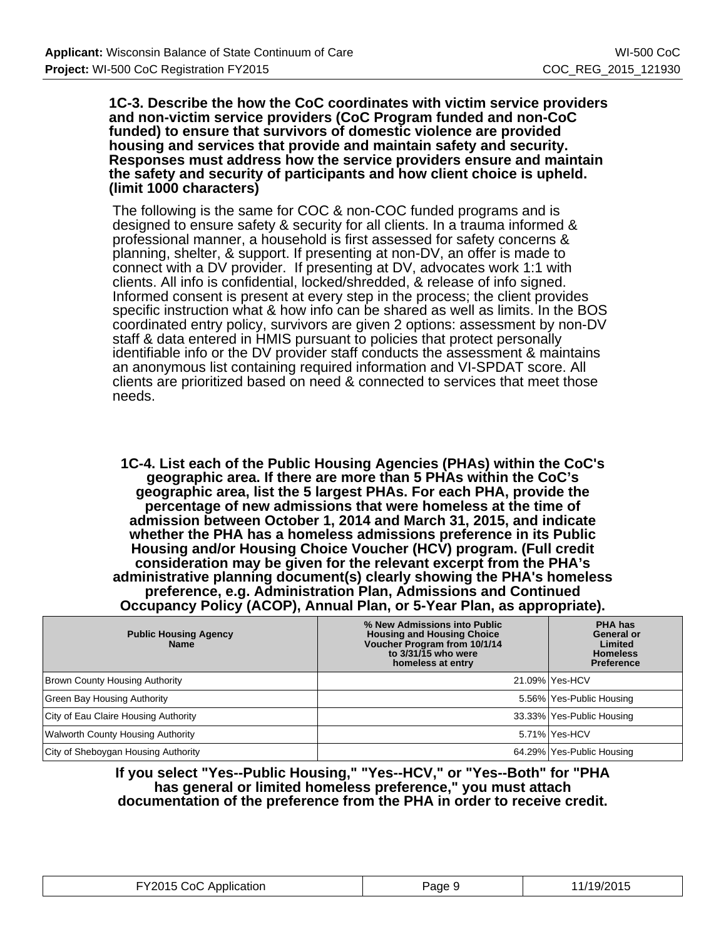**1C-3. Describe the how the CoC coordinates with victim service providers and non-victim service providers (CoC Program funded and non-CoC funded) to ensure that survivors of domestic violence are provided housing and services that provide and maintain safety and security. Responses must address how the service providers ensure and maintain the safety and security of participants and how client choice is upheld. (limit 1000 characters)**

The following is the same for COC & non-COC funded programs and is designed to ensure safety & security for all clients. In a trauma informed & professional manner, a household is first assessed for safety concerns & planning, shelter, & support. If presenting at non-DV, an offer is made to connect with a DV provider. If presenting at DV, advocates work 1:1 with clients. All info is confidential, locked/shredded, & release of info signed. Informed consent is present at every step in the process; the client provides specific instruction what & how info can be shared as well as limits. In the BOS coordinated entry policy, survivors are given 2 options: assessment by non-DV staff & data entered in HMIS pursuant to policies that protect personally identifiable info or the DV provider staff conducts the assessment & maintains an anonymous list containing required information and VI-SPDAT score. All clients are prioritized based on need & connected to services that meet those needs.

**1C-4. List each of the Public Housing Agencies (PHAs) within the CoC's geographic area. If there are more than 5 PHAs within the CoC's geographic area, list the 5 largest PHAs. For each PHA, provide the percentage of new admissions that were homeless at the time of admission between October 1, 2014 and March 31, 2015, and indicate whether the PHA has a homeless admissions preference in its Public Housing and/or Housing Choice Voucher (HCV) program. (Full credit consideration may be given for the relevant excerpt from the PHA's administrative planning document(s) clearly showing the PHA's homeless preference, e.g. Administration Plan, Admissions and Continued Occupancy Policy (ACOP), Annual Plan, or 5-Year Plan, as appropriate).**

| <b>Public Housing Agency</b><br><b>Name</b> | % New Admissions into Public<br><b>Housing and Housing Choice</b><br>Voucher Program from 10/1/14<br>to $3/31/15$ who were<br>homeless at entry | PHA has<br>General or<br>Limited<br><b>Homeless</b><br><b>Preference</b> |
|---------------------------------------------|-------------------------------------------------------------------------------------------------------------------------------------------------|--------------------------------------------------------------------------|
| <b>Brown County Housing Authority</b>       |                                                                                                                                                 | 21.09% Yes-HCV                                                           |
| Green Bay Housing Authority                 |                                                                                                                                                 | 5.56%   Yes-Public Housing                                               |
| City of Eau Claire Housing Authority        |                                                                                                                                                 | 33.33% Yes-Public Housing                                                |
| <b>Walworth County Housing Authority</b>    |                                                                                                                                                 | 5.71% Yes-HCV                                                            |
| City of Sheboygan Housing Authority         |                                                                                                                                                 | 64.29%   Yes-Public Housing                                              |

### **If you select "Yes--Public Housing," "Yes--HCV," or "Yes--Both" for "PHA has general or limited homeless preference," you must attach documentation of the preference from the PHA in order to receive credit.**

| FY2015 CoC Application | Page 9 | 11/19/2015 |
|------------------------|--------|------------|
|------------------------|--------|------------|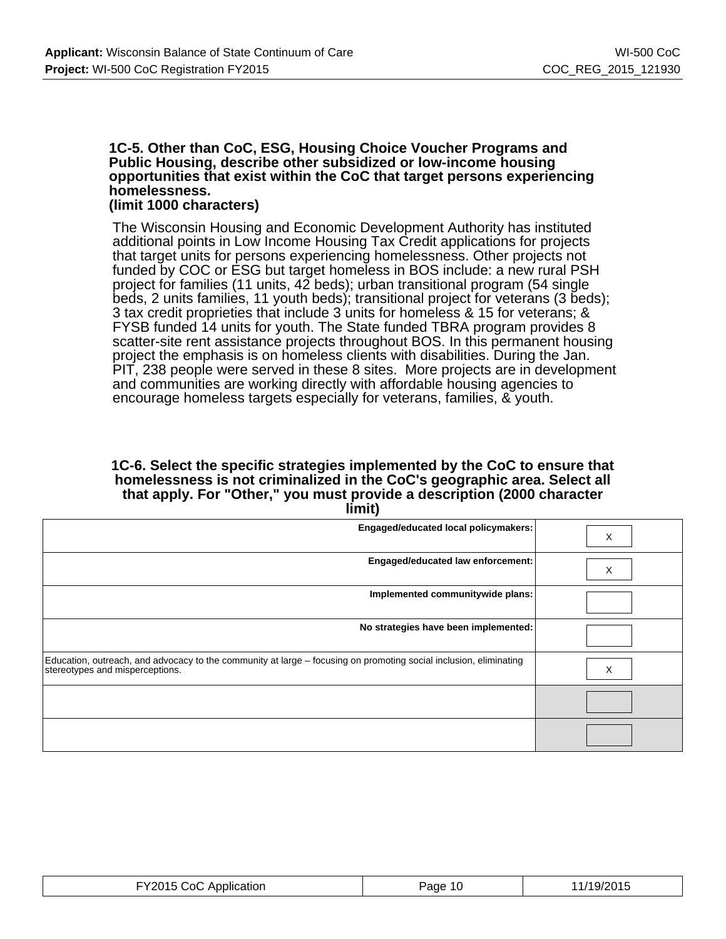## **1C-5. Other than CoC, ESG, Housing Choice Voucher Programs and Public Housing, describe other subsidized or low-income housing opportunities that exist within the CoC that target persons experiencing homelessness.**

## **(limit 1000 characters)**

The Wisconsin Housing and Economic Development Authority has instituted additional points in Low Income Housing Tax Credit applications for projects that target units for persons experiencing homelessness. Other projects not funded by COC or ESG but target homeless in BOS include: a new rural PSH project for families (11 units, 42 beds); urban transitional program (54 single beds, 2 units families, 11 youth beds); transitional project for veterans (3 beds); 3 tax credit proprieties that include 3 units for homeless & 15 for veterans; & FYSB funded 14 units for youth. The State funded TBRA program provides 8 scatter-site rent assistance projects throughout BOS. In this permanent housing project the emphasis is on homeless clients with disabilities. During the Jan. PIT, 238 people were served in these 8 sites. More projects are in development and communities are working directly with affordable housing agencies to encourage homeless targets especially for veterans, families, & youth.

### **1C-6. Select the specific strategies implemented by the CoC to ensure that homelessness is not criminalized in the CoC's geographic area. Select all that apply. For "Other," you must provide a description (2000 character limit)**

| <b>Engaged/educated local policymakers:</b>                                                                                                          | Х |
|------------------------------------------------------------------------------------------------------------------------------------------------------|---|
| Engaged/educated law enforcement:                                                                                                                    | X |
| Implemented communitywide plans:                                                                                                                     |   |
| No strategies have been implemented:                                                                                                                 |   |
| Education, outreach, and advocacy to the community at large – focusing on promoting social inclusion, eliminating<br>stereotypes and misperceptions. | X |
|                                                                                                                                                      |   |
|                                                                                                                                                      |   |

| ----<br>cation<br><u>атлин</u> | аое | $\sim$<br>U<br>. |
|--------------------------------|-----|------------------|
|--------------------------------|-----|------------------|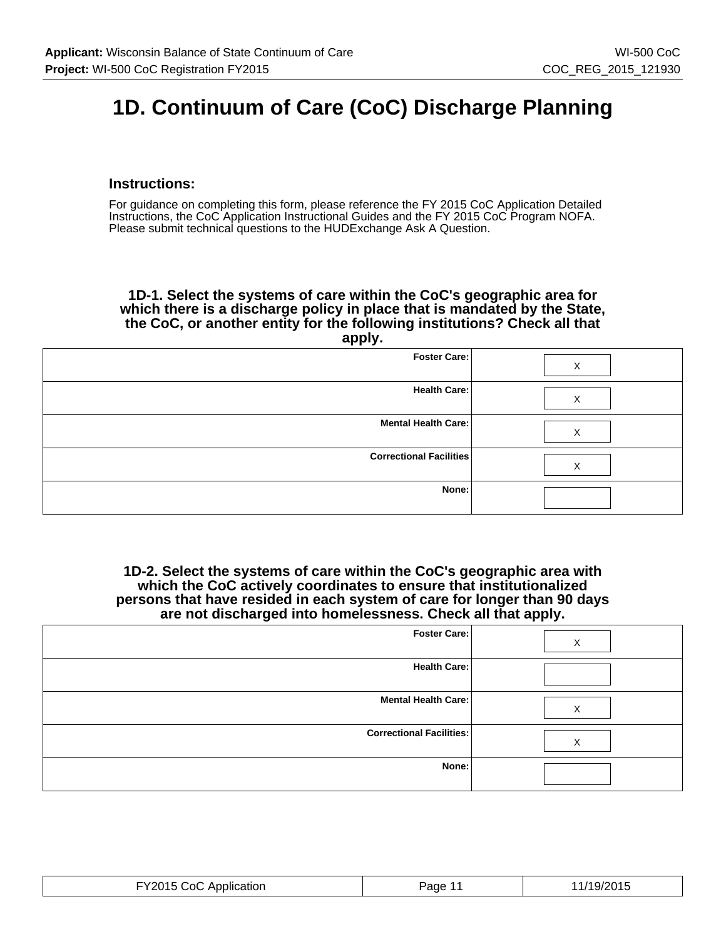# **1D. Continuum of Care (CoC) Discharge Planning**

## **Instructions:**

For guidance on completing this form, please reference the FY 2015 CoC Application Detailed Instructions, the CoC Application Instructional Guides and the FY 2015 CoC Program NOFA. Please submit technical questions to the HUDExchange Ask A Question.

**1D-1. Select the systems of care within the CoC's geographic area for which there is a discharge policy in place that is mandated by the State, the CoC, or another entity for the following institutions? Check all that apply.**

| . |                                |  |
|---|--------------------------------|--|
| X | Foster Care:                   |  |
| Χ | Health Care:                   |  |
| х | Mental Health Care:            |  |
| Χ | <b>Correctional Facilities</b> |  |
|   | None:                          |  |

**1D-2. Select the systems of care within the CoC's geographic area with which the CoC actively coordinates to ensure that institutionalized persons that have resided in each system of care for longer than 90 days are not discharged into homelessness. Check all that apply.**

| Foster Care:                    | Х |
|---------------------------------|---|
| Health Care:                    |   |
| Mental Health Care:             | Х |
| <b>Correctional Facilities:</b> | X |
| None:                           |   |

| FY2015 CoC Application | Page | 1/2015 |
|------------------------|------|--------|
|------------------------|------|--------|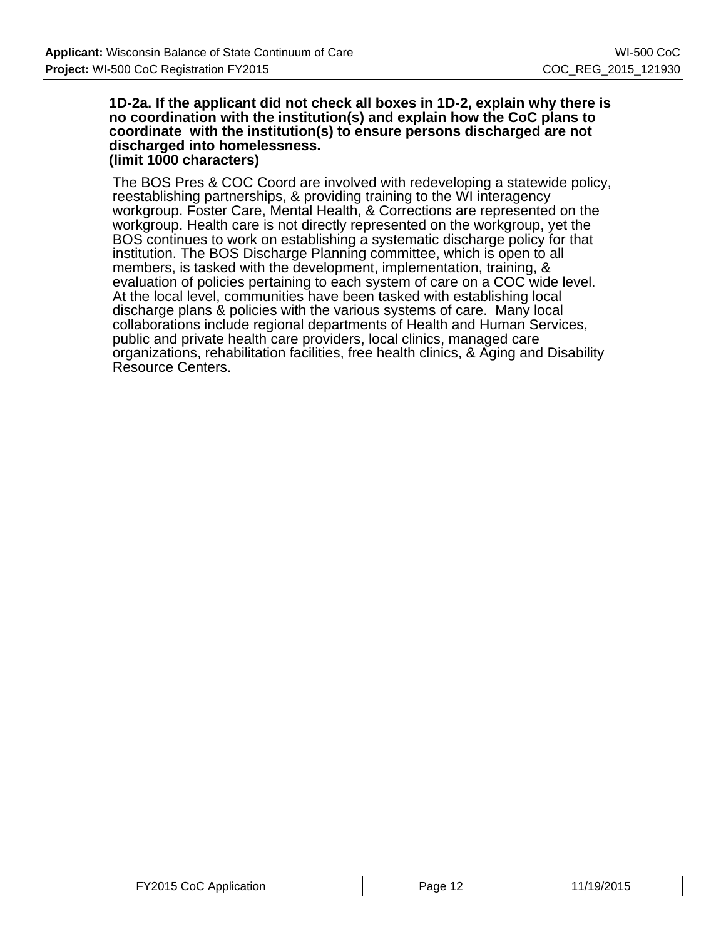#### **1D-2a. If the applicant did not check all boxes in 1D-2, explain why there is no coordination with the institution(s) and explain how the CoC plans to coordinate with the institution(s) to ensure persons discharged are not discharged into homelessness. (limit 1000 characters)**

The BOS Pres & COC Coord are involved with redeveloping a statewide policy, reestablishing partnerships, & providing training to the WI interagency workgroup. Foster Care, Mental Health, & Corrections are represented on the workgroup. Health care is not directly represented on the workgroup, yet the BOS continues to work on establishing a systematic discharge policy for that institution. The BOS Discharge Planning committee, which is open to all members, is tasked with the development, implementation, training, & evaluation of policies pertaining to each system of care on a COC wide level. At the local level, communities have been tasked with establishing local discharge plans & policies with the various systems of care. Many local collaborations include regional departments of Health and Human Services, public and private health care providers, local clinics, managed care organizations, rehabilitation facilities, free health clinics, & Aging and Disability Resource Centers.

| FY2015 CoC Application | Pane | /19/2015 |
|------------------------|------|----------|
|------------------------|------|----------|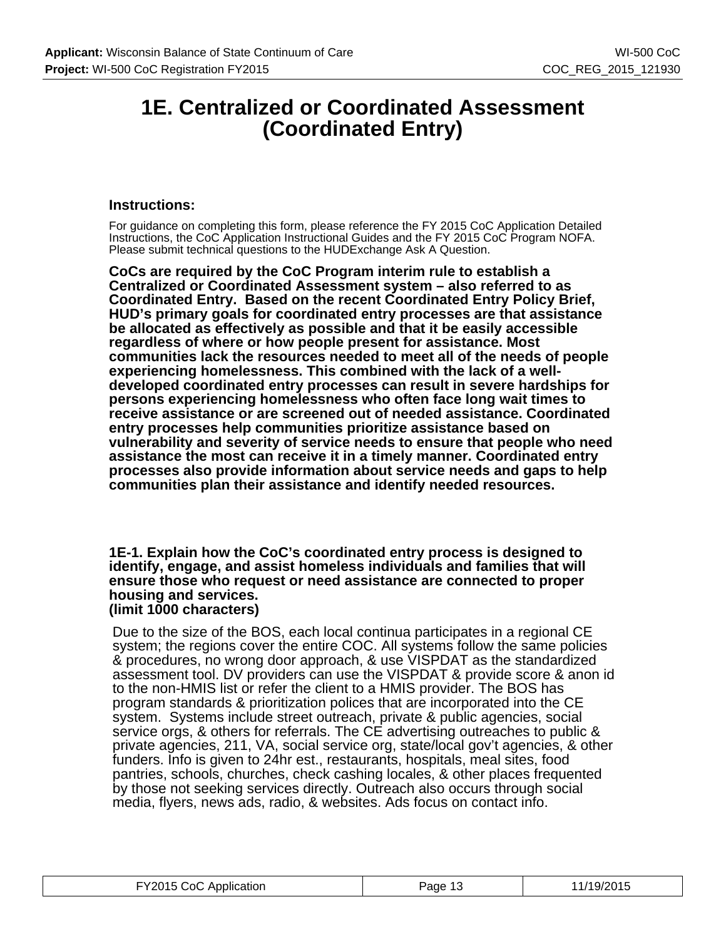## **1E. Centralized or Coordinated Assessment (Coordinated Entry)**

## **Instructions:**

For guidance on completing this form, please reference the FY 2015 CoC Application Detailed Instructions, the CoC Application Instructional Guides and the FY 2015 CoC Program NOFA. Please submit technical questions to the HUDExchange Ask A Question.

**CoCs are required by the CoC Program interim rule to establish a Centralized or Coordinated Assessment system – also referred to as Coordinated Entry. Based on the recent Coordinated Entry Policy Brief, HUD's primary goals for coordinated entry processes are that assistance be allocated as effectively as possible and that it be easily accessible regardless of where or how people present for assistance. Most communities lack the resources needed to meet all of the needs of people experiencing homelessness. This combined with the lack of a welldeveloped coordinated entry processes can result in severe hardships for persons experiencing homelessness who often face long wait times to receive assistance or are screened out of needed assistance. Coordinated entry processes help communities prioritize assistance based on vulnerability and severity of service needs to ensure that people who need assistance the most can receive it in a timely manner. Coordinated entry processes also provide information about service needs and gaps to help communities plan their assistance and identify needed resources.**

**1E-1. Explain how the CoC's coordinated entry process is designed to identify, engage, and assist homeless individuals and families that will ensure those who request or need assistance are connected to proper housing and services.**

**(limit 1000 characters)**

Due to the size of the BOS, each local continua participates in a regional CE system; the regions cover the entire COC. All systems follow the same policies & procedures, no wrong door approach, & use VISPDAT as the standardized assessment tool. DV providers can use the VISPDAT & provide score & anon id to the non-HMIS list or refer the client to a HMIS provider. The BOS has program standards & prioritization polices that are incorporated into the CE system. Systems include street outreach, private & public agencies, social service orgs, & others for referrals. The CE advertising outreaches to public & private agencies, 211, VA, social service org, state/local gov't agencies, & other funders. Info is given to 24hr est., restaurants, hospitals, meal sites, food pantries, schools, churches, check cashing locales, & other places frequented by those not seeking services directly. Outreach also occurs through social media, flyers, news ads, radio, & websites. Ads focus on contact info.

| FY2015 CoC Application | Page 13 | 11/19/2015 |
|------------------------|---------|------------|
|------------------------|---------|------------|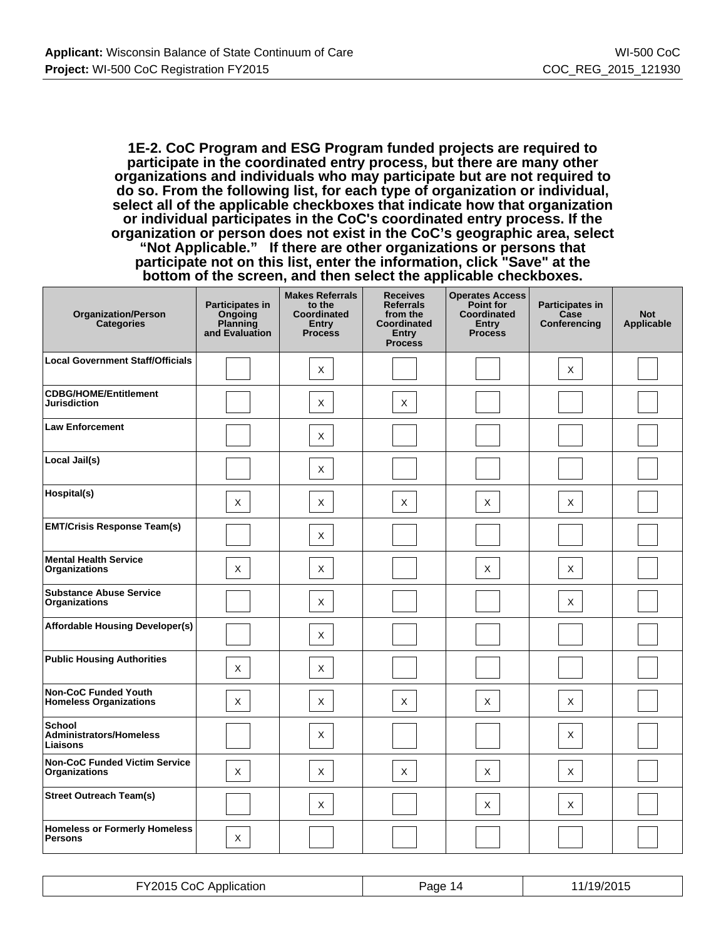**1E-2. CoC Program and ESG Program funded projects are required to participate in the coordinated entry process, but there are many other organizations and individuals who may participate but are not required to do so. From the following list, for each type of organization or individual, select all of the applicable checkboxes that indicate how that organization or individual participates in the CoC's coordinated entry process. If the organization or person does not exist in the CoC's geographic area, select "Not Applicable." If there are other organizations or persons that participate not on this list, enter the information, click "Save" at the bottom of the screen, and then select the applicable checkboxes.**

| <b>Organization/Person</b><br><b>Categories</b>              | <b>Participates in</b><br>Ongoing<br><b>Planning</b><br>and Evaluation | <b>Makes Referrals</b><br>to the<br>Coordinated<br>Entry<br><b>Process</b> | <b>Receives</b><br><b>Referrals</b><br>from the<br>Coordinated<br><b>Entry</b><br><b>Process</b> | <b>Operates Access</b><br>Point for<br>Coordinated<br>Entry<br><b>Process</b> | Participates in<br>Case<br>Conferencing | <b>Not</b><br>Applicable |
|--------------------------------------------------------------|------------------------------------------------------------------------|----------------------------------------------------------------------------|--------------------------------------------------------------------------------------------------|-------------------------------------------------------------------------------|-----------------------------------------|--------------------------|
| <b>Local Government Staff/Officials</b>                      |                                                                        | Χ                                                                          |                                                                                                  |                                                                               | X                                       |                          |
| <b>CDBG/HOME/Entitlement</b><br><b>Jurisdiction</b>          |                                                                        | Χ                                                                          | X                                                                                                |                                                                               |                                         |                          |
| <b>Law Enforcement</b>                                       |                                                                        | X                                                                          |                                                                                                  |                                                                               |                                         |                          |
| Local Jail(s)                                                |                                                                        | Χ                                                                          |                                                                                                  |                                                                               |                                         |                          |
| Hospital(s)                                                  | X                                                                      | X                                                                          | Χ                                                                                                | Χ                                                                             | X                                       |                          |
| <b>EMT/Crisis Response Team(s)</b>                           |                                                                        | Χ                                                                          |                                                                                                  |                                                                               |                                         |                          |
| <b>Mental Health Service</b><br>Organizations                | $\mathsf X$                                                            | $\mathsf X$                                                                |                                                                                                  | $\mathsf X$                                                                   | $\pmb{\times}$                          |                          |
| <b>Substance Abuse Service</b><br>Organizations              |                                                                        | X                                                                          |                                                                                                  |                                                                               | X                                       |                          |
| <b>Affordable Housing Developer(s)</b>                       |                                                                        | Χ                                                                          |                                                                                                  |                                                                               |                                         |                          |
| <b>Public Housing Authorities</b>                            | X                                                                      | X                                                                          |                                                                                                  |                                                                               |                                         |                          |
| <b>Non-CoC Funded Youth</b><br><b>Homeless Organizations</b> | Χ                                                                      | Χ                                                                          | X                                                                                                | Χ                                                                             | Χ                                       |                          |
| <b>School</b><br><b>Administrators/Homeless</b><br>Liaisons  |                                                                        | X                                                                          |                                                                                                  |                                                                               | Χ                                       |                          |
| <b>Non-CoC Funded Victim Service</b><br>Organizations        | X                                                                      | Χ                                                                          | Χ                                                                                                | Χ                                                                             | Χ                                       |                          |
| <b>Street Outreach Team(s)</b>                               |                                                                        | Χ                                                                          |                                                                                                  | X                                                                             | X                                       |                          |
| <b>Homeless or Formerly Homeless</b><br><b>Persons</b>       | X                                                                      |                                                                            |                                                                                                  |                                                                               |                                         |                          |

| CoC Application<br>$-$ Y2015 $\sim$ | Page 1 |  |
|-------------------------------------|--------|--|
|-------------------------------------|--------|--|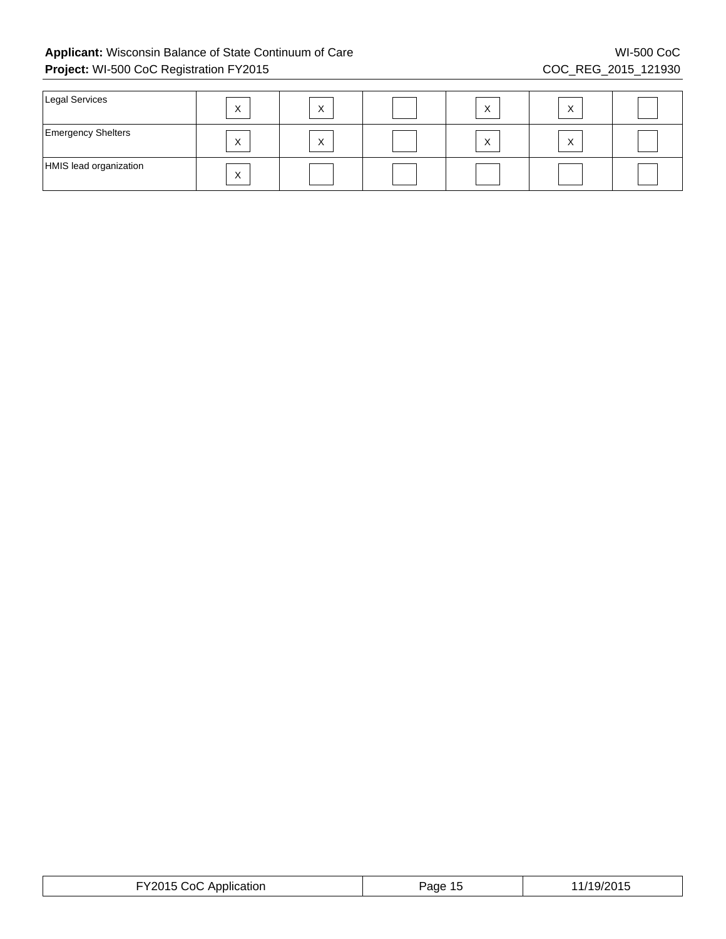## Applicant: Wisconsin Balance of State Continuum of Care WI-500 CoC COC COC COC COC **Project:** WI-500 CoC Registration FY2015 COC\_REG\_2015\_121930

| Legal Services            | $\lambda$ | X              | $\lambda$ |                |  |
|---------------------------|-----------|----------------|-----------|----------------|--|
| <b>Emergency Shelters</b> | $\Lambda$ | $\sqrt{}$<br>⋏ | $\lambda$ | $\lambda$<br>⌒ |  |
| HMIS lead organization    | $\Lambda$ |                |           |                |  |

| FY2015 CoC Application | Page<br>-15 | 11/19/2015 |
|------------------------|-------------|------------|
|------------------------|-------------|------------|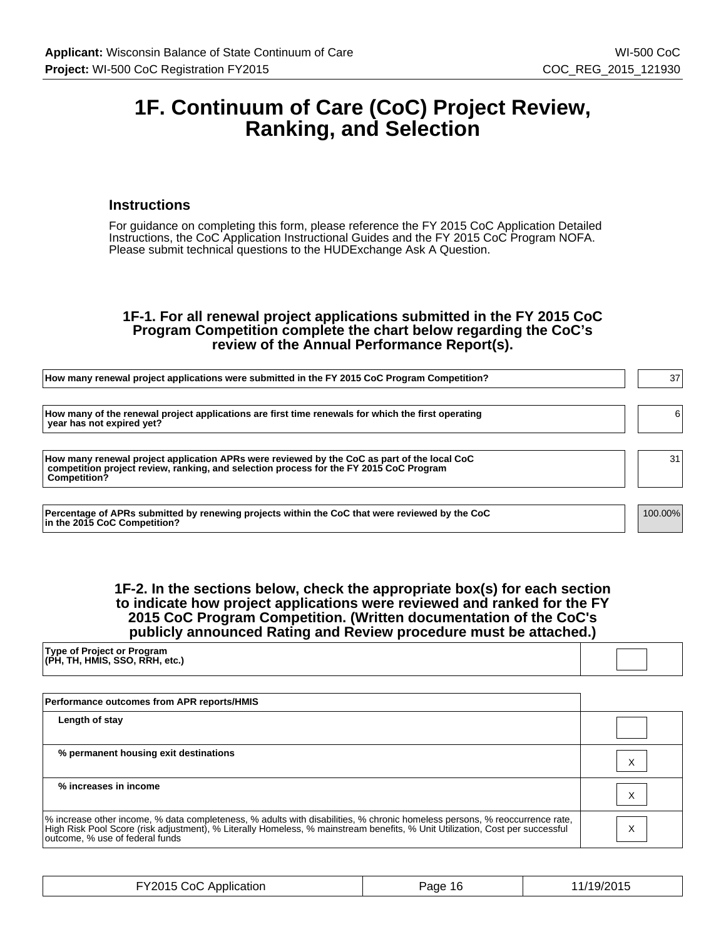## **1F. Continuum of Care (CoC) Project Review, Ranking, and Selection**

### **Instructions**

For guidance on completing this form, please reference the FY 2015 CoC Application Detailed Instructions, the CoC Application Instructional Guides and the FY 2015 CoC Program NOFA. Please submit technical questions to the HUDExchange Ask A Question.

### **1F-1. For all renewal project applications submitted in the FY 2015 CoC Program Competition complete the chart below regarding the CoC's review of the Annual Performance Report(s).**

| How many renewal project applications were submitted in the FY 2015 CoC Program Competition?                                                                                                                 | 37      |
|--------------------------------------------------------------------------------------------------------------------------------------------------------------------------------------------------------------|---------|
| How many of the renewal project applications are first time renewals for which the first operating<br>year has not expired yet?                                                                              | 61      |
| How many renewal project application APRs were reviewed by the CoC as part of the local CoC<br>competition project review, ranking, and selection process for the FY 2015 CoC Program<br><b>Competition?</b> | 31      |
| Percentage of APRs submitted by renewing projects within the CoC that were reviewed by the CoC<br>$\,$ in the 2015 CoC Competition? $\,$                                                                     | 100.00% |

#### **1F-2. In the sections below, check the appropriate box(s) for each section to indicate how project applications were reviewed and ranked for the FY 2015 CoC Program Competition. (Written documentation of the CoC's publicly announced Rating and Review procedure must be attached.)**

| <b>Type of Project or Program</b><br>(PH, TH, HMIS, SSO, RRH, etc.) |  |  |  |  |  |
|---------------------------------------------------------------------|--|--|--|--|--|
|                                                                     |  |  |  |  |  |

| Performance outcomes from APR reports/HMIS                                                                                                                                                                                                                                                    |  |
|-----------------------------------------------------------------------------------------------------------------------------------------------------------------------------------------------------------------------------------------------------------------------------------------------|--|
| Length of stay                                                                                                                                                                                                                                                                                |  |
| % permanent housing exit destinations                                                                                                                                                                                                                                                         |  |
| % increases in income                                                                                                                                                                                                                                                                         |  |
| % increase other income, % data completeness, % adults with disabilities, % chronic homeless persons, % reoccurrence rate,<br>High Risk Pool Score (risk adjustment), % Literally Homeless, % mainstream benefits, % Unit Utilization, Cost per successful<br>outcome, % use of federal funds |  |

| FY2015 CoC Application | Page 16 | 11/19/2015 |
|------------------------|---------|------------|
|------------------------|---------|------------|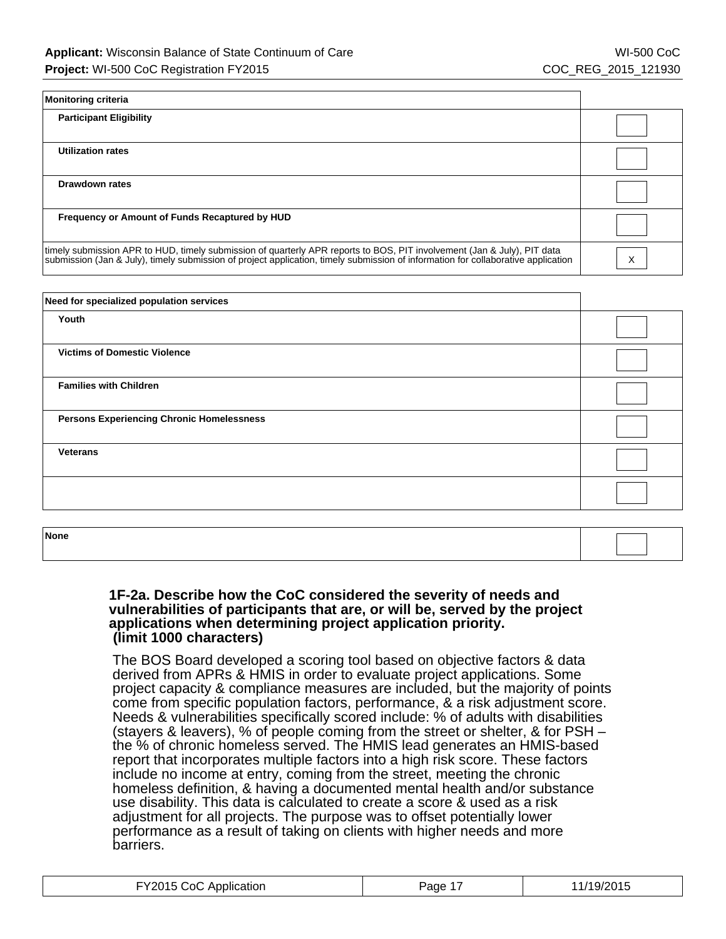| Monitoring criteria                                                                                                                                                                                                               |   |
|-----------------------------------------------------------------------------------------------------------------------------------------------------------------------------------------------------------------------------------|---|
| <b>Participant Eligibility</b>                                                                                                                                                                                                    |   |
| <b>Utilization rates</b>                                                                                                                                                                                                          |   |
| Drawdown rates                                                                                                                                                                                                                    |   |
| Frequency or Amount of Funds Recaptured by HUD                                                                                                                                                                                    |   |
| timely submission APR to HUD, timely submission of quarterly APR reports to BOS, PIT involvement (Jan & July), PIT data<br>submission (Jan & July), timely submission of project application, timely submission of information fo | ⋏ |

| Need for specialized population services         |  |
|--------------------------------------------------|--|
| Youth                                            |  |
| <b>Victims of Domestic Violence</b>              |  |
| <b>Families with Children</b>                    |  |
| <b>Persons Experiencing Chronic Homelessness</b> |  |
| <b>Veterans</b>                                  |  |
|                                                  |  |
|                                                  |  |
| None                                             |  |

### **1F-2a. Describe how the CoC considered the severity of needs and vulnerabilities of participants that are, or will be, served by the project applications when determining project application priority. (limit 1000 characters)**

The BOS Board developed a scoring tool based on objective factors & data derived from APRs & HMIS in order to evaluate project applications. Some project capacity & compliance measures are included, but the majority of points come from specific population factors, performance, & a risk adjustment score. Needs & vulnerabilities specifically scored include: % of adults with disabilities (stayers & leavers), % of people coming from the street or shelter, & for PSH – the % of chronic homeless served. The HMIS lead generates an HMIS-based report that incorporates multiple factors into a high risk score. These factors include no income at entry, coming from the street, meeting the chronic homeless definition, & having a documented mental health and/or substance use disability. This data is calculated to create a score & used as a risk adjustment for all projects. The purpose was to offset potentially lower performance as a result of taking on clients with higher needs and more barriers.

| FY2015 CoC Application | Page 1 | 11/19/2015 |
|------------------------|--------|------------|
|------------------------|--------|------------|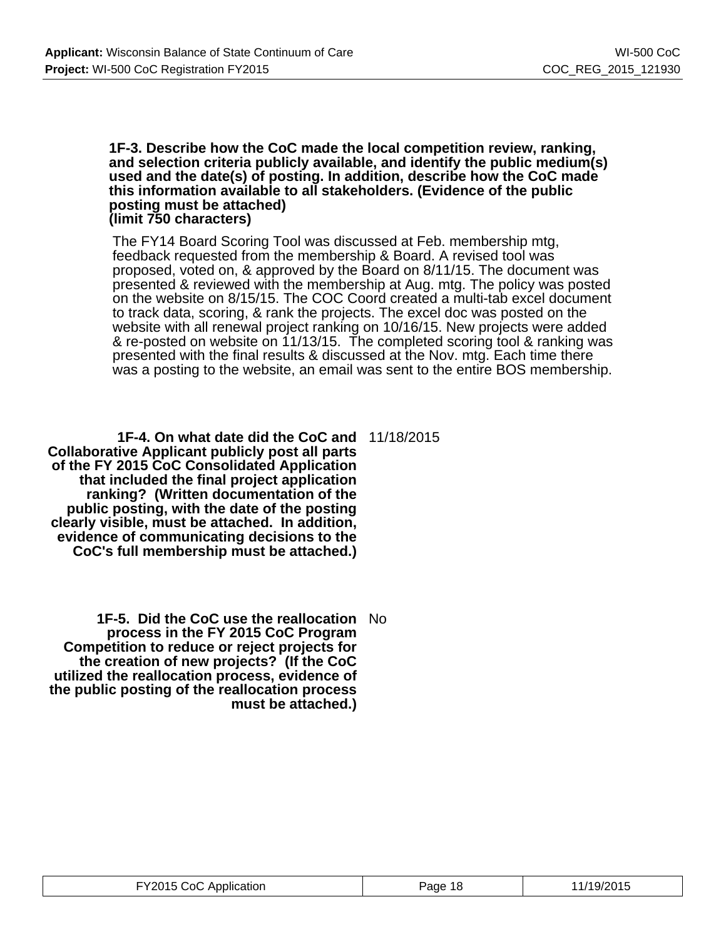#### **1F-3. Describe how the CoC made the local competition review, ranking, and selection criteria publicly available, and identify the public medium(s) used and the date(s) of posting. In addition, describe how the CoC made this information available to all stakeholders. (Evidence of the public posting must be attached) (limit 750 characters)**

The FY14 Board Scoring Tool was discussed at Feb. membership mtg, feedback requested from the membership & Board. A revised tool was proposed, voted on, & approved by the Board on 8/11/15. The document was presented & reviewed with the membership at Aug. mtg. The policy was posted on the website on 8/15/15. The COC Coord created a multi-tab excel document to track data, scoring, & rank the projects. The excel doc was posted on the website with all renewal project ranking on 10/16/15. New projects were added & re-posted on website on 11/13/15. The completed scoring tool & ranking was presented with the final results & discussed at the Nov. mtg. Each time there was a posting to the website, an email was sent to the entire BOS membership.

**1F-4. On what date did the CoC and** 11/18/2015 **Collaborative Applicant publicly post all parts of the FY 2015 CoC Consolidated Application that included the final project application ranking? (Written documentation of the public posting, with the date of the posting clearly visible, must be attached. In addition, evidence of communicating decisions to the CoC's full membership must be attached.)**

**1F-5. Did the CoC use the reallocation** No **process in the FY 2015 CoC Program Competition to reduce or reject projects for the creation of new projects? (If the CoC utilized the reallocation process, evidence of the public posting of the reallocation process must be attached.)**

| FY2015 CoC Application | Page 18 | 19/2015 |
|------------------------|---------|---------|
|------------------------|---------|---------|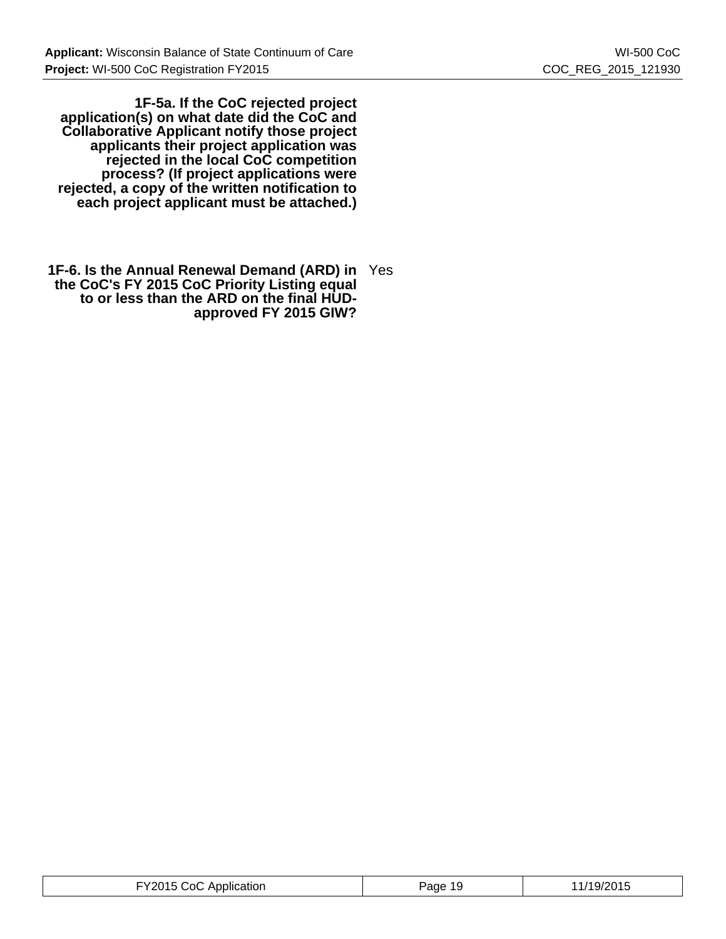**1F-5a. If the CoC rejected project application(s) on what date did the CoC and Collaborative Applicant notify those project applicants their project application was rejected in the local CoC competition process? (If project applications were rejected, a copy of the written notification to each project applicant must be attached.)**

**1F-6. Is the Annual Renewal Demand (ARD) in** Yes **the CoC's FY 2015 CoC Priority Listing equal to or less than the ARD on the final HUDapproved FY 2015 GIW?**

| -Y2015 CoC Ai<br>Application | Page 19 | /19/2015 |
|------------------------------|---------|----------|
|------------------------------|---------|----------|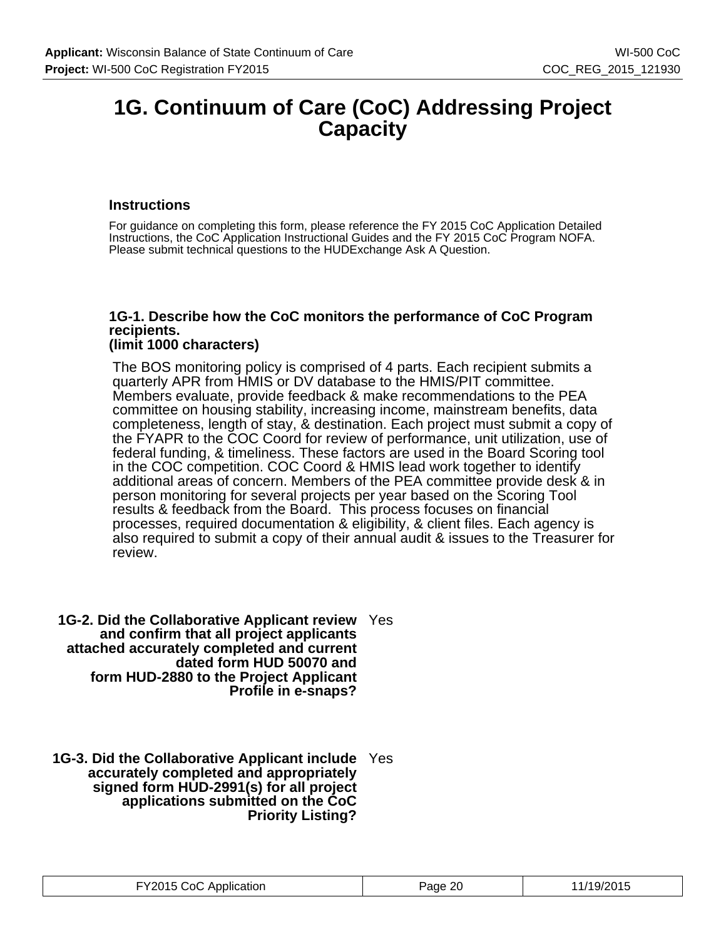## **1G. Continuum of Care (CoC) Addressing Project Capacity**

## **Instructions**

For guidance on completing this form, please reference the FY 2015 CoC Application Detailed Instructions, the CoC Application Instructional Guides and the FY 2015 CoC Program NOFA. Please submit technical questions to the HUDExchange Ask A Question.

### **1G-1. Describe how the CoC monitors the performance of CoC Program recipients. (limit 1000 characters)**

The BOS monitoring policy is comprised of 4 parts. Each recipient submits a quarterly APR from HMIS or DV database to the HMIS/PIT committee. Members evaluate, provide feedback & make recommendations to the PEA committee on housing stability, increasing income, mainstream benefits, data completeness, length of stay, & destination. Each project must submit a copy of the FYAPR to the COC Coord for review of performance, unit utilization, use of federal funding, & timeliness. These factors are used in the Board Scoring tool in the COC competition. COC Coord & HMIS lead work together to identify additional areas of concern. Members of the PEA committee provide desk & in person monitoring for several projects per year based on the Scoring Tool results & feedback from the Board. This process focuses on financial processes, required documentation & eligibility, & client files. Each agency is also required to submit a copy of their annual audit & issues to the Treasurer for review.

**1G-2. Did the Collaborative Applicant review** Yes **and confirm that all project applicants attached accurately completed and current dated form HUD 50070 and form HUD-2880 to the Project Applicant Profile in e-snaps?**

**1G-3. Did the Collaborative Applicant include** Yes **accurately completed and appropriately signed form HUD-2991(s) for all project applications submitted on the CoC Priority Listing?**

| FY2015 CoC Application | Page 20 | 11/19/2015 |
|------------------------|---------|------------|
|------------------------|---------|------------|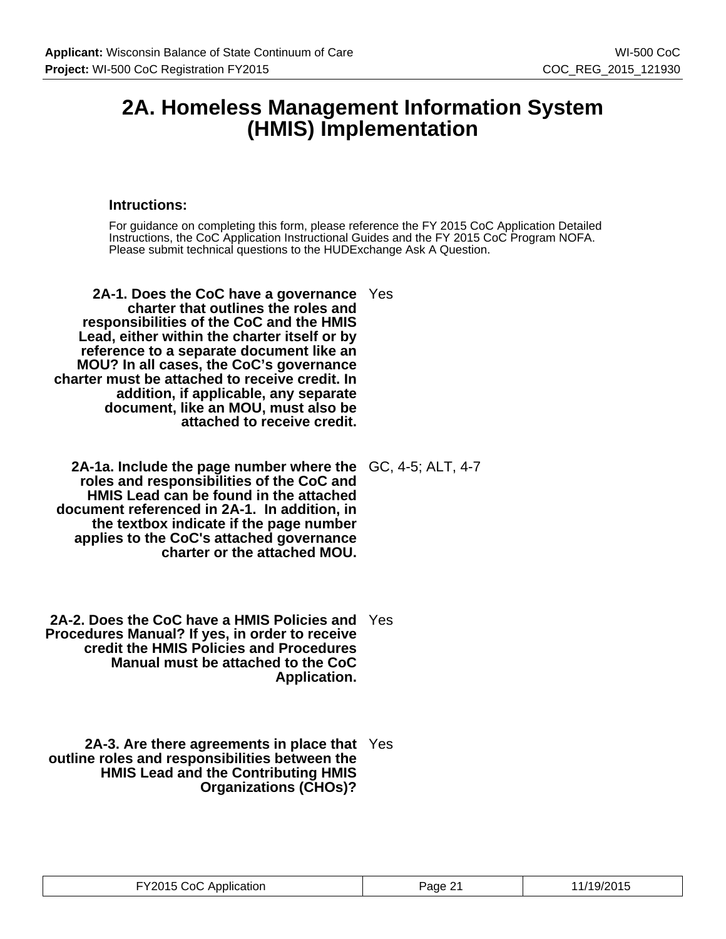## **2A. Homeless Management Information System (HMIS) Implementation**

## **Intructions:**

For guidance on completing this form, please reference the FY 2015 CoC Application Detailed Instructions, the CoC Application Instructional Guides and the FY 2015 CoC Program NOFA. Please submit technical questions to the HUDExchange Ask A Question.

- **2A-1. Does the CoC have a governance** Yes **charter that outlines the roles and responsibilities of the CoC and the HMIS Lead, either within the charter itself or by reference to a separate document like an MOU? In all cases, the CoC's governance charter must be attached to receive credit. In addition, if applicable, any separate document, like an MOU, must also be attached to receive credit.**
- **2A-1a. Include the page number where the roles and responsibilities of the CoC and HMIS Lead can be found in the attached document referenced in 2A-1. In addition, in the textbox indicate if the page number applies to the CoC's attached governance charter or the attached MOU.** GC, 4-5; ALT, 4-7
- **2A-2. Does the CoC have a HMIS Policies and** Yes **Procedures Manual? If yes, in order to receive credit the HMIS Policies and Procedures Manual must be attached to the CoC Application.**
- **2A-3. Are there agreements in place that** Yes **outline roles and responsibilities between the HMIS Lead and the Contributing HMIS Organizations (CHOs)?**

|  | FY2015 CoC Application | age 2 | ,,,,,<br>. |
|--|------------------------|-------|------------|
|--|------------------------|-------|------------|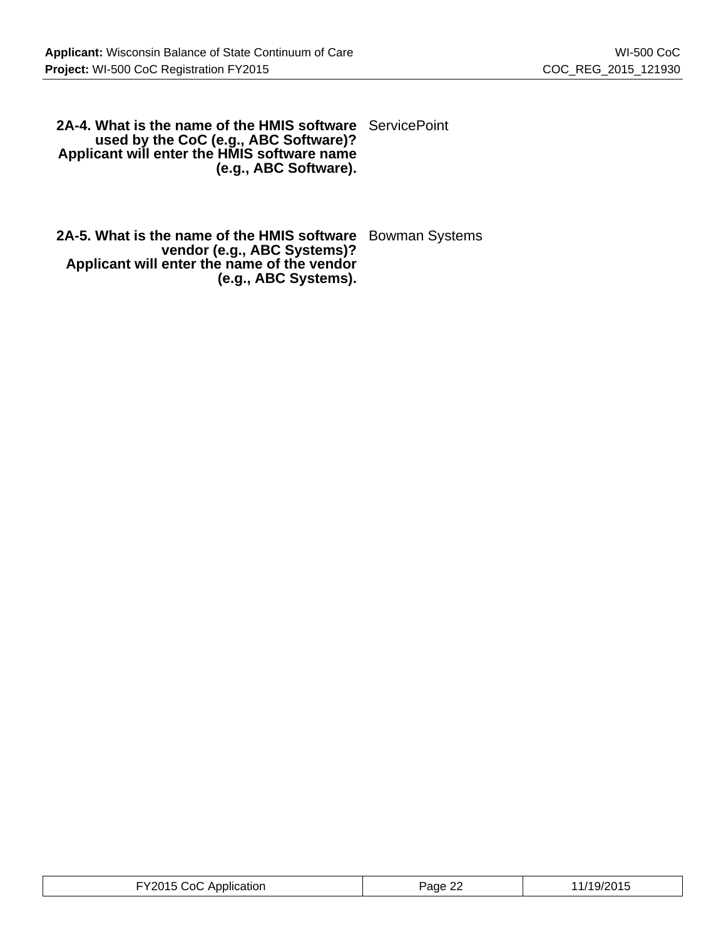## **2A-4. What is the name of the HMIS software** ServicePoint **used by the CoC (e.g., ABC Software)? Applicant will enter the HMIS software name (e.g., ABC Software).**

**2A-5. What is the name of the HMIS software** Bowman Systems **vendor (e.g., ABC Systems)? Applicant will enter the name of the vendor (e.g., ABC Systems).**

| -Y2015 CoC Application | $\sim$           | שונט <i>ו</i> שי |
|------------------------|------------------|------------------|
|                        | Page $2\epsilon$ | .                |
|                        |                  |                  |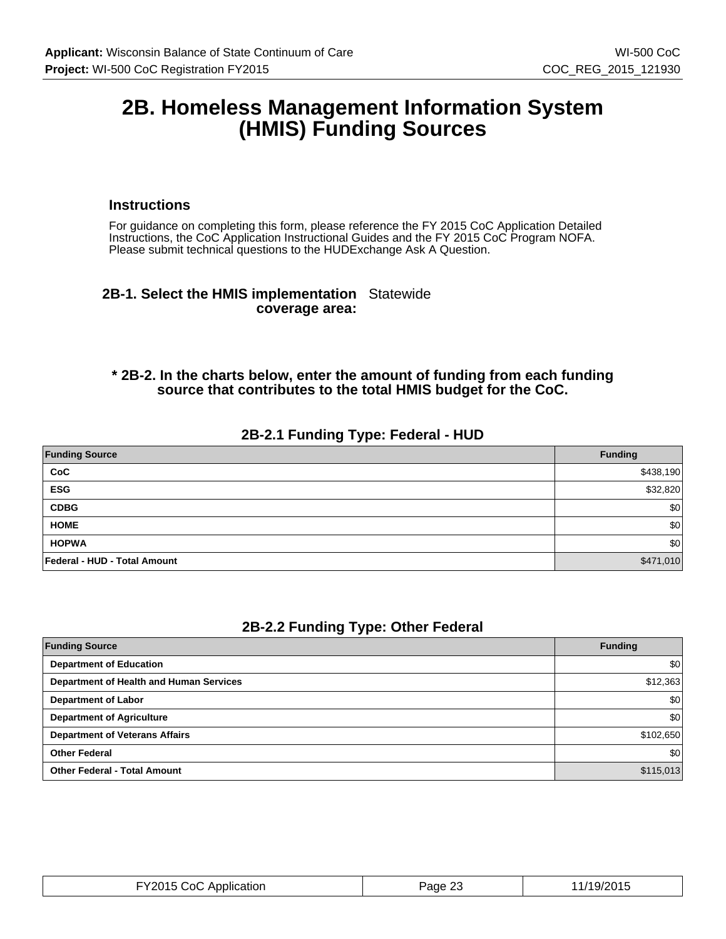## **2B. Homeless Management Information System (HMIS) Funding Sources**

## **Instructions**

For guidance on completing this form, please reference the FY 2015 CoC Application Detailed Instructions, the CoC Application Instructional Guides and the FY 2015 CoC Program NOFA. Please submit technical questions to the HUDExchange Ask A Question.

## **2B-1. Select the HMIS implementation** Statewide **coverage area:**

## **\* 2B-2. In the charts below, enter the amount of funding from each funding source that contributes to the total HMIS budget for the CoC.**

## **2B-2.1 Funding Type: Federal - HUD**

| <b>Funding Source</b>        | <b>Funding</b> |
|------------------------------|----------------|
| CoC                          | \$438,190      |
| <b>ESG</b>                   | \$32,820       |
| <b>CDBG</b>                  | \$0            |
| <b>HOME</b>                  | \$0            |
| <b>HOPWA</b>                 | \$0            |
| Federal - HUD - Total Amount | \$471,010      |

## **2B-2.2 Funding Type: Other Federal**

| <b>Funding Source</b>                   | <b>Funding</b> |
|-----------------------------------------|----------------|
| <b>Department of Education</b>          | \$0            |
| Department of Health and Human Services | \$12,363       |
| <b>Department of Labor</b>              | \$0            |
| <b>Department of Agriculture</b>        | \$0            |
| <b>Department of Veterans Affairs</b>   | \$102,650      |
| <b>Other Federal</b>                    | \$0            |
| <b>Other Federal - Total Amount</b>     | \$115,013      |

| FY2015 CoC Application | Page 23 | 11/19/2015 |
|------------------------|---------|------------|
|------------------------|---------|------------|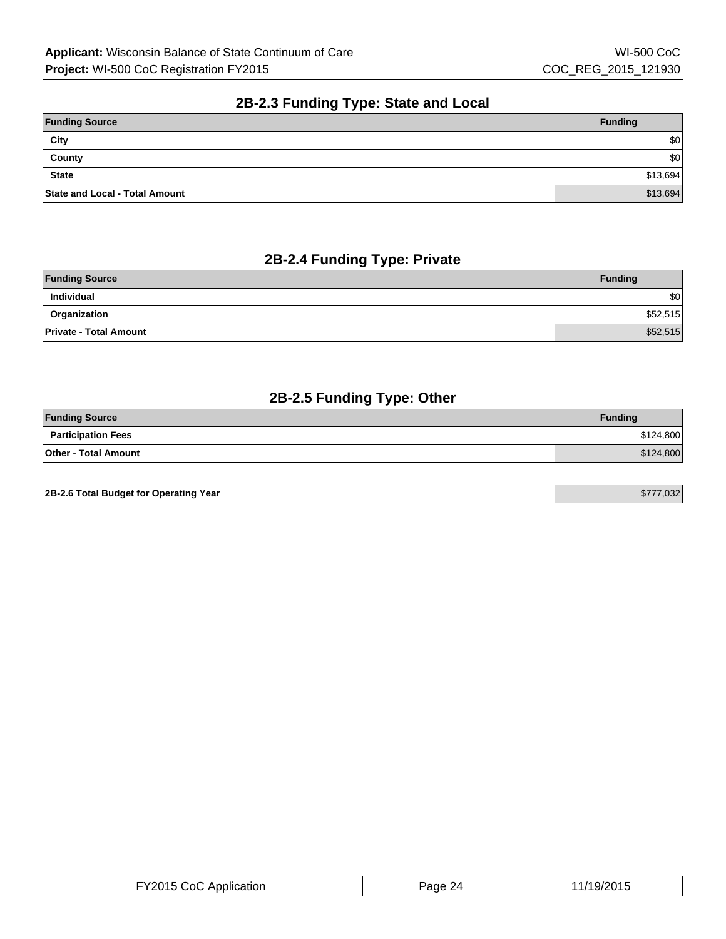## **2B-2.3 Funding Type: State and Local**

| <b>Funding Source</b>          | <b>Funding</b> |
|--------------------------------|----------------|
| City                           | \$0            |
| County                         | \$0            |
| <b>State</b>                   | \$13,694       |
| State and Local - Total Amount | \$13,694       |

## **2B-2.4 Funding Type: Private**

| <b>Funding Source</b>         | <b>Funding</b> |
|-------------------------------|----------------|
| <b>Individual</b>             | \$0            |
| Organization                  | \$52,515       |
| <b>Private - Total Amount</b> | \$52,515       |

## **2B-2.5 Funding Type: Other**

| <b>Funding Source</b>       | <b>Funding</b> |
|-----------------------------|----------------|
| <b>Participation Fees</b>   | \$124,800      |
| <b>Other - Total Amount</b> | \$124,800      |
|                             |                |

| 2B-2.6 Total Budget for Operating Year | \$777,032 |
|----------------------------------------|-----------|
|                                        |           |

| FY2015 CoC Application | Page 24 | 11/19/2015 |
|------------------------|---------|------------|
|------------------------|---------|------------|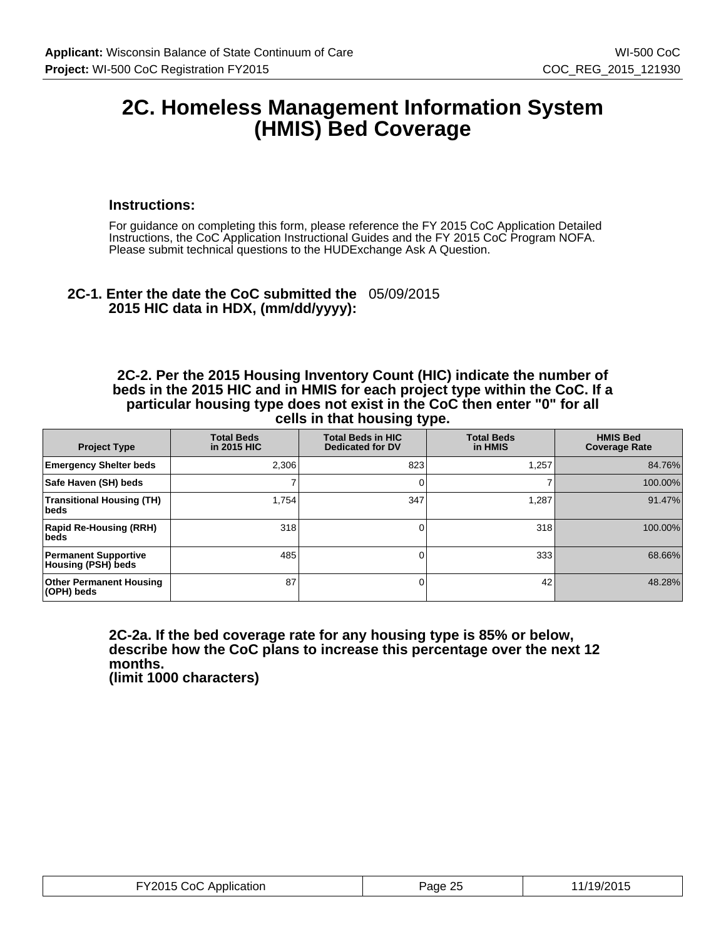## **2C. Homeless Management Information System (HMIS) Bed Coverage**

## **Instructions:**

For guidance on completing this form, please reference the FY 2015 CoC Application Detailed Instructions, the CoC Application Instructional Guides and the FY 2015 CoC Program NOFA. Please submit technical questions to the HUDExchange Ask A Question.

## **2C-1. Enter the date the CoC submitted the** 05/09/2015 **2015 HIC data in HDX, (mm/dd/yyyy):**

### **2C-2. Per the 2015 Housing Inventory Count (HIC) indicate the number of beds in the 2015 HIC and in HMIS for each project type within the CoC. If a particular housing type does not exist in the CoC then enter "0" for all cells in that housing type.**

| <b>Project Type</b>                               | <b>Total Beds</b><br>in 2015 HIC | <b>Total Beds in HIC</b><br><b>Dedicated for DV</b> | <b>Total Beds</b><br>in HMIS | <b>HMIS Bed</b><br><b>Coverage Rate</b> |
|---------------------------------------------------|----------------------------------|-----------------------------------------------------|------------------------------|-----------------------------------------|
| <b>Emergency Shelter beds</b>                     | 2.306                            | 823                                                 | 1.257                        | 84.76%                                  |
| Safe Haven (SH) beds                              |                                  | 0                                                   |                              | 100.00%                                 |
| <b>Transitional Housing (TH)</b><br>beds          | 1,754                            | 347                                                 | 1,287                        | 91.47%                                  |
| <b>Rapid Re-Housing (RRH)</b><br>beds             | 318                              | 0                                                   | 318                          | 100.00%                                 |
| <b>Permanent Supportive</b><br>Housing (PSH) beds | 485                              | 0                                                   | 333                          | 68.66%                                  |
| <b>Other Permanent Housing</b><br>(OPH) beds      | 87                               | 0                                                   | 42                           | 48.28%                                  |

**2C-2a. If the bed coverage rate for any housing type is 85% or below, describe how the CoC plans to increase this percentage over the next 12 months. (limit 1000 characters)**

| FY2015 CoC Application | Page 25 | 11/19/2015 |
|------------------------|---------|------------|
|------------------------|---------|------------|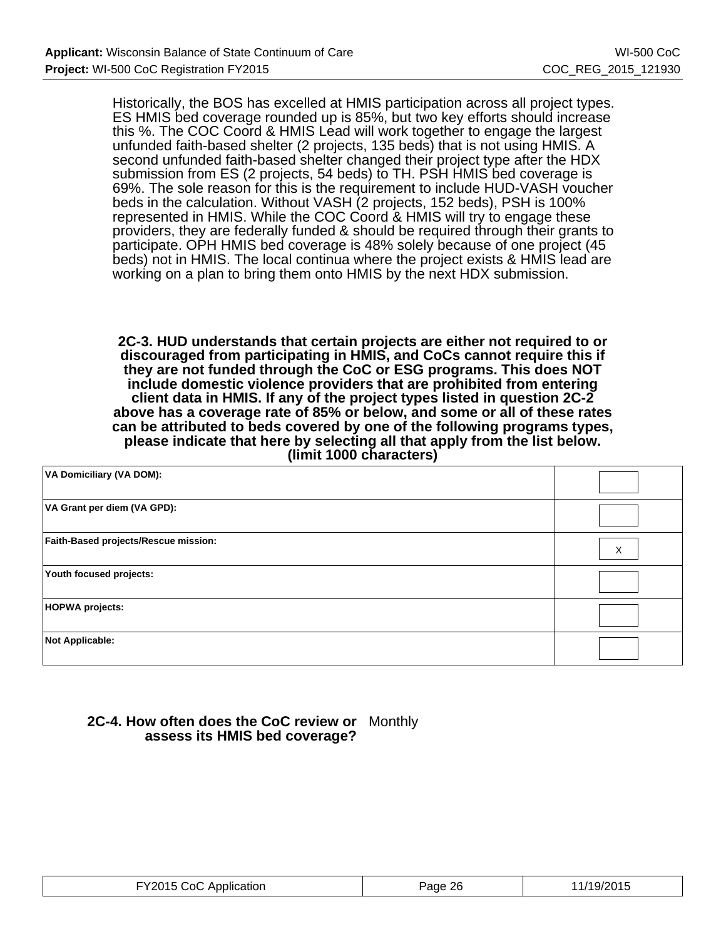Historically, the BOS has excelled at HMIS participation across all project types. ES HMIS bed coverage rounded up is 85%, but two key efforts should increase this %. The COC Coord & HMIS Lead will work together to engage the largest unfunded faith-based shelter (2 projects, 135 beds) that is not using HMIS. A second unfunded faith-based shelter changed their project type after the HDX submission from ES (2 projects, 54 beds) to TH. PSH HMIS bed coverage is 69%. The sole reason for this is the requirement to include HUD-VASH voucher beds in the calculation. Without VASH (2 projects, 152 beds), PSH is 100% represented in HMIS. While the COC Coord & HMIS will try to engage these providers, they are federally funded & should be required through their grants to participate. OPH HMIS bed coverage is 48% solely because of one project (45 beds) not in HMIS. The local continua where the project exists & HMIS lead are working on a plan to bring them onto HMIS by the next HDX submission.

**2C-3. HUD understands that certain projects are either not required to or discouraged from participating in HMIS, and CoCs cannot require this if they are not funded through the CoC or ESG programs. This does NOT include domestic violence providers that are prohibited from entering client data in HMIS. If any of the project types listed in question 2C-2 above has a coverage rate of 85% or below, and some or all of these rates can be attributed to beds covered by one of the following programs types, please indicate that here by selecting all that apply from the list below. (limit 1000 characters)**

| VA Domiciliary (VA DOM):             |   |
|--------------------------------------|---|
| VA Grant per diem (VA GPD):          |   |
| Faith-Based projects/Rescue mission: | X |
| Youth focused projects:              |   |
| <b>HOPWA projects:</b>               |   |
| <b>Not Applicable:</b>               |   |

## **2C-4. How often does the CoC review or** Monthly **assess its HMIS bed coverage?**

| FY2015 CoC Application | 1/19/2015<br>Page 26 |  |
|------------------------|----------------------|--|
|------------------------|----------------------|--|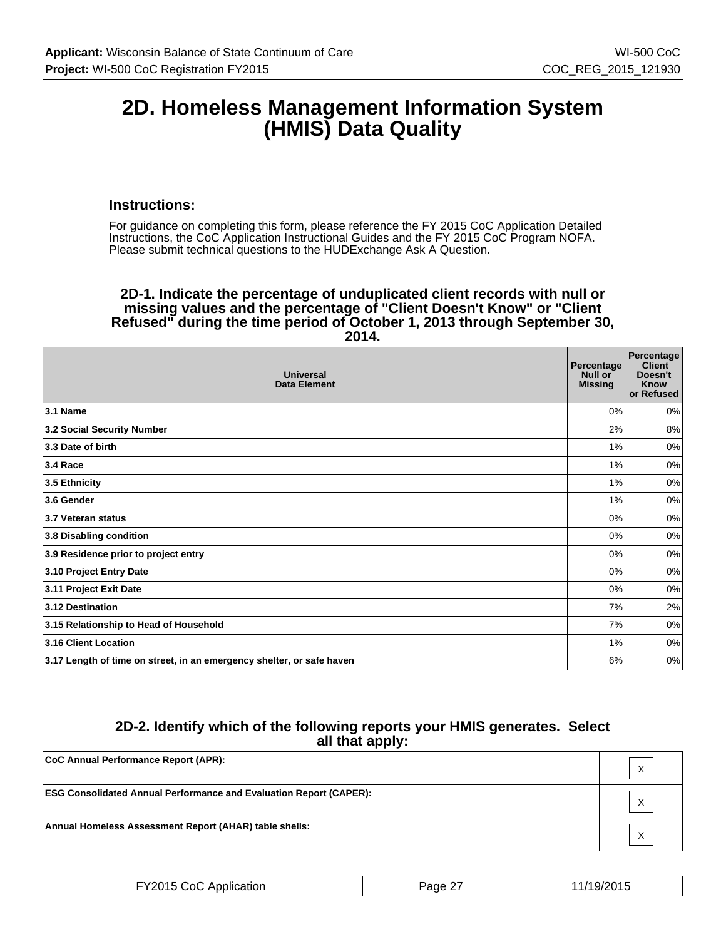## **2D. Homeless Management Information System (HMIS) Data Quality**

### **Instructions:**

For guidance on completing this form, please reference the FY 2015 CoC Application Detailed Instructions, the CoC Application Instructional Guides and the FY 2015 CoC Program NOFA. Please submit technical questions to the HUDExchange Ask A Question.

### **2D-1. Indicate the percentage of unduplicated client records with null or missing values and the percentage of "Client Doesn't Know" or "Client Refused" during the time period of October 1, 2013 through September 30, 2014.**

| <b>Universal</b><br>Data Element                                      | Percentage<br><b>Null or</b><br><b>Missing</b> | Percentage<br><b>Client</b><br>Doesn't<br>Know<br>or Refused |
|-----------------------------------------------------------------------|------------------------------------------------|--------------------------------------------------------------|
| 3.1 Name                                                              | 0%                                             | 0%                                                           |
| 3.2 Social Security Number                                            | 2%                                             | 8%                                                           |
| 3.3 Date of birth                                                     | 1%                                             | 0%                                                           |
| 3.4 Race                                                              | 1%                                             | 0%                                                           |
| 3.5 Ethnicity                                                         | 1%                                             | $0\%$                                                        |
| 3.6 Gender                                                            | 1%                                             | 0%                                                           |
| 3.7 Veteran status                                                    | 0%                                             | 0%                                                           |
| 3.8 Disabling condition                                               | $0\%$                                          | 0%                                                           |
| 3.9 Residence prior to project entry                                  | 0%                                             | 0%                                                           |
| 3.10 Project Entry Date                                               | $0\%$                                          | 0%                                                           |
| 3.11 Project Exit Date                                                | $0\%$                                          | 0%                                                           |
| 3.12 Destination                                                      | 7%                                             | 2%                                                           |
| 3.15 Relationship to Head of Household                                | 7%                                             | 0%                                                           |
| 3.16 Client Location                                                  | 1%                                             | 0%                                                           |
| 3.17 Length of time on street, in an emergency shelter, or safe haven | 6%                                             | 0%                                                           |

## **2D-2. Identify which of the following reports your HMIS generates. Select all that apply:**

| CoC Annual Performance Report (APR):                                      | X        |
|---------------------------------------------------------------------------|----------|
| <b>ESG Consolidated Annual Performance and Evaluation Report (CAPER):</b> | $\times$ |
| Annual Homeless Assessment Report (AHAR) table shells:                    | $\times$ |

| FY2015<br>5 CoC Application<br>______________<br>. | $-$<br>Page | /19/2015 |
|----------------------------------------------------|-------------|----------|
|----------------------------------------------------|-------------|----------|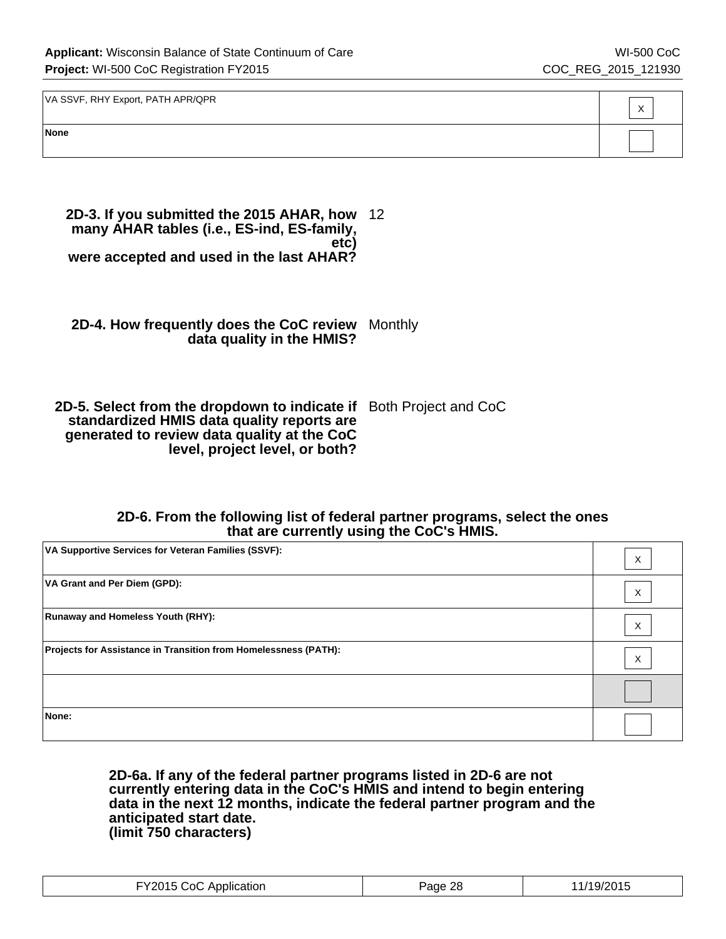X

| VA SSVF, RHY Export, PATH APR/QPR |  |
|-----------------------------------|--|
|-----------------------------------|--|

**None**

**2D-3. If you submitted the 2015 AHAR, how** 12 **many AHAR tables (i.e., ES-ind, ES-family, etc) were accepted and used in the last AHAR?**

**2D-4. How frequently does the CoC review** Monthly **data quality in the HMIS?**

**2D-5. Select from the dropdown to indicate if** Both Project and CoC **standardized HMIS data quality reports are generated to review data quality at the CoC level, project level, or both?**

## **2D-6. From the following list of federal partner programs, select the ones that are currently using the CoC's HMIS.**

| VA Supportive Services for Veteran Families (SSVF):             | X |
|-----------------------------------------------------------------|---|
| VA Grant and Per Diem (GPD):                                    | Х |
| <b>Runaway and Homeless Youth (RHY):</b>                        | X |
| Projects for Assistance in Transition from Homelessness (PATH): | X |
|                                                                 |   |
| None:                                                           |   |

**2D-6a. If any of the federal partner programs listed in 2D-6 are not currently entering data in the CoC's HMIS and intend to begin entering data in the next 12 months, indicate the federal partner program and the anticipated start date. (limit 750 characters)**

| FY2015 CoC Application | Page 28 | 11/19/2015 |
|------------------------|---------|------------|
|------------------------|---------|------------|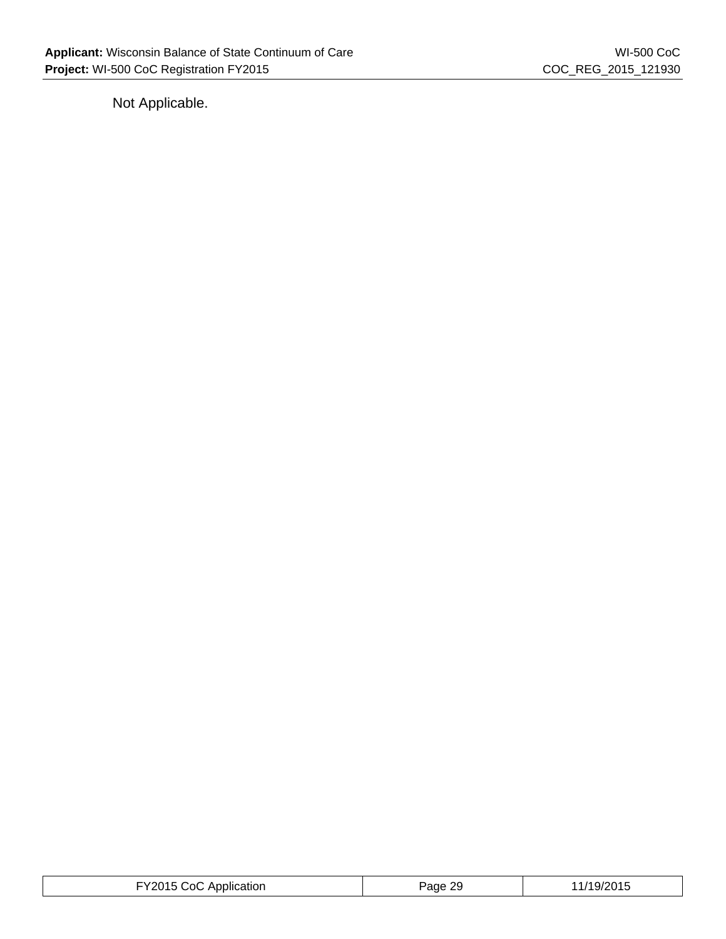Not Applicable.

| FY2015 CoC Application | Page 29 | 1/19/2015 |
|------------------------|---------|-----------|
|------------------------|---------|-----------|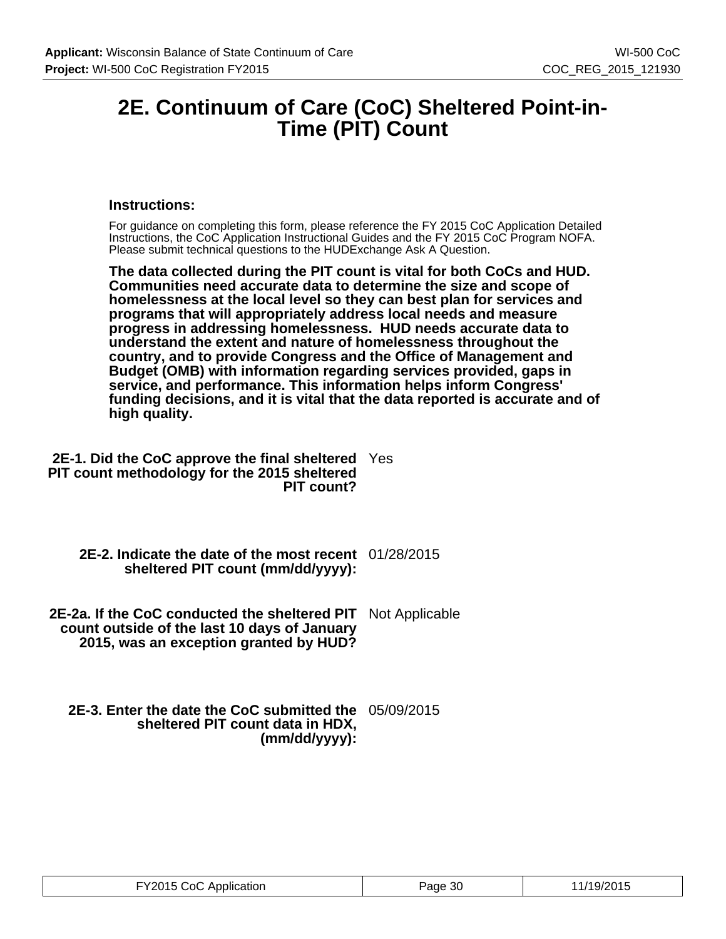## **2E. Continuum of Care (CoC) Sheltered Point-in-Time (PIT) Count**

## **Instructions:**

For guidance on completing this form, please reference the FY 2015 CoC Application Detailed Instructions, the CoC Application Instructional Guides and the FY 2015 CoC Program NOFA. Please submit technical questions to the HUDExchange Ask A Question.

**The data collected during the PIT count is vital for both CoCs and HUD. Communities need accurate data to determine the size and scope of homelessness at the local level so they can best plan for services and programs that will appropriately address local needs and measure progress in addressing homelessness. HUD needs accurate data to understand the extent and nature of homelessness throughout the country, and to provide Congress and the Office of Management and Budget (OMB) with information regarding services provided, gaps in service, and performance. This information helps inform Congress' funding decisions, and it is vital that the data reported is accurate and of high quality.**

**2E-1. Did the CoC approve the final sheltered** Yes **PIT count methodology for the 2015 sheltered PIT count?**

**2E-2. Indicate the date of the most recent** 01/28/2015 **sheltered PIT count (mm/dd/yyyy):**

**2E-2a. If the CoC conducted the sheltered PIT** Not Applicable **count outside of the last 10 days of January 2015, was an exception granted by HUD?**

**2E-3. Enter the date the CoC submitted the** 05/09/2015 **sheltered PIT count data in HDX, (mm/dd/yyyy):**

| FY2015 CoC Application | Page 30 | 11/19/2015 |
|------------------------|---------|------------|
|------------------------|---------|------------|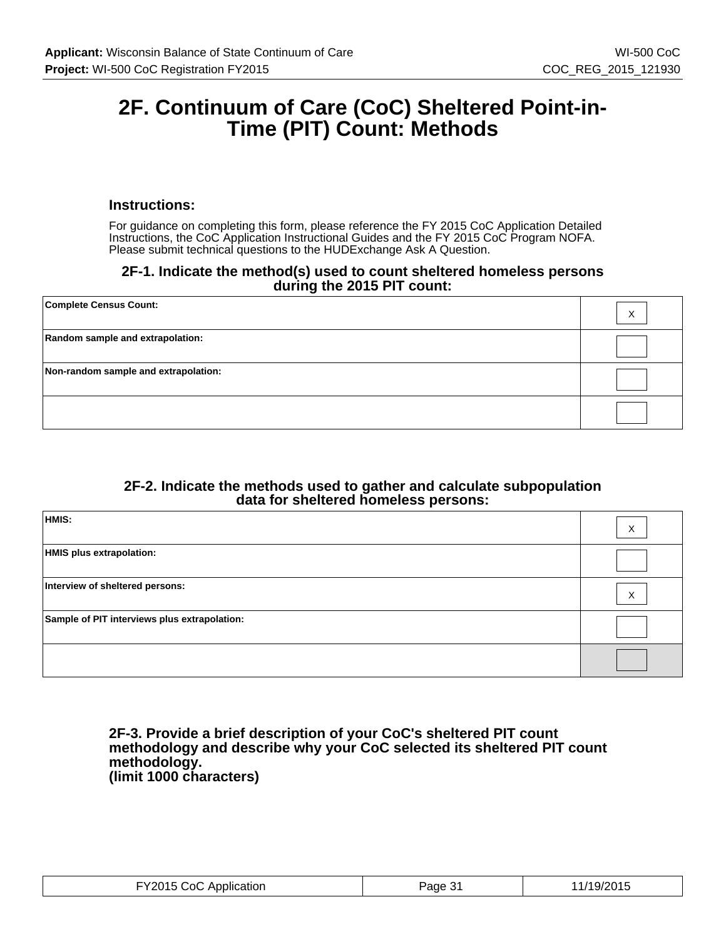## **2F. Continuum of Care (CoC) Sheltered Point-in-Time (PIT) Count: Methods**

## **Instructions:**

For guidance on completing this form, please reference the FY 2015 CoC Application Detailed Instructions, the CoC Application Instructional Guides and the FY 2015 CoC Program NOFA. Please submit technical questions to the HUDExchange Ask A Question.

## **2F-1. Indicate the method(s) used to count sheltered homeless persons during the 2015 PIT count:**

| Complete Census Count:               | X |
|--------------------------------------|---|
| Random sample and extrapolation:     |   |
| Non-random sample and extrapolation: |   |
|                                      |   |

## **2F-2. Indicate the methods used to gather and calculate subpopulation data for sheltered homeless persons:**

| HMIS:                                        | Χ                 |
|----------------------------------------------|-------------------|
| HMIS plus extrapolation:                     |                   |
| Interview of sheltered persons:              | $\checkmark$<br>∧ |
| Sample of PIT interviews plus extrapolation: |                   |
|                                              |                   |

### **2F-3. Provide a brief description of your CoC's sheltered PIT count methodology and describe why your CoC selected its sheltered PIT count methodology. (limit 1000 characters)**

| FY2015 CoC Application | Page 31 | 11/19/2015 |
|------------------------|---------|------------|
|------------------------|---------|------------|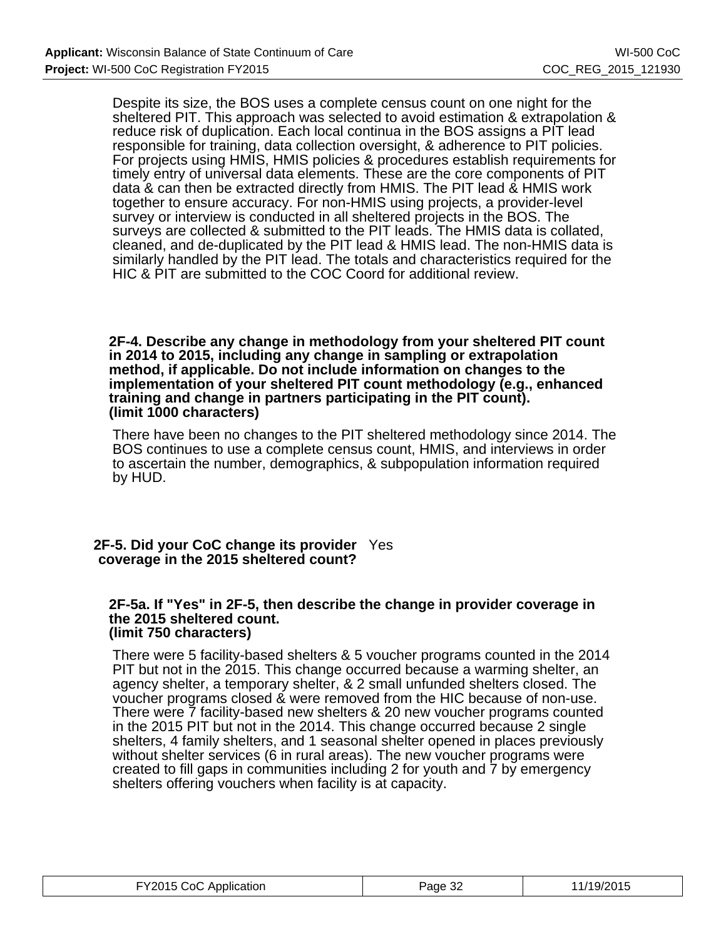Despite its size, the BOS uses a complete census count on one night for the sheltered PIT. This approach was selected to avoid estimation & extrapolation & reduce risk of duplication. Each local continua in the BOS assigns a PIT lead responsible for training, data collection oversight, & adherence to PIT policies. For projects using HMIS, HMIS policies & procedures establish requirements for timely entry of universal data elements. These are the core components of PIT data & can then be extracted directly from HMIS. The PIT lead & HMIS work together to ensure accuracy. For non-HMIS using projects, a provider-level survey or interview is conducted in all sheltered projects in the BOS. The surveys are collected & submitted to the PIT leads. The HMIS data is collated, cleaned, and de-duplicated by the PIT lead & HMIS lead. The non-HMIS data is similarly handled by the PIT lead. The totals and characteristics required for the HIC & PIT are submitted to the COC Coord for additional review.

**2F-4. Describe any change in methodology from your sheltered PIT count in 2014 to 2015, including any change in sampling or extrapolation method, if applicable. Do not include information on changes to the implementation of your sheltered PIT count methodology (e.g., enhanced training and change in partners participating in the PIT count). (limit 1000 characters)**

There have been no changes to the PIT sheltered methodology since 2014. The BOS continues to use a complete census count, HMIS, and interviews in order to ascertain the number, demographics, & subpopulation information required by HUD.

**2F-5. Did your CoC change its provider** Yes **coverage in the 2015 sheltered count?**

#### **2F-5a. If "Yes" in 2F-5, then describe the change in provider coverage in the 2015 sheltered count. (limit 750 characters)**

There were 5 facility-based shelters & 5 voucher programs counted in the 2014 PIT but not in the 2015. This change occurred because a warming shelter, an agency shelter, a temporary shelter, & 2 small unfunded shelters closed. The voucher programs closed & were removed from the HIC because of non-use. There were 7 facility-based new shelters & 20 new voucher programs counted in the 2015 PIT but not in the 2014. This change occurred because 2 single shelters, 4 family shelters, and 1 seasonal shelter opened in places previously without shelter services (6 in rural areas). The new voucher programs were created to fill gaps in communities including 2 for youth and 7 by emergency shelters offering vouchers when facility is at capacity.

| FY2015 CoC Application | Page 32 | 11/19/2015 |
|------------------------|---------|------------|
|------------------------|---------|------------|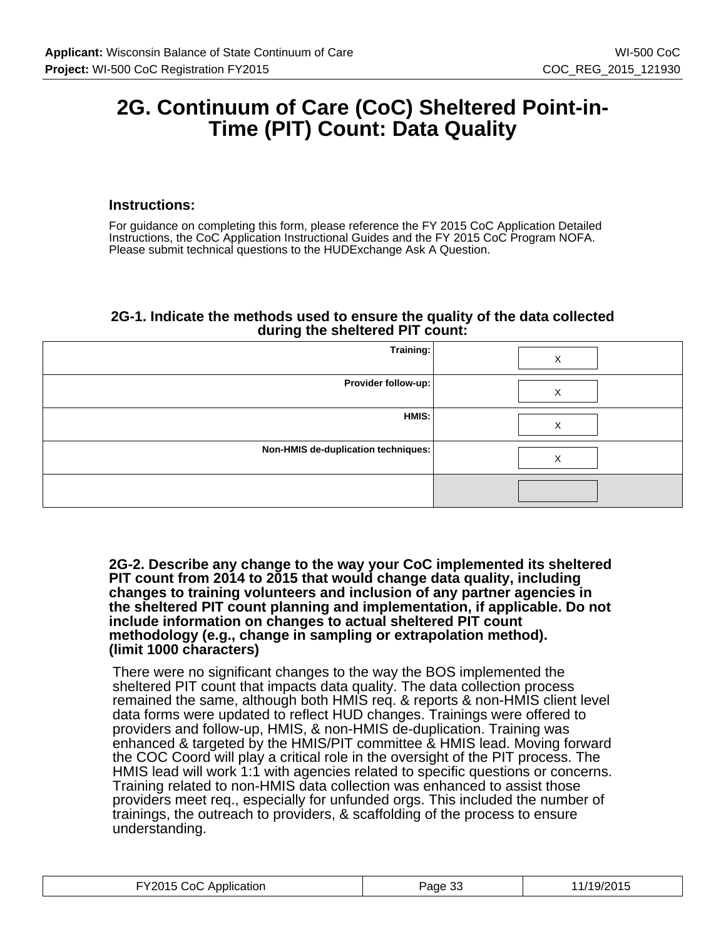## **2G. Continuum of Care (CoC) Sheltered Point-in-Time (PIT) Count: Data Quality**

## **Instructions:**

For guidance on completing this form, please reference the FY 2015 CoC Application Detailed Instructions, the CoC Application Instructional Guides and the FY 2015 CoC Program NOFA. Please submit technical questions to the HUDExchange Ask A Question.

## **2G-1. Indicate the methods used to ensure the quality of the data collected during the sheltered PIT count:**

| Training:                           | ∧                |
|-------------------------------------|------------------|
| Provider follow-up:                 | х                |
| HMIS:                               | $\check{ }$<br>∧ |
| Non-HMIS de-duplication techniques: | ∧                |
|                                     |                  |

**2G-2. Describe any change to the way your CoC implemented its sheltered PIT count from 2014 to 2015 that would change data quality, including changes to training volunteers and inclusion of any partner agencies in the sheltered PIT count planning and implementation, if applicable. Do not include information on changes to actual sheltered PIT count methodology (e.g., change in sampling or extrapolation method). (limit 1000 characters)**

There were no significant changes to the way the BOS implemented the sheltered PIT count that impacts data quality. The data collection process remained the same, although both HMIS req. & reports & non-HMIS client level data forms were updated to reflect HUD changes. Trainings were offered to providers and follow-up, HMIS, & non-HMIS de-duplication. Training was enhanced & targeted by the HMIS/PIT committee & HMIS lead. Moving forward the COC Coord will play a critical role in the oversight of the PIT process. The HMIS lead will work 1:1 with agencies related to specific questions or concerns. Training related to non-HMIS data collection was enhanced to assist those providers meet req., especially for unfunded orgs. This included the number of trainings, the outreach to providers, & scaffolding of the process to ensure understanding.

| FY2015 CoC Application | Page 33 | 11/19/2015 |
|------------------------|---------|------------|
|------------------------|---------|------------|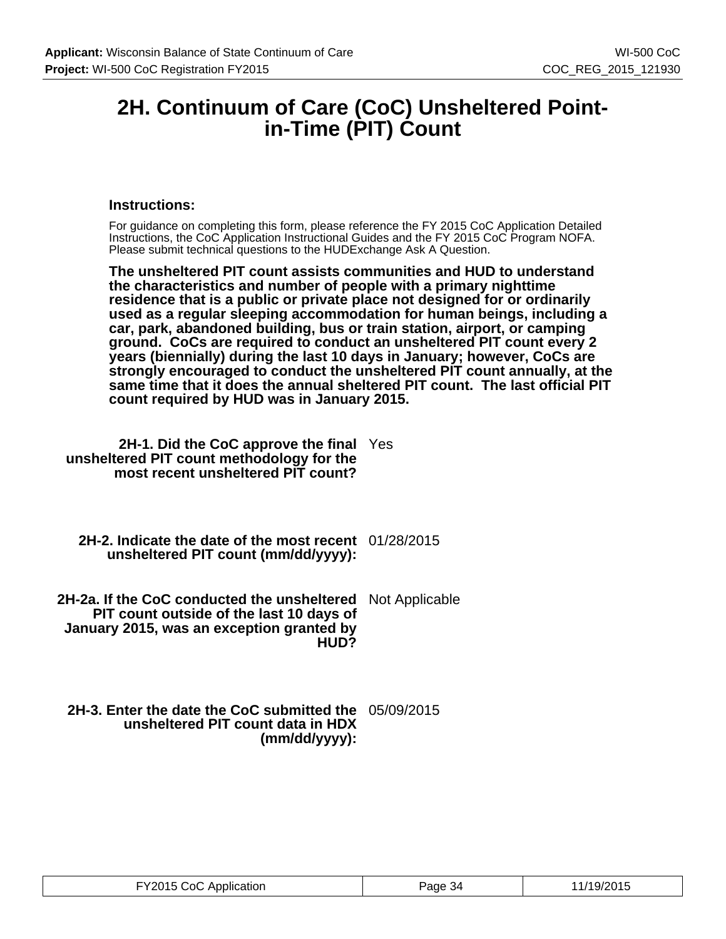## **2H. Continuum of Care (CoC) Unsheltered Pointin-Time (PIT) Count**

## **Instructions:**

For guidance on completing this form, please reference the FY 2015 CoC Application Detailed Instructions, the CoC Application Instructional Guides and the FY 2015 CoC Program NOFA. Please submit technical questions to the HUDExchange Ask A Question.

**The unsheltered PIT count assists communities and HUD to understand the characteristics and number of people with a primary nighttime residence that is a public or private place not designed for or ordinarily used as a regular sleeping accommodation for human beings, including a car, park, abandoned building, bus or train station, airport, or camping ground. CoCs are required to conduct an unsheltered PIT count every 2 years (biennially) during the last 10 days in January; however, CoCs are strongly encouraged to conduct the unsheltered PIT count annually, at the same time that it does the annual sheltered PIT count. The last official PIT count required by HUD was in January 2015.**

**2H-1. Did the CoC approve the final** Yes **unsheltered PIT count methodology for the most recent unsheltered PIT count?**

**2H-2. Indicate the date of the most recent** 01/28/2015 **unsheltered PIT count (mm/dd/yyyy):**

**2H-2a. If the CoC conducted the unsheltered PIT count outside of the last 10 days of January 2015, was an exception granted by HUD?** Not Applicable

**2H-3. Enter the date the CoC submitted the** 05/09/2015 **unsheltered PIT count data in HDX (mm/dd/yyyy):**

| FY2015 CoC Application | Page 34 | 11/19/2015 |
|------------------------|---------|------------|
|------------------------|---------|------------|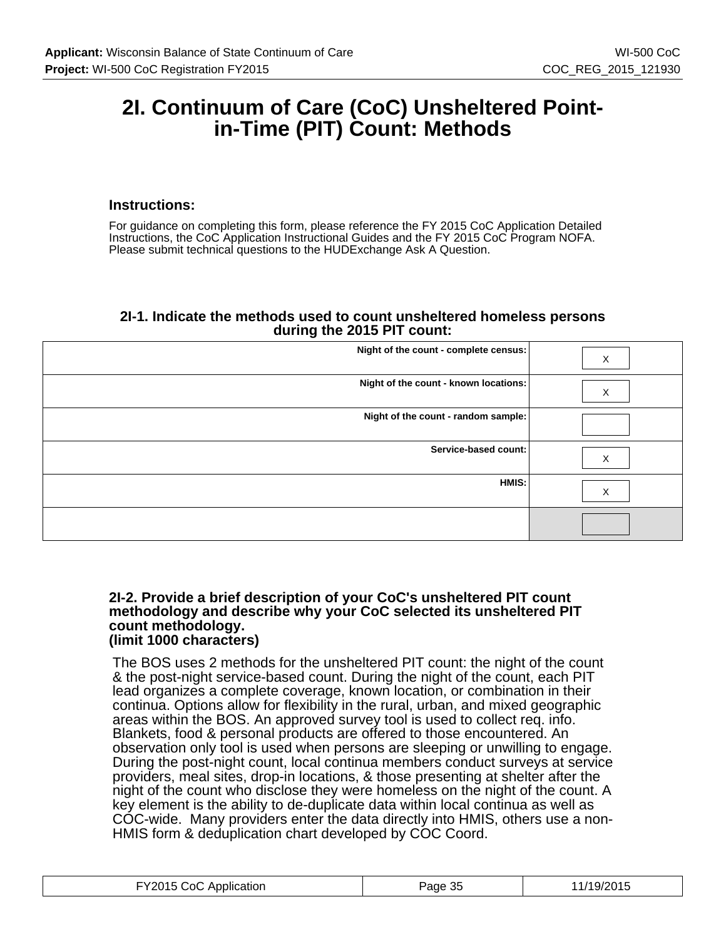## **2I. Continuum of Care (CoC) Unsheltered Pointin-Time (PIT) Count: Methods**

## **Instructions:**

For guidance on completing this form, please reference the FY 2015 CoC Application Detailed Instructions, the CoC Application Instructional Guides and the FY 2015 CoC Program NOFA. Please submit technical questions to the HUDExchange Ask A Question.

## **2I-1. Indicate the methods used to count unsheltered homeless persons during the 2015 PIT count:**

| Night of the count - complete census: | X |
|---------------------------------------|---|
| Night of the count - known locations: | X |
| Night of the count - random sample:   |   |
| Service-based count:                  | X |
| HMIS:                                 | X |
|                                       |   |

### **2I-2. Provide a brief description of your CoC's unsheltered PIT count methodology and describe why your CoC selected its unsheltered PIT count methodology. (limit 1000 characters)**

The BOS uses 2 methods for the unsheltered PIT count: the night of the count & the post-night service-based count. During the night of the count, each PIT lead organizes a complete coverage, known location, or combination in their continua. Options allow for flexibility in the rural, urban, and mixed geographic areas within the BOS. An approved survey tool is used to collect req. info. Blankets, food & personal products are offered to those encountered. An observation only tool is used when persons are sleeping or unwilling to engage. During the post-night count, local continua members conduct surveys at service providers, meal sites, drop-in locations, & those presenting at shelter after the night of the count who disclose they were homeless on the night of the count. A key element is the ability to de-duplicate data within local continua as well as COC-wide. Many providers enter the data directly into HMIS, others use a non-HMIS form & deduplication chart developed by COC Coord.

| FY2015 CoC Application | Page 35 | 11/19/2015 |
|------------------------|---------|------------|
|------------------------|---------|------------|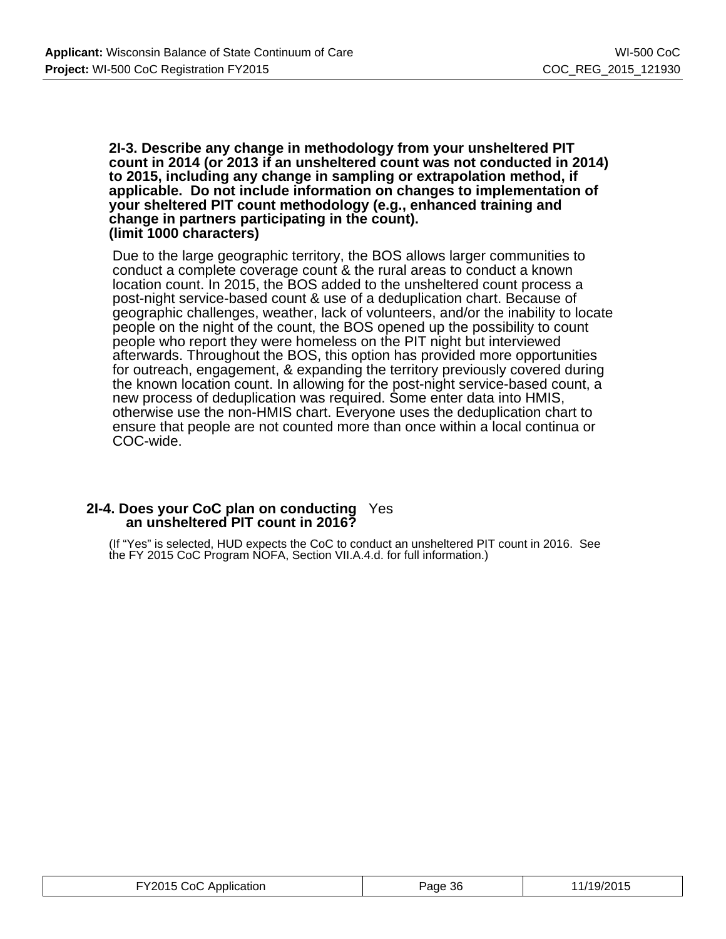**2I-3. Describe any change in methodology from your unsheltered PIT count in 2014 (or 2013 if an unsheltered count was not conducted in 2014) to 2015, including any change in sampling or extrapolation method, if applicable. Do not include information on changes to implementation of your sheltered PIT count methodology (e.g., enhanced training and change in partners participating in the count). (limit 1000 characters)**

Due to the large geographic territory, the BOS allows larger communities to conduct a complete coverage count & the rural areas to conduct a known location count. In 2015, the BOS added to the unsheltered count process a post-night service-based count & use of a deduplication chart. Because of geographic challenges, weather, lack of volunteers, and/or the inability to locate people on the night of the count, the BOS opened up the possibility to count people who report they were homeless on the PIT night but interviewed afterwards. Throughout the BOS, this option has provided more opportunities for outreach, engagement, & expanding the territory previously covered during the known location count. In allowing for the post-night service-based count, a new process of deduplication was required. Some enter data into HMIS, otherwise use the non-HMIS chart. Everyone uses the deduplication chart to ensure that people are not counted more than once within a local continua or COC-wide.

## **2I-4. Does your CoC plan on conducting** Yes  **an unsheltered PIT count in 2016?**

(If "Yes" is selected, HUD expects the CoC to conduct an unsheltered PIT count in 2016. See the FY 2015 CoC Program NOFA, Section VII.A.4.d. for full information.)

| FY2015 CoC Application | Page 36 | 11/19/2015 |
|------------------------|---------|------------|
|------------------------|---------|------------|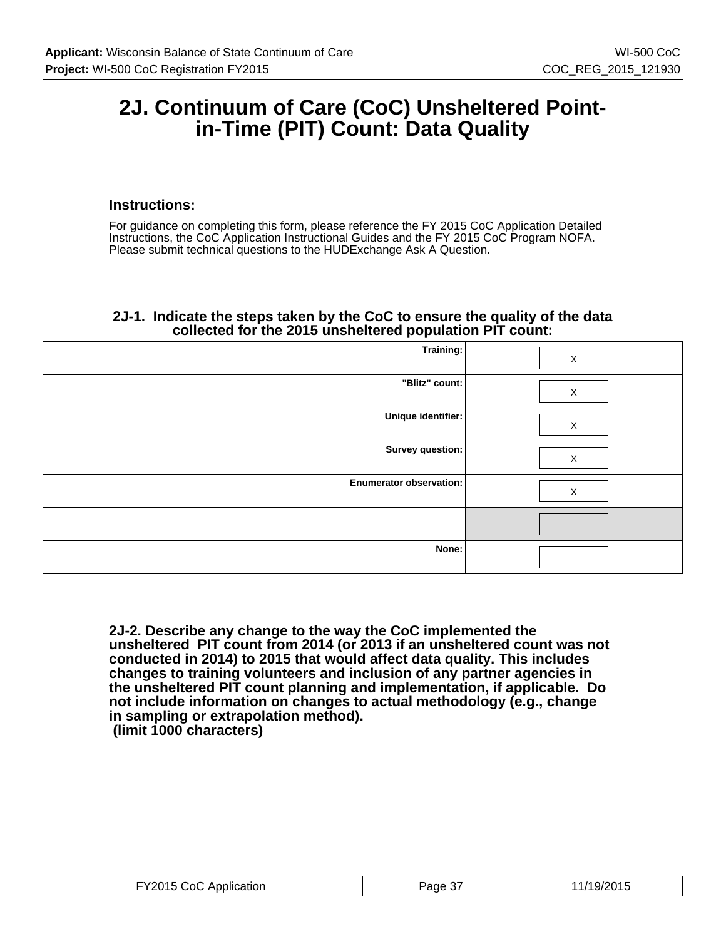## **2J. Continuum of Care (CoC) Unsheltered Pointin-Time (PIT) Count: Data Quality**

## **Instructions:**

For guidance on completing this form, please reference the FY 2015 CoC Application Detailed Instructions, the CoC Application Instructional Guides and the FY 2015 CoC Program NOFA. Please submit technical questions to the HUDExchange Ask A Question.

## **2J-1. Indicate the steps taken by the CoC to ensure the quality of the data collected for the 2015 unsheltered population PIT count:**

| Training:                      | X           |
|--------------------------------|-------------|
| "Blitz" count:                 | $\mathsf X$ |
| Unique identifier:             | X           |
| Survey question:               | X           |
| <b>Enumerator observation:</b> | X           |
|                                |             |
| None:                          |             |

**2J-2. Describe any change to the way the CoC implemented the unsheltered PIT count from 2014 (or 2013 if an unsheltered count was not conducted in 2014) to 2015 that would affect data quality. This includes changes to training volunteers and inclusion of any partner agencies in the unsheltered PIT count planning and implementation, if applicable. Do not include information on changes to actual methodology (e.g., change in sampling or extrapolation method). (limit 1000 characters)**

| FY2015 CoC Application | Page 37 | 11/19/2015 |
|------------------------|---------|------------|
|------------------------|---------|------------|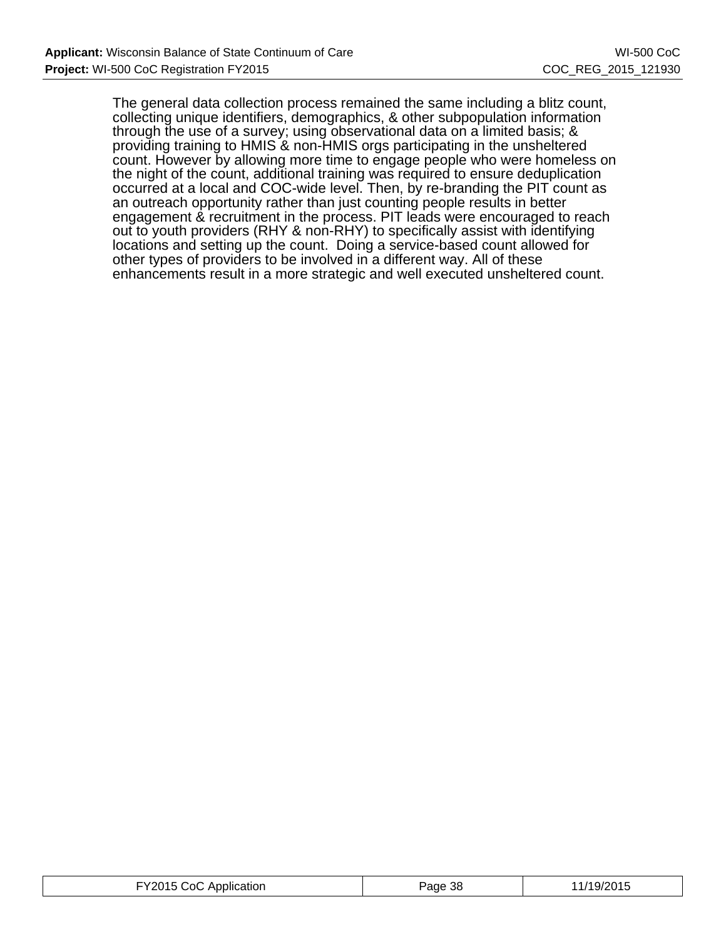The general data collection process remained the same including a blitz count, collecting unique identifiers, demographics, & other subpopulation information through the use of a survey; using observational data on a limited basis; & providing training to HMIS & non-HMIS orgs participating in the unsheltered count. However by allowing more time to engage people who were homeless on the night of the count, additional training was required to ensure deduplication occurred at a local and COC-wide level. Then, by re-branding the PIT count as an outreach opportunity rather than just counting people results in better engagement & recruitment in the process. PIT leads were encouraged to reach out to youth providers (RHY & non-RHY) to specifically assist with identifying locations and setting up the count. Doing a service-based count allowed for other types of providers to be involved in a different way. All of these enhancements result in a more strategic and well executed unsheltered count.

| FY2015 CoC Application | Page 38 | 1/19/2015 |
|------------------------|---------|-----------|
|------------------------|---------|-----------|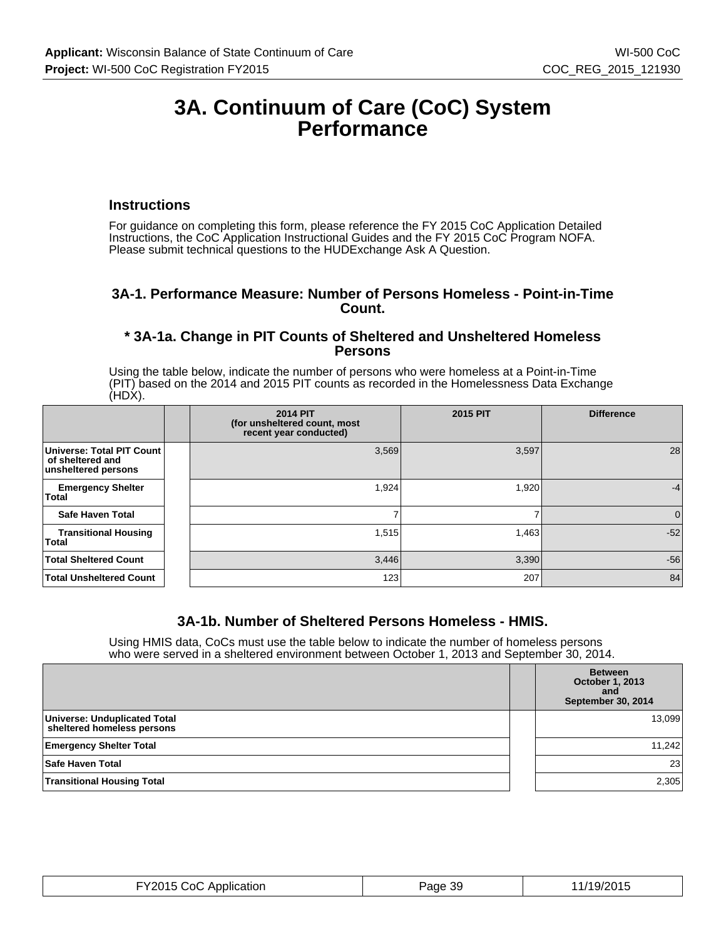## **3A. Continuum of Care (CoC) System Performance**

### **Instructions**

For guidance on completing this form, please reference the FY 2015 CoC Application Detailed Instructions, the CoC Application Instructional Guides and the FY 2015 CoC Program NOFA. Please submit technical questions to the HUDExchange Ask A Question.

## **3A-1. Performance Measure: Number of Persons Homeless - Point-in-Time Count.**

## **\* 3A-1a. Change in PIT Counts of Sheltered and Unsheltered Homeless Persons**

Using the table below, indicate the number of persons who were homeless at a Point-in-Time (PIT) based on the 2014 and 2015 PIT counts as recorded in the Homelessness Data Exchange (HDX).

|                                                                      | <b>2014 PIT</b><br>(for unsheltered count, most<br>recent year conducted) | <b>2015 PIT</b> | <b>Difference</b> |
|----------------------------------------------------------------------|---------------------------------------------------------------------------|-----------------|-------------------|
| Universe: Total PIT Count<br>of sheltered and<br>unsheltered persons | 3,569                                                                     | 3,597           | 28                |
| <b>Emergency Shelter</b><br><b>Total</b>                             | 1,924                                                                     | 1,920           | $-4$              |
| <b>Safe Haven Total</b>                                              |                                                                           |                 | 0                 |
| <b>Transitional Housing</b><br><b>Total</b>                          | 1,515                                                                     | 1,463           | $-52$             |
| <b>Total Sheltered Count</b>                                         | 3,446                                                                     | 3,390           | $-56$             |
| <b>Total Unsheltered Count</b>                                       | 123                                                                       | 207             | 84                |

## **3A-1b. Number of Sheltered Persons Homeless - HMIS.**

Using HMIS data, CoCs must use the table below to indicate the number of homeless persons who were served in a sheltered environment between October 1, 2013 and September 30, 2014.

|                                                            | <b>Between</b><br><b>October 1, 2013</b><br>and<br>September 30, 2014 |
|------------------------------------------------------------|-----------------------------------------------------------------------|
| Universe: Unduplicated Total<br>sheltered homeless persons | 13,099                                                                |
| <b>Emergency Shelter Total</b>                             | 11,242                                                                |
| Safe Haven Total                                           | 23                                                                    |
| <b>Transitional Housing Total</b>                          | 2,305                                                                 |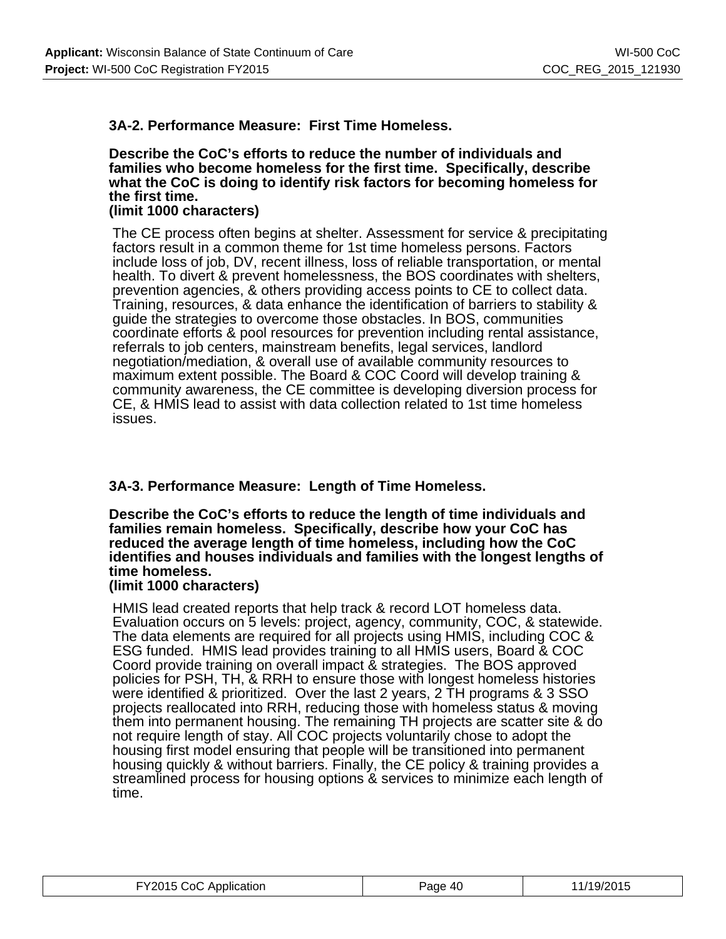## **3A-2. Performance Measure: First Time Homeless.**

**Describe the CoC's efforts to reduce the number of individuals and families who become homeless for the first time. Specifically, describe what the CoC is doing to identify risk factors for becoming homeless for the first time. (limit 1000 characters)**

The CE process often begins at shelter. Assessment for service & precipitating factors result in a common theme for 1st time homeless persons. Factors include loss of job, DV, recent illness, loss of reliable transportation, or mental health. To divert & prevent homelessness, the BOS coordinates with shelters, prevention agencies, & others providing access points to CE to collect data. Training, resources, & data enhance the identification of barriers to stability & guide the strategies to overcome those obstacles. In BOS, communities coordinate efforts & pool resources for prevention including rental assistance, referrals to job centers, mainstream benefits, legal services, landlord negotiation/mediation, & overall use of available community resources to maximum extent possible. The Board & COC Coord will develop training & community awareness, the CE committee is developing diversion process for CE, & HMIS lead to assist with data collection related to 1st time homeless issues.

## **3A-3. Performance Measure: Length of Time Homeless.**

**Describe the CoC's efforts to reduce the length of time individuals and families remain homeless. Specifically, describe how your CoC has reduced the average length of time homeless, including how the CoC identifies and houses individuals and families with the longest lengths of time homeless.**

## **(limit 1000 characters)**

HMIS lead created reports that help track & record LOT homeless data. Evaluation occurs on 5 levels: project, agency, community, COC, & statewide. The data elements are required for all projects using HMIS, including COC & ESG funded. HMIS lead provides training to all HMIS users, Board & COC Coord provide training on overall impact & strategies. The BOS approved policies for PSH, TH, & RRH to ensure those with longest homeless histories were identified & prioritized. Over the last 2 years, 2 TH programs & 3 SSO projects reallocated into RRH, reducing those with homeless status & moving them into permanent housing. The remaining TH projects are scatter site & do not require length of stay. All COC projects voluntarily chose to adopt the housing first model ensuring that people will be transitioned into permanent housing quickly & without barriers. Finally, the CE policy & training provides a streamlined process for housing options & services to minimize each length of time.

| FY2015 CoC Application | Page 40 | 11/19/2015 |
|------------------------|---------|------------|
|------------------------|---------|------------|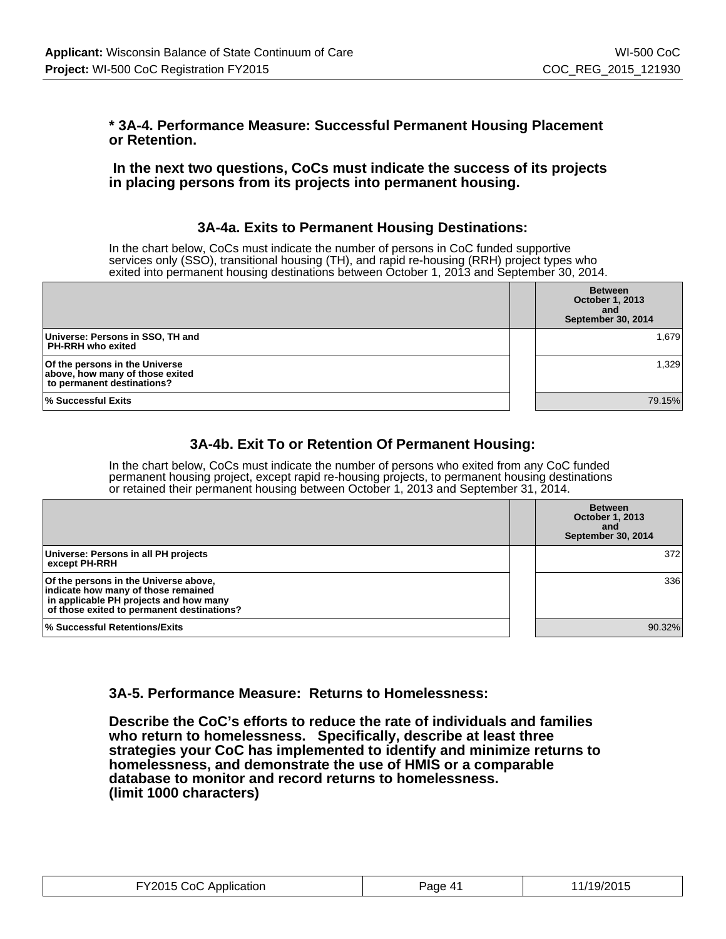## **\* 3A-4. Performance Measure: Successful Permanent Housing Placement or Retention.**

 **In the next two questions, CoCs must indicate the success of its projects in placing persons from its projects into permanent housing.**

## **3A-4a. Exits to Permanent Housing Destinations:**

In the chart below, CoCs must indicate the number of persons in CoC funded supportive services only (SSO), transitional housing (TH), and rapid re-housing (RRH) project types who exited into permanent housing destinations between October 1, 2013 and September 30, 2014.

|                                                                                                 | <b>Between</b><br><b>October 1, 2013</b><br>and<br><b>September 30, 2014</b> |
|-------------------------------------------------------------------------------------------------|------------------------------------------------------------------------------|
| Universe: Persons in SSO, TH and<br><b>PH-RRH who exited</b>                                    | 1,679                                                                        |
| Of the persons in the Universe<br>above, how many of those exited<br>to permanent destinations? | 1,329                                                                        |
| ∣% Successful Exits                                                                             | 79.15%                                                                       |

## **3A-4b. Exit To or Retention Of Permanent Housing:**

In the chart below, CoCs must indicate the number of persons who exited from any CoC funded permanent housing project, except rapid re-housing projects, to permanent housing destinations or retained their permanent housing between October 1, 2013 and September 31, 2014.

|                                                                                                                                                                      | <b>Between</b><br><b>October 1, 2013</b><br>and<br><b>September 30, 2014</b> |
|----------------------------------------------------------------------------------------------------------------------------------------------------------------------|------------------------------------------------------------------------------|
| Universe: Persons in all PH projects<br>except PH-RRH                                                                                                                | 372                                                                          |
| Of the persons in the Universe above,<br>indicate how many of those remained<br>in applicable PH projects and how many<br>of those exited to permanent destinations? | 336                                                                          |
| % Successful Retentions/Exits                                                                                                                                        | 90.32%                                                                       |

## **3A-5. Performance Measure: Returns to Homelessness:**

**Describe the CoC's efforts to reduce the rate of individuals and families who return to homelessness. Specifically, describe at least three strategies your CoC has implemented to identify and minimize returns to homelessness, and demonstrate the use of HMIS or a comparable database to monitor and record returns to homelessness. (limit 1000 characters)**

| FY2015 CoC Application | Page 41 | 11/19/2015 |
|------------------------|---------|------------|
|------------------------|---------|------------|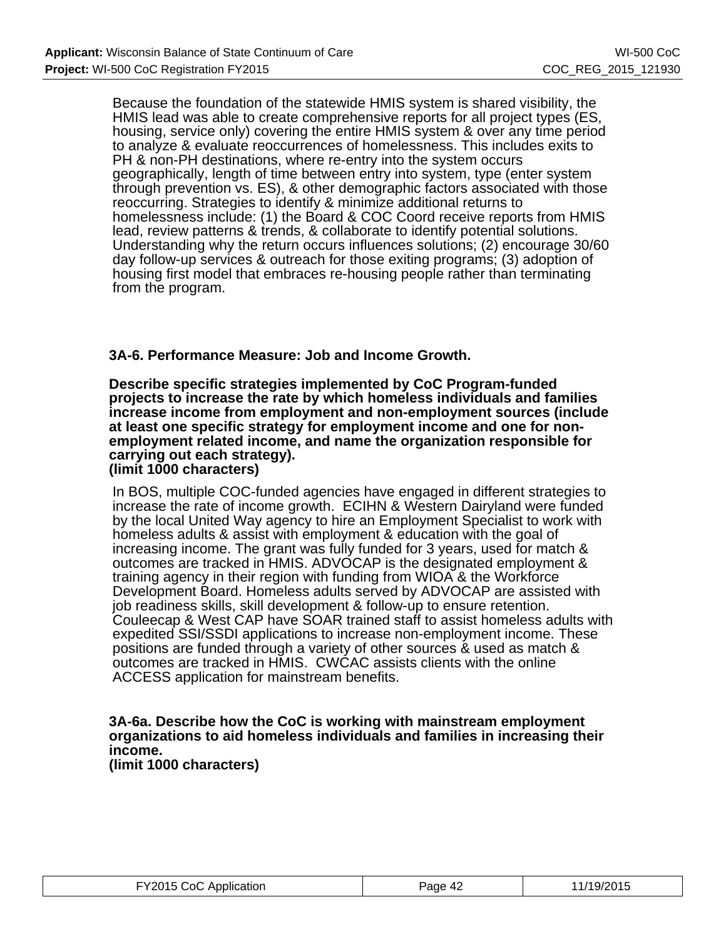Because the foundation of the statewide HMIS system is shared visibility, the HMIS lead was able to create comprehensive reports for all project types (ES, housing, service only) covering the entire HMIS system & over any time period to analyze & evaluate reoccurrences of homelessness. This includes exits to PH & non-PH destinations, where re-entry into the system occurs geographically, length of time between entry into system, type (enter system through prevention vs. ES), & other demographic factors associated with those reoccurring. Strategies to identify & minimize additional returns to homelessness include: (1) the Board & COC Coord receive reports from HMIS lead, review patterns & trends, & collaborate to identify potential solutions. Understanding why the return occurs influences solutions; (2) encourage 30/60 day follow-up services & outreach for those exiting programs; (3) adoption of housing first model that embraces re-housing people rather than terminating from the program.

**3A-6. Performance Measure: Job and Income Growth.**

**Describe specific strategies implemented by CoC Program-funded projects to increase the rate by which homeless individuals and families increase income from employment and non-employment sources (include at least one specific strategy for employment income and one for nonemployment related income, and name the organization responsible for carrying out each strategy).**

**(limit 1000 characters)**

In BOS, multiple COC-funded agencies have engaged in different strategies to increase the rate of income growth. ECIHN & Western Dairyland were funded by the local United Way agency to hire an Employment Specialist to work with homeless adults & assist with employment & education with the goal of increasing income. The grant was fully funded for 3 years, used for match & outcomes are tracked in HMIS. ADVOCAP is the designated employment & training agency in their region with funding from WIOA & the Workforce Development Board. Homeless adults served by ADVOCAP are assisted with job readiness skills, skill development & follow-up to ensure retention. Couleecap & West CAP have SOAR trained staff to assist homeless adults with expedited SSI/SSDI applications to increase non-employment income. These positions are funded through a variety of other sources & used as match & outcomes are tracked in HMIS. CWCAC assists clients with the online ACCESS application for mainstream benefits.

## **3A-6a. Describe how the CoC is working with mainstream employment organizations to aid homeless individuals and families in increasing their income.**

**(limit 1000 characters)**

| FY2015 CoC Application | Page 42 | 11/19/2015 |
|------------------------|---------|------------|
|------------------------|---------|------------|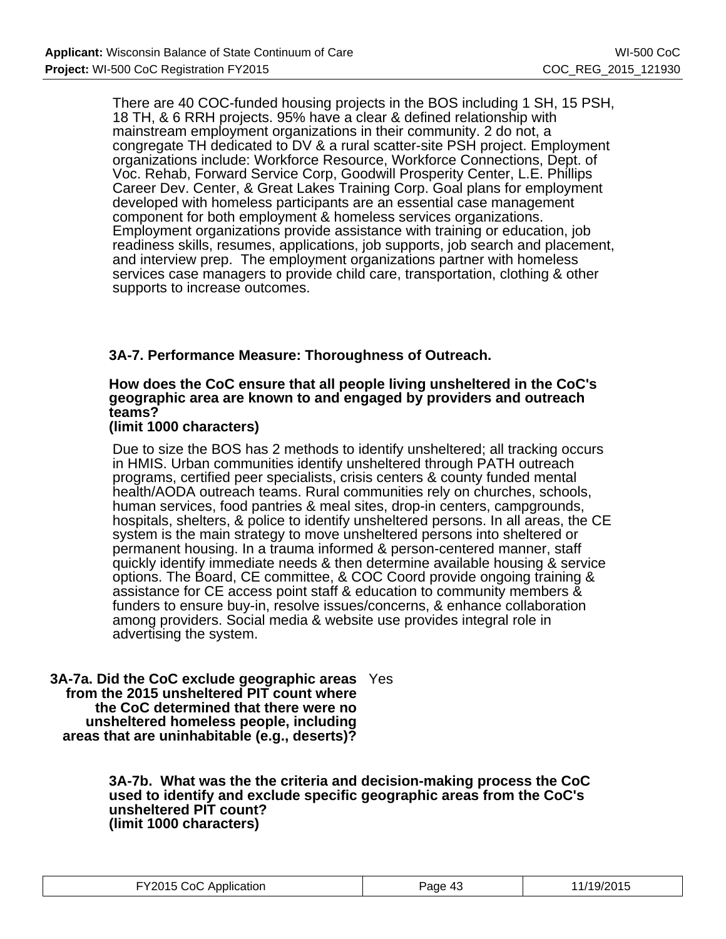There are 40 COC-funded housing projects in the BOS including 1 SH, 15 PSH, 18 TH, & 6 RRH projects. 95% have a clear & defined relationship with mainstream employment organizations in their community. 2 do not, a congregate TH dedicated to DV & a rural scatter-site PSH project. Employment organizations include: Workforce Resource, Workforce Connections, Dept. of Voc. Rehab, Forward Service Corp, Goodwill Prosperity Center, L.E. Phillips Career Dev. Center, & Great Lakes Training Corp. Goal plans for employment developed with homeless participants are an essential case management component for both employment & homeless services organizations. Employment organizations provide assistance with training or education, job readiness skills, resumes, applications, job supports, job search and placement, and interview prep. The employment organizations partner with homeless services case managers to provide child care, transportation, clothing & other supports to increase outcomes.

## **3A-7. Performance Measure: Thoroughness of Outreach.**

## **How does the CoC ensure that all people living unsheltered in the CoC's geographic area are known to and engaged by providers and outreach teams?**

## **(limit 1000 characters)**

Due to size the BOS has 2 methods to identify unsheltered; all tracking occurs in HMIS. Urban communities identify unsheltered through PATH outreach programs, certified peer specialists, crisis centers & county funded mental health/AODA outreach teams. Rural communities rely on churches, schools, human services, food pantries & meal sites, drop-in centers, campgrounds, hospitals, shelters, & police to identify unsheltered persons. In all areas, the CE system is the main strategy to move unsheltered persons into sheltered or permanent housing. In a trauma informed & person-centered manner, staff quickly identify immediate needs & then determine available housing & service options. The Board, CE committee, & COC Coord provide ongoing training & assistance for CE access point staff & education to community members & funders to ensure buy-in, resolve issues/concerns, & enhance collaboration among providers. Social media & website use provides integral role in advertising the system.

**3A-7a. Did the CoC exclude geographic areas** Yes  **from the 2015 unsheltered PIT count where the CoC determined that there were no unsheltered homeless people, including areas that are uninhabitable (e.g., deserts)?**

> **3A-7b. What was the the criteria and decision-making process the CoC used to identify and exclude specific geographic areas from the CoC's unsheltered PIT count? (limit 1000 characters)**

| FY2015 CoC Application | Page 43 | 11/19/2015 |
|------------------------|---------|------------|
|------------------------|---------|------------|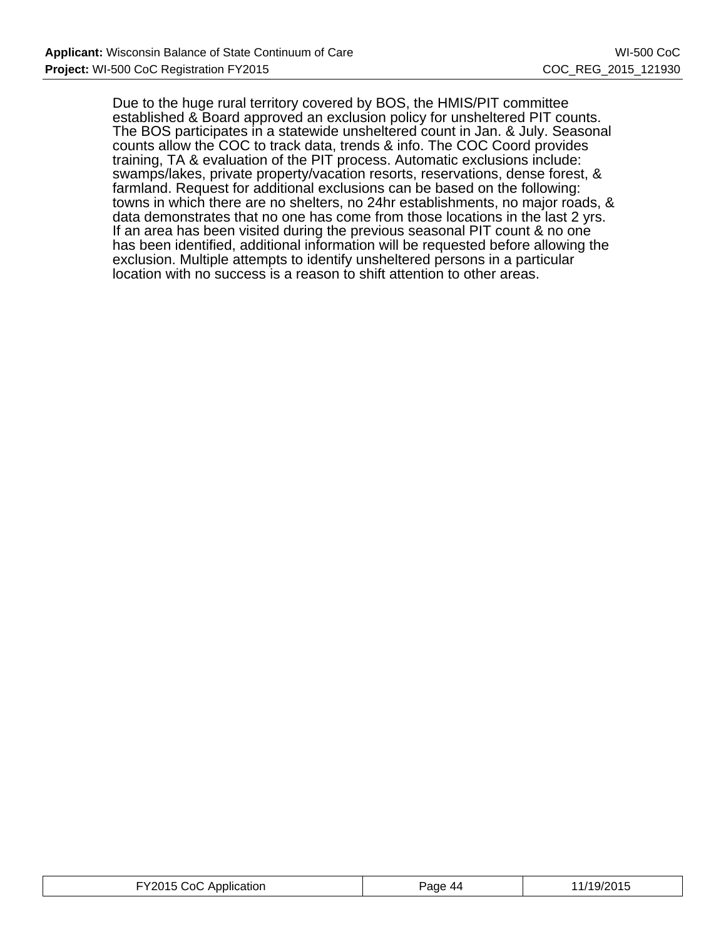Due to the huge rural territory covered by BOS, the HMIS/PIT committee established & Board approved an exclusion policy for unsheltered PIT counts. The BOS participates in a statewide unsheltered count in Jan. & July. Seasonal counts allow the COC to track data, trends & info. The COC Coord provides training, TA & evaluation of the PIT process. Automatic exclusions include: swamps/lakes, private property/vacation resorts, reservations, dense forest, & farmland. Request for additional exclusions can be based on the following: towns in which there are no shelters, no 24hr establishments, no major roads, & data demonstrates that no one has come from those locations in the last 2 yrs. If an area has been visited during the previous seasonal PIT count & no one has been identified, additional information will be requested before allowing the exclusion. Multiple attempts to identify unsheltered persons in a particular location with no success is a reason to shift attention to other areas.

| -Y2015 CoC Application<br>$\cdot$ $\cdot$ $\cdot$ $\cdot$ $\cdot$ $\cdot$ $\cdot$ $\cdot$ | Page 44 | 9/2015 |
|-------------------------------------------------------------------------------------------|---------|--------|
|-------------------------------------------------------------------------------------------|---------|--------|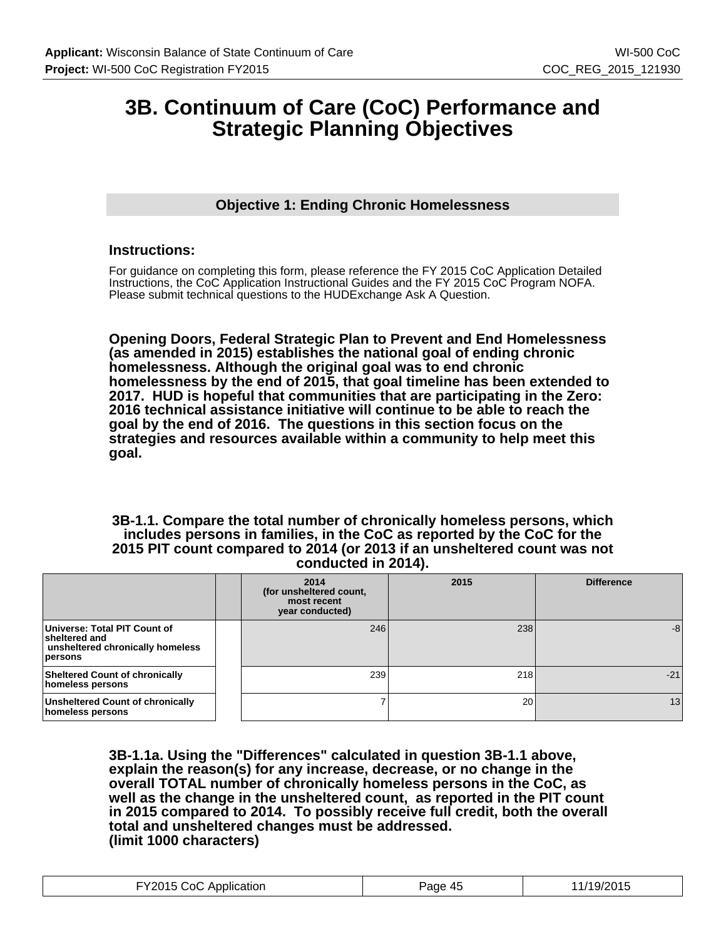## **3B. Continuum of Care (CoC) Performance and Strategic Planning Objectives**

## **Objective 1: Ending Chronic Homelessness**

## **Instructions:**

For guidance on completing this form, please reference the FY 2015 CoC Application Detailed Instructions, the CoC Application Instructional Guides and the FY 2015 CoC Program NOFA. Please submit technical questions to the HUDExchange Ask A Question.

**Opening Doors, Federal Strategic Plan to Prevent and End Homelessness (as amended in 2015) establishes the national goal of ending chronic homelessness. Although the original goal was to end chronic homelessness by the end of 2015, that goal timeline has been extended to 2017. HUD is hopeful that communities that are participating in the Zero: 2016 technical assistance initiative will continue to be able to reach the goal by the end of 2016. The questions in this section focus on the strategies and resources available within a community to help meet this goal.**

#### **3B-1.1. Compare the total number of chronically homeless persons, which includes persons in families, in the CoC as reported by the CoC for the 2015 PIT count compared to 2014 (or 2013 if an unsheltered count was not conducted in 2014).**

|                                                                                              | 2014<br>(for unsheltered count,<br>most recent<br>year conducted) | 2015 | <b>Difference</b> |
|----------------------------------------------------------------------------------------------|-------------------------------------------------------------------|------|-------------------|
| Universe: Total PIT Count of<br>sheltered and<br>unsheltered chronically homeless<br>persons | 246                                                               | 238  | -8                |
| <b>Sheltered Count of chronically</b><br>homeless persons                                    | 239                                                               | 218  | $-21$             |
| <b>Unsheltered Count of chronically</b><br>homeless persons                                  |                                                                   | 20   | 13                |

**3B-1.1a. Using the "Differences" calculated in question 3B-1.1 above, explain the reason(s) for any increase, decrease, or no change in the overall TOTAL number of chronically homeless persons in the CoC, as well as the change in the unsheltered count, as reported in the PIT count in 2015 compared to 2014. To possibly receive full credit, both the overall total and unsheltered changes must be addressed. (limit 1000 characters)**

| FY2015 CoC Application | Page 45 | 11/19/2015 |
|------------------------|---------|------------|
|------------------------|---------|------------|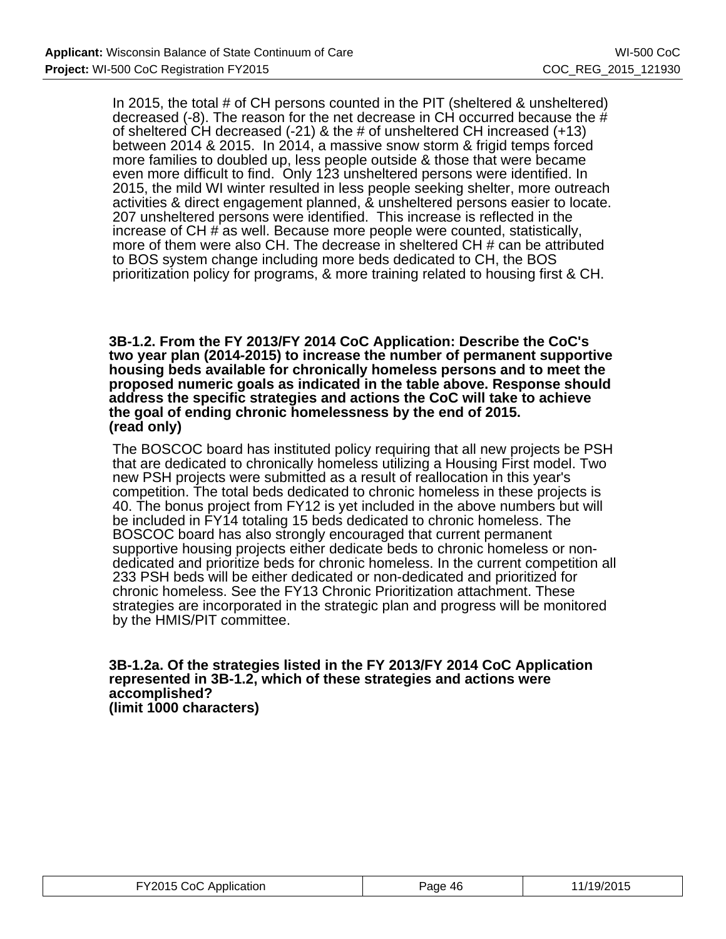In 2015, the total # of CH persons counted in the PIT (sheltered & unsheltered) decreased (-8). The reason for the net decrease in CH occurred because the  $\#$ of sheltered CH decreased (-21) & the # of unsheltered CH increased (+13) between 2014 & 2015. In 2014, a massive snow storm & frigid temps forced more families to doubled up, less people outside & those that were became even more difficult to find. Only 123 unsheltered persons were identified. In 2015, the mild WI winter resulted in less people seeking shelter, more outreach activities & direct engagement planned, & unsheltered persons easier to locate. 207 unsheltered persons were identified. This increase is reflected in the increase of CH # as well. Because more people were counted, statistically, more of them were also CH. The decrease in sheltered CH # can be attributed to BOS system change including more beds dedicated to CH, the BOS prioritization policy for programs, & more training related to housing first & CH.

**3B-1.2. From the FY 2013/FY 2014 CoC Application: Describe the CoC's two year plan (2014-2015) to increase the number of permanent supportive housing beds available for chronically homeless persons and to meet the proposed numeric goals as indicated in the table above. Response should address the specific strategies and actions the CoC will take to achieve the goal of ending chronic homelessness by the end of 2015. (read only)**

The BOSCOC board has instituted policy requiring that all new projects be PSH that are dedicated to chronically homeless utilizing a Housing First model. Two new PSH projects were submitted as a result of reallocation in this year's competition. The total beds dedicated to chronic homeless in these projects is 40. The bonus project from FY12 is yet included in the above numbers but will be included in FY14 totaling 15 beds dedicated to chronic homeless. The BOSCOC board has also strongly encouraged that current permanent supportive housing projects either dedicate beds to chronic homeless or nondedicated and prioritize beds for chronic homeless. In the current competition all 233 PSH beds will be either dedicated or non-dedicated and prioritized for chronic homeless. See the FY13 Chronic Prioritization attachment. These strategies are incorporated in the strategic plan and progress will be monitored by the HMIS/PIT committee.

#### **3B-1.2a. Of the strategies listed in the FY 2013/FY 2014 CoC Application represented in 3B-1.2, which of these strategies and actions were accomplished? (limit 1000 characters)**

| FY2015 CoC Application | Page 46 | 11/19/2015 |
|------------------------|---------|------------|
|------------------------|---------|------------|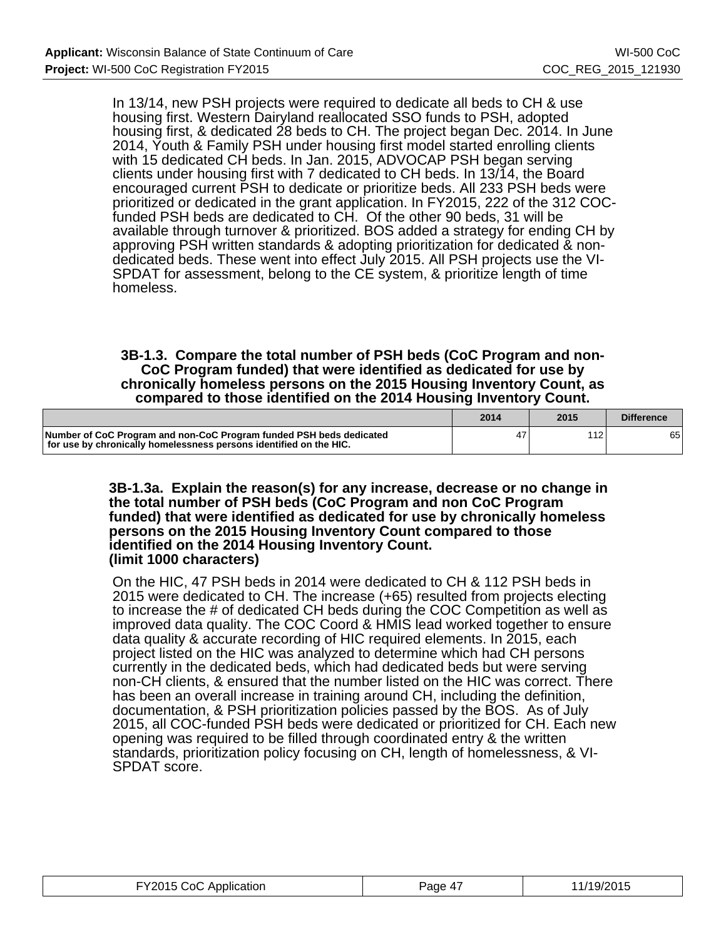In 13/14, new PSH projects were required to dedicate all beds to CH & use housing first. Western Dairyland reallocated SSO funds to PSH, adopted housing first, & dedicated 28 beds to CH. The project began Dec. 2014. In June 2014, Youth & Family PSH under housing first model started enrolling clients with 15 dedicated CH beds. In Jan. 2015, ADVOCAP PSH began serving clients under housing first with 7 dedicated to CH beds. In 13/14, the Board encouraged current PSH to dedicate or prioritize beds. All 233 PSH beds were prioritized or dedicated in the grant application. In FY2015, 222 of the 312 COCfunded PSH beds are dedicated to CH. Of the other 90 beds, 31 will be available through turnover & prioritized. BOS added a strategy for ending CH by approving PSH written standards & adopting prioritization for dedicated & nondedicated beds. These went into effect July 2015. All PSH projects use the VI-SPDAT for assessment, belong to the CE system, & prioritize length of time homeless.

## **3B-1.3. Compare the total number of PSH beds (CoC Program and non-CoC Program funded) that were identified as dedicated for use by chronically homeless persons on the 2015 Housing Inventory Count, as compared to those identified on the 2014 Housing Inventory Count.**

|                                                                                                                                           | 2014 | 2015            | <b>Difference</b> |
|-------------------------------------------------------------------------------------------------------------------------------------------|------|-----------------|-------------------|
| Number of CoC Program and non-CoC Program funded PSH beds dedicated<br>for use by chronically homelessness persons identified on the HIC. |      | .4 <sub>c</sub> | 65                |

### **3B-1.3a. Explain the reason(s) for any increase, decrease or no change in the total number of PSH beds (CoC Program and non CoC Program funded) that were identified as dedicated for use by chronically homeless persons on the 2015 Housing Inventory Count compared to those identified on the 2014 Housing Inventory Count. (limit 1000 characters)**

On the HIC, 47 PSH beds in 2014 were dedicated to CH & 112 PSH beds in 2015 were dedicated to CH. The increase (+65) resulted from projects electing to increase the # of dedicated CH beds during the COC Competition as well as improved data quality. The COC Coord & HMIS lead worked together to ensure data quality & accurate recording of HIC required elements. In 2015, each project listed on the HIC was analyzed to determine which had CH persons currently in the dedicated beds, which had dedicated beds but were serving non-CH clients, & ensured that the number listed on the HIC was correct. There has been an overall increase in training around CH, including the definition, documentation, & PSH prioritization policies passed by the BOS. As of July 2015, all COC-funded PSH beds were dedicated or prioritized for CH. Each new opening was required to be filled through coordinated entry & the written standards, prioritization policy focusing on CH, length of homelessness, & VI-SPDAT score.

| FY2015 CoC Application | Page 47 | 11/19/2015 |
|------------------------|---------|------------|
|------------------------|---------|------------|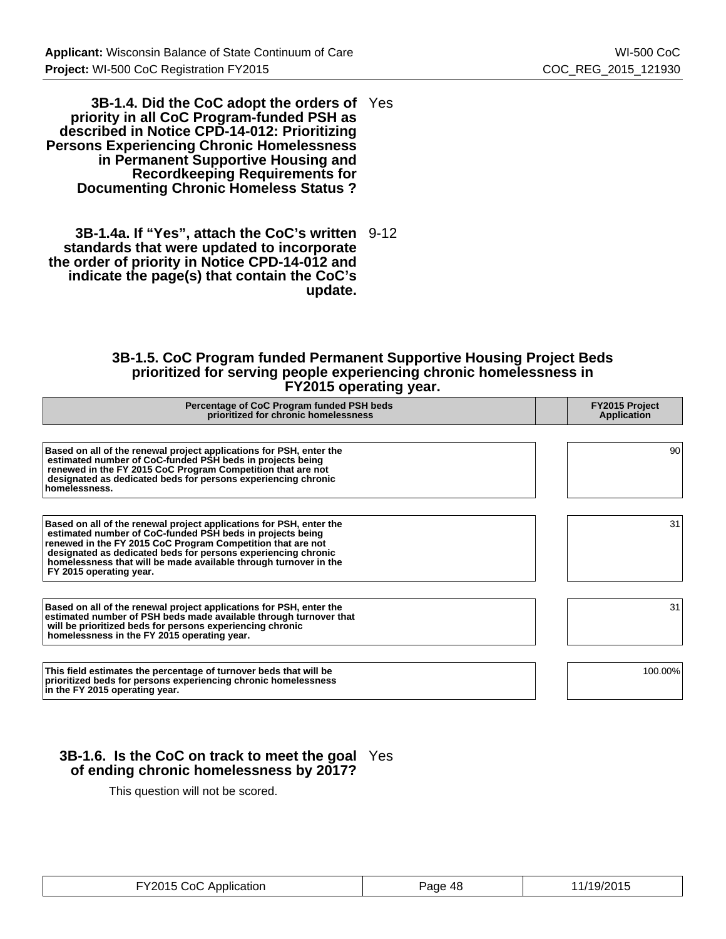**3B-1.4. Did the CoC adopt the orders of** Yes **priority in all CoC Program-funded PSH as described in Notice CPD-14-012: Prioritizing Persons Experiencing Chronic Homelessness in Permanent Supportive Housing and Recordkeeping Requirements for Documenting Chronic Homeless Status ?**

**3B-1.4a. If "Yes", attach the CoC's written** 9-12 **standards that were updated to incorporate the order of priority in Notice CPD-14-012 and indicate the page(s) that contain the CoC's update.**

#### **3B-1.5. CoC Program funded Permanent Supportive Housing Project Beds prioritized for serving people experiencing chronic homelessness in FY2015 operating year.**

| Percentage of CoC Program funded PSH beds<br>prioritized for chronic homelessness                                                                                                                                                                                                                                                                               | FY2015 Project<br><b>Application</b> |
|-----------------------------------------------------------------------------------------------------------------------------------------------------------------------------------------------------------------------------------------------------------------------------------------------------------------------------------------------------------------|--------------------------------------|
|                                                                                                                                                                                                                                                                                                                                                                 |                                      |
| Based on all of the renewal project applications for PSH, enter the<br>estimated number of CoC-funded PSH beds in projects being<br>renewed in the FY 2015 CoC Program Competition that are not<br>designated as dedicated beds for persons experiencing chronic<br>homelessness.                                                                               | 90                                   |
|                                                                                                                                                                                                                                                                                                                                                                 |                                      |
| Based on all of the renewal project applications for PSH, enter the<br>estimated number of CoC-funded PSH beds in projects being<br>renewed in the FY 2015 CoC Program Competition that are not<br>designated as dedicated beds for persons experiencing chronic<br>homelessness that will be made available through turnover in the<br>FY 2015 operating year. | 31                                   |
|                                                                                                                                                                                                                                                                                                                                                                 |                                      |
| Based on all of the renewal project applications for PSH, enter the<br>estimated number of PSH beds made available through turnover that<br>will be prioritized beds for persons experiencing chronic<br>homelessness in the FY 2015 operating year.                                                                                                            | 31                                   |
|                                                                                                                                                                                                                                                                                                                                                                 |                                      |
| This field estimates the percentage of turnover beds that will be<br>prioritized beds for persons experiencing chronic homelessness<br>in the FY 2015 operating year.                                                                                                                                                                                           | 100.00%                              |

## **3B-1.6. Is the CoC on track to meet the goal** Yes  **of ending chronic homelessness by 2017?**

This question will not be scored.

| TY2015 CoC Application | Page 48 | 11/19/2015 |
|------------------------|---------|------------|
|------------------------|---------|------------|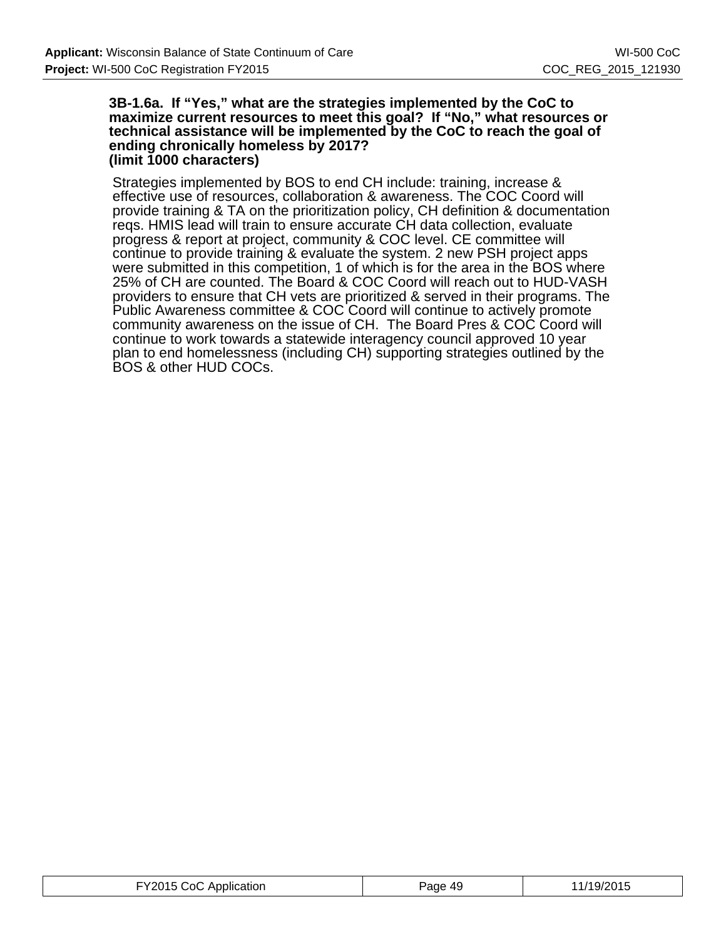#### **3B-1.6a. If "Yes," what are the strategies implemented by the CoC to maximize current resources to meet this goal? If "No," what resources or technical assistance will be implemented by the CoC to reach the goal of ending chronically homeless by 2017? (limit 1000 characters)**

Strategies implemented by BOS to end CH include: training, increase & effective use of resources, collaboration & awareness. The COC Coord will provide training & TA on the prioritization policy, CH definition & documentation reqs. HMIS lead will train to ensure accurate CH data collection, evaluate progress & report at project, community & COC level. CE committee will continue to provide training & evaluate the system. 2 new PSH project apps were submitted in this competition, 1 of which is for the area in the BOS where 25% of CH are counted. The Board & COC Coord will reach out to HUD-VASH providers to ensure that CH vets are prioritized & served in their programs. The Public Awareness committee & COC Coord will continue to actively promote community awareness on the issue of CH. The Board Pres & COC Coord will continue to work towards a statewide interagency council approved 10 year plan to end homelessness (including CH) supporting strategies outlined by the BOS & other HUD COCs.

| FY2015 CoC Application | Page 49 | 11/19/2015 |
|------------------------|---------|------------|
|------------------------|---------|------------|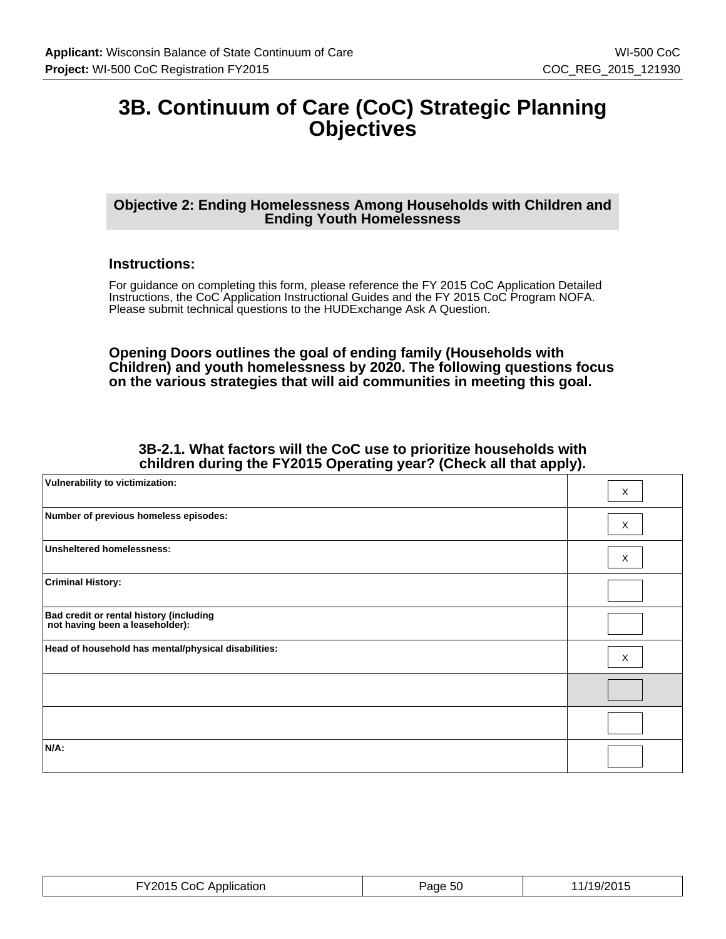## **3B. Continuum of Care (CoC) Strategic Planning Objectives**

## **Objective 2: Ending Homelessness Among Households with Children and Ending Youth Homelessness**

## **Instructions:**

For guidance on completing this form, please reference the FY 2015 CoC Application Detailed Instructions, the CoC Application Instructional Guides and the FY 2015 CoC Program NOFA. Please submit technical questions to the HUDExchange Ask A Question.

**Opening Doors outlines the goal of ending family (Households with Children) and youth homelessness by 2020. The following questions focus on the various strategies that will aid communities in meeting this goal.**

**3B-2.1. What factors will the CoC use to prioritize households with children during the FY2015 Operating year? (Check all that apply).**

| Vulnerability to victimization:                                            | X        |
|----------------------------------------------------------------------------|----------|
| Number of previous homeless episodes:                                      | X        |
| <b>Unsheltered homelessness:</b>                                           | X        |
| <b>Criminal History:</b>                                                   |          |
| Bad credit or rental history (including<br>not having been a leaseholder): |          |
| Head of household has mental/physical disabilities:                        | $\times$ |
|                                                                            |          |
|                                                                            |          |
| $N/A$ :                                                                    |          |

| FY2015 CoC Application | <sup>50</sup> aqe 50 | $1/4$ $\Omega$ $\Omega$ $\Omega$ $\Gamma$<br>≟⊺ש∠∨ו∶ |
|------------------------|----------------------|------------------------------------------------------|
|------------------------|----------------------|------------------------------------------------------|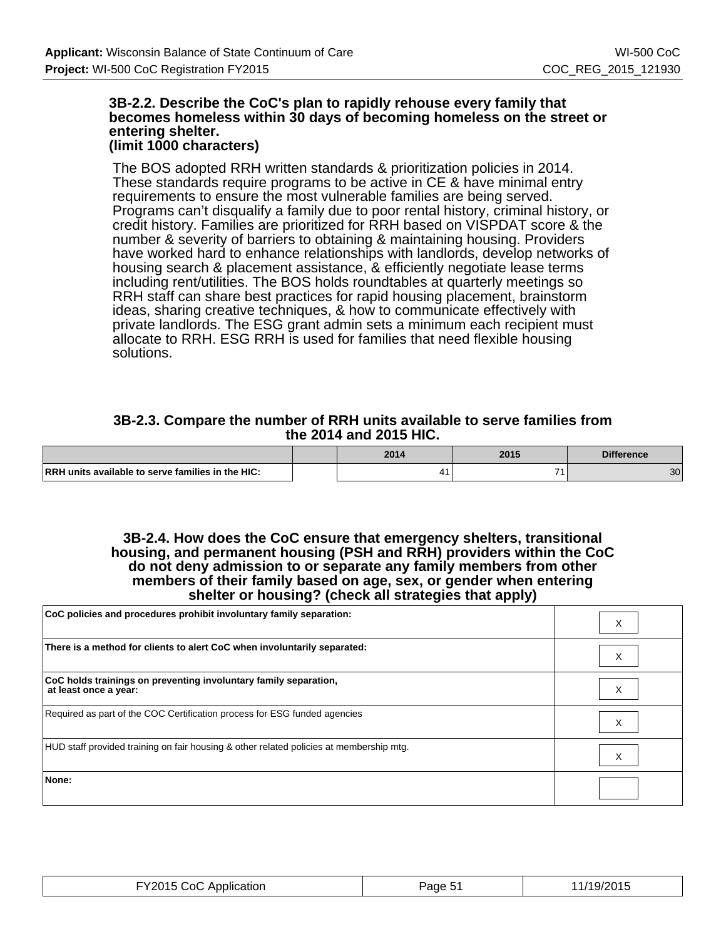#### **3B-2.2. Describe the CoC's plan to rapidly rehouse every family that becomes homeless within 30 days of becoming homeless on the street or entering shelter. (limit 1000 characters)**

The BOS adopted RRH written standards & prioritization policies in 2014. These standards require programs to be active in CE & have minimal entry requirements to ensure the most vulnerable families are being served. Programs can't disqualify a family due to poor rental history, criminal history, or credit history. Families are prioritized for RRH based on VISPDAT score & the number & severity of barriers to obtaining & maintaining housing. Providers have worked hard to enhance relationships with landlords, develop networks of housing search & placement assistance, & efficiently negotiate lease terms including rent/utilities. The BOS holds roundtables at quarterly meetings so RRH staff can share best practices for rapid housing placement, brainstorm ideas, sharing creative techniques, & how to communicate effectively with private landlords. The ESG grant admin sets a minimum each recipient must allocate to RRH. ESG RRH is used for families that need flexible housing solutions.

## **3B-2.3. Compare the number of RRH units available to serve families from the 2014 and 2015 HIC.**

|                                                          | 2014 | 2015 | <b>Nifference</b> |
|----------------------------------------------------------|------|------|-------------------|
| <b>RRH</b> units available to serve families in the HIC: |      |      | 30                |

### **3B-2.4. How does the CoC ensure that emergency shelters, transitional housing, and permanent housing (PSH and RRH) providers within the CoC do not deny admission to or separate any family members from other members of their family based on age, sex, or gender when entering shelter or housing? (check all strategies that apply)**

| CoC policies and procedures prohibit involuntary family separation:                       |   |
|-------------------------------------------------------------------------------------------|---|
| There is a method for clients to alert CoC when involuntarily separated:                  |   |
| CoC holds trainings on preventing involuntary family separation,<br>at least once a year: | ⋏ |
| Required as part of the COC Certification process for ESG funded agencies                 | x |
| HUD staff provided training on fair housing & other related policies at membership mtg.   | x |
| None:                                                                                     |   |

| -Y2015 C<br>കവ<br>Application<br>. | age 5 | (19/204)<br>. |
|------------------------------------|-------|---------------|
|------------------------------------|-------|---------------|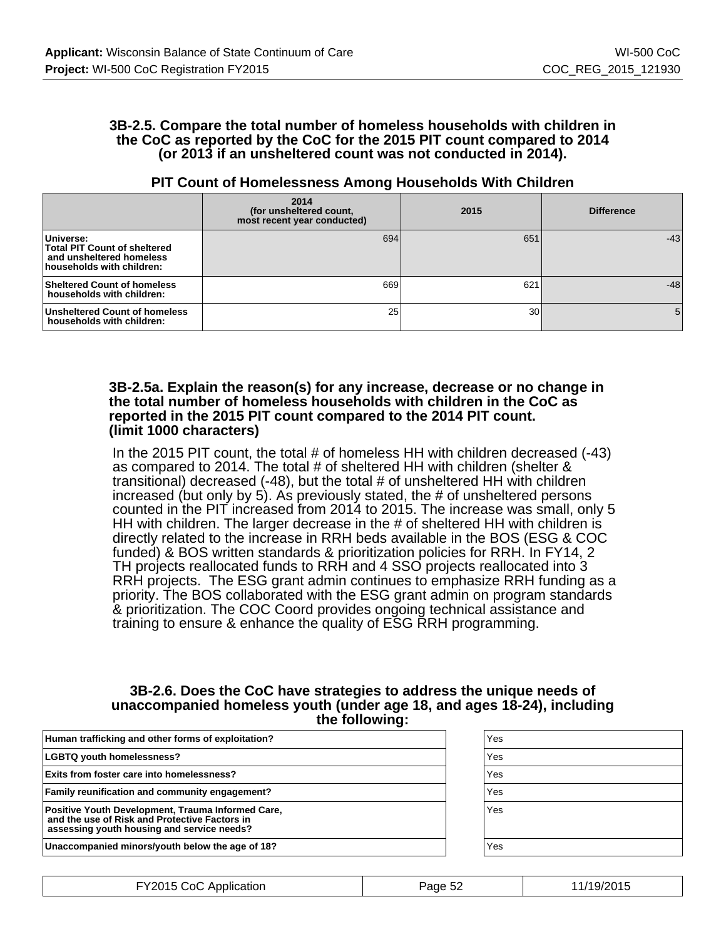## **3B-2.5. Compare the total number of homeless households with children in the CoC as reported by the CoC for the 2015 PIT count compared to 2014 (or 2013 if an unsheltered count was not conducted in 2014).**

|                                                                                                           | 2014<br>(for unsheltered count,<br>most recent year conducted) | 2015            | <b>Difference</b> |
|-----------------------------------------------------------------------------------------------------------|----------------------------------------------------------------|-----------------|-------------------|
| Universe:<br><b>Total PIT Count of sheltered</b><br>and unsheltered homeless<br>households with children: | 694                                                            | 651             | $-43$             |
| <b>Sheltered Count of homeless</b><br>households with children:                                           | 669                                                            | 621             | $-48$             |
| Unsheltered Count of homeless<br>households with children:                                                | 25                                                             | 30 <sup>1</sup> |                   |

## **PIT Count of Homelessness Among Households With Children**

### **3B-2.5a. Explain the reason(s) for any increase, decrease or no change in the total number of homeless households with children in the CoC as reported in the 2015 PIT count compared to the 2014 PIT count. (limit 1000 characters)**

In the 2015 PIT count, the total # of homeless HH with children decreased (-43) as compared to 2014. The total # of sheltered HH with children (shelter & transitional) decreased (-48), but the total # of unsheltered HH with children increased (but only by 5). As previously stated, the # of unsheltered persons counted in the PIT increased from 2014 to 2015. The increase was small, only 5 HH with children. The larger decrease in the # of sheltered HH with children is directly related to the increase in RRH beds available in the BOS (ESG & COC funded) & BOS written standards & prioritization policies for RRH. In FY14, 2 TH projects reallocated funds to RRH and 4 SSO projects reallocated into 3 RRH projects. The ESG grant admin continues to emphasize RRH funding as a priority. The BOS collaborated with the ESG grant admin on program standards & prioritization. The COC Coord provides ongoing technical assistance and training to ensure & enhance the quality of ESG RRH programming.

#### **3B-2.6. Does the CoC have strategies to address the unique needs of unaccompanied homeless youth (under age 18, and ages 18-24), including the following:**

| Human trafficking and other forms of exploitation?                                                                                               | Yes |
|--------------------------------------------------------------------------------------------------------------------------------------------------|-----|
| <b>LGBTQ youth homelessness?</b>                                                                                                                 | Yes |
| <b>Exits from foster care into homelessness?</b>                                                                                                 | Yes |
| <b>Family reunification and community engagement?</b>                                                                                            | Yes |
| Positive Youth Development, Trauma Informed Care,<br>and the use of Risk and Protective Factors in<br>assessing youth housing and service needs? | Yes |
| Unaccompanied minors/youth below the age of 18?                                                                                                  | Yes |

| Yes |  |  |
|-----|--|--|
| Yes |  |  |
| Yes |  |  |
| Yes |  |  |
| Yes |  |  |
|     |  |  |
| Yes |  |  |

| FY2015 CoC Application | Page 52 | 11/19/2015 |
|------------------------|---------|------------|
|------------------------|---------|------------|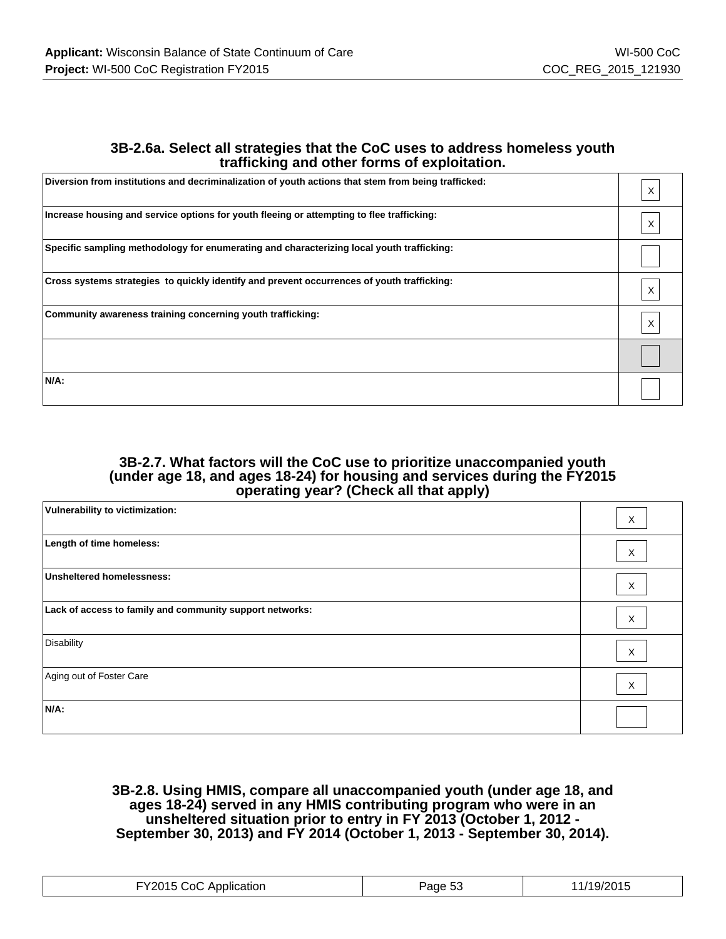## **3B-2.6a. Select all strategies that the CoC uses to address homeless youth trafficking and other forms of exploitation.**

| Diversion from institutions and decriminalization of youth actions that stem from being trafficked: |  |
|-----------------------------------------------------------------------------------------------------|--|
| Increase housing and service options for youth fleeing or attempting to flee trafficking:           |  |
| Specific sampling methodology for enumerating and characterizing local youth trafficking:           |  |
| Cross systems strategies to quickly identify and prevent occurrences of youth trafficking:          |  |
| Community awareness training concerning youth trafficking:                                          |  |
|                                                                                                     |  |
| N/A:                                                                                                |  |

## **3B-2.7. What factors will the CoC use to prioritize unaccompanied youth (under age 18, and ages 18-24) for housing and services during the FY2015 operating year? (Check all that apply)**

| Vulnerability to victimization:                          | $\times$                  |
|----------------------------------------------------------|---------------------------|
| Length of time homeless:                                 | $\times$                  |
| <b>Unsheltered homelessness:</b>                         | $\boldsymbol{\mathsf{X}}$ |
| Lack of access to family and community support networks: | $\times$                  |
| Disability                                               | X                         |
| Aging out of Foster Care                                 | $\boldsymbol{\mathsf{X}}$ |
| N/A:                                                     |                           |

**3B-2.8. Using HMIS, compare all unaccompanied youth (under age 18, and ages 18-24) served in any HMIS contributing program who were in an unsheltered situation prior to entry in FY 2013 (October 1, 2012 - September 30, 2013) and FY 2014 (October 1, 2013 - September 30, 2014).**

| FY2015 CoC App<br>Application | $\sim$ $\sim$<br>Page 55 | /19/2015<br>⊣ບ |
|-------------------------------|--------------------------|----------------|
|-------------------------------|--------------------------|----------------|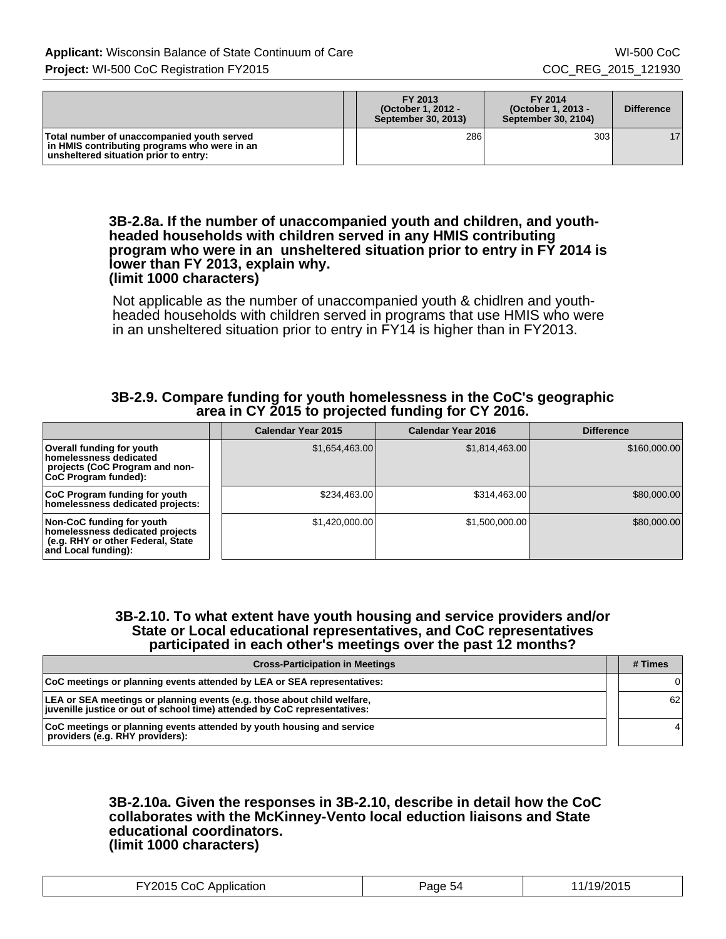|                                                                                                                                     | FY 2013<br>(October 1, 2012 -<br>September 30, 2013) | FY 2014<br>(October 1, 2013 -<br>September 30, 2104) | <b>Difference</b> |
|-------------------------------------------------------------------------------------------------------------------------------------|------------------------------------------------------|------------------------------------------------------|-------------------|
| Total number of unaccompanied youth served<br>in HMIS contributing programs who were in an<br>unsheltered situation prior to entry: | 286                                                  | 303 <sub>1</sub>                                     | 17                |

#### **3B-2.8a. If the number of unaccompanied youth and children, and youthheaded households with children served in any HMIS contributing program who were in an unsheltered situation prior to entry in FY 2014 is lower than FY 2013, explain why. (limit 1000 characters)**

Not applicable as the number of unaccompanied youth & chidlren and youthheaded households with children served in programs that use HMIS who were in an unsheltered situation prior to entry in FY14 is higher than in FY2013.

## **3B-2.9. Compare funding for youth homelessness in the CoC's geographic area in CY 2015 to projected funding for CY 2016.**

|                                                                                                                          | <b>Calendar Year 2015</b> | Calendar Year 2016 | <b>Difference</b> |
|--------------------------------------------------------------------------------------------------------------------------|---------------------------|--------------------|-------------------|
| Overall funding for youth<br>homelessness dedicated<br>projects (CoC Program and non-<br>CoC Program funded):            | \$1,654,463.00            | \$1,814,463.00     | \$160,000.00      |
| CoC Program funding for youth<br>homelessness dedicated projects:                                                        | \$234.463.00              | \$314,463.00       | \$80,000.00       |
| Non-CoC funding for youth<br>homelessness dedicated projects<br>(e.g. RHY or other Federal, State<br>and Local funding): | \$1,420,000.00            | \$1,500,000.00     | \$80,000.00       |

### **3B-2.10. To what extent have youth housing and service providers and/or State or Local educational representatives, and CoC representatives participated in each other's meetings over the past 12 months?**

| <b>Cross-Participation in Meetings</b>                                                                                                               | # Times         |
|------------------------------------------------------------------------------------------------------------------------------------------------------|-----------------|
| CoC meetings or planning events attended by LEA or SEA representatives:                                                                              |                 |
| LEA or SEA meetings or planning events (e.g. those about child welfare,<br>juvenille justice or out of school time) attended by CoC representatives: | 62 <sub>1</sub> |
| CoC meetings or planning events attended by youth housing and service<br>providers (e.g. RHY providers):                                             | 41              |

### **3B-2.10a. Given the responses in 3B-2.10, describe in detail how the CoC collaborates with the McKinney-Vento local eduction liaisons and State educational coordinators. (limit 1000 characters)**

| FY2015 CoC Application | Page 54 | 11/19/2015 |
|------------------------|---------|------------|
|------------------------|---------|------------|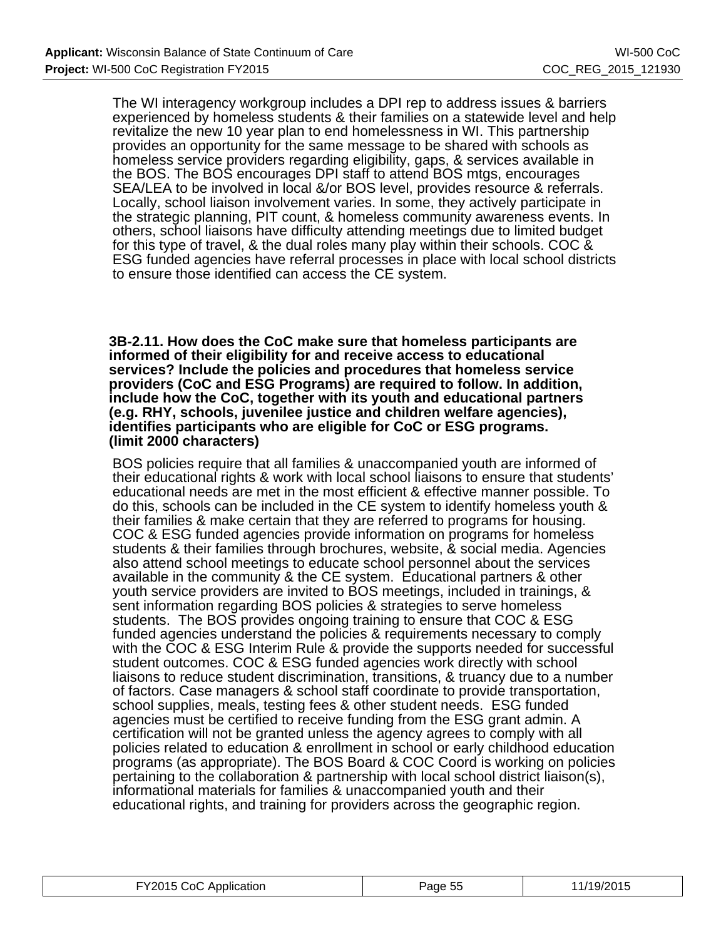The WI interagency workgroup includes a DPI rep to address issues & barriers experienced by homeless students & their families on a statewide level and help revitalize the new 10 year plan to end homelessness in WI. This partnership provides an opportunity for the same message to be shared with schools as homeless service providers regarding eligibility, gaps, & services available in the BOS. The BOS encourages DPI staff to attend BOS mtgs, encourages SEA/LEA to be involved in local &/or BOS level, provides resource & referrals. Locally, school liaison involvement varies. In some, they actively participate in the strategic planning, PIT count, & homeless community awareness events. In others, school liaisons have difficulty attending meetings due to limited budget for this type of travel, & the dual roles many play within their schools. COC & ESG funded agencies have referral processes in place with local school districts to ensure those identified can access the CE system.

**3B-2.11. How does the CoC make sure that homeless participants are informed of their eligibility for and receive access to educational services? Include the policies and procedures that homeless service providers (CoC and ESG Programs) are required to follow. In addition, include how the CoC, together with its youth and educational partners (e.g. RHY, schools, juvenilee justice and children welfare agencies), identifies participants who are eligible for CoC or ESG programs. (limit 2000 characters)**

BOS policies require that all families & unaccompanied youth are informed of their educational rights & work with local school liaisons to ensure that students' educational needs are met in the most efficient & effective manner possible. To do this, schools can be included in the CE system to identify homeless youth & their families & make certain that they are referred to programs for housing. COC & ESG funded agencies provide information on programs for homeless students & their families through brochures, website, & social media. Agencies also attend school meetings to educate school personnel about the services available in the community & the CE system. Educational partners & other youth service providers are invited to BOS meetings, included in trainings, & sent information regarding BOS policies & strategies to serve homeless students. The BOS provides ongoing training to ensure that COC & ESG funded agencies understand the policies & requirements necessary to comply with the COC & ESG Interim Rule & provide the supports needed for successful student outcomes. COC & ESG funded agencies work directly with school liaisons to reduce student discrimination, transitions, & truancy due to a number of factors. Case managers & school staff coordinate to provide transportation, school supplies, meals, testing fees & other student needs. ESG funded agencies must be certified to receive funding from the ESG grant admin. A certification will not be granted unless the agency agrees to comply with all policies related to education & enrollment in school or early childhood education programs (as appropriate). The BOS Board & COC Coord is working on policies pertaining to the collaboration & partnership with local school district liaison(s), informational materials for families & unaccompanied youth and their educational rights, and training for providers across the geographic region.

| FY2015 CoC Application | Page 55 | 11/19/2015 |
|------------------------|---------|------------|
|------------------------|---------|------------|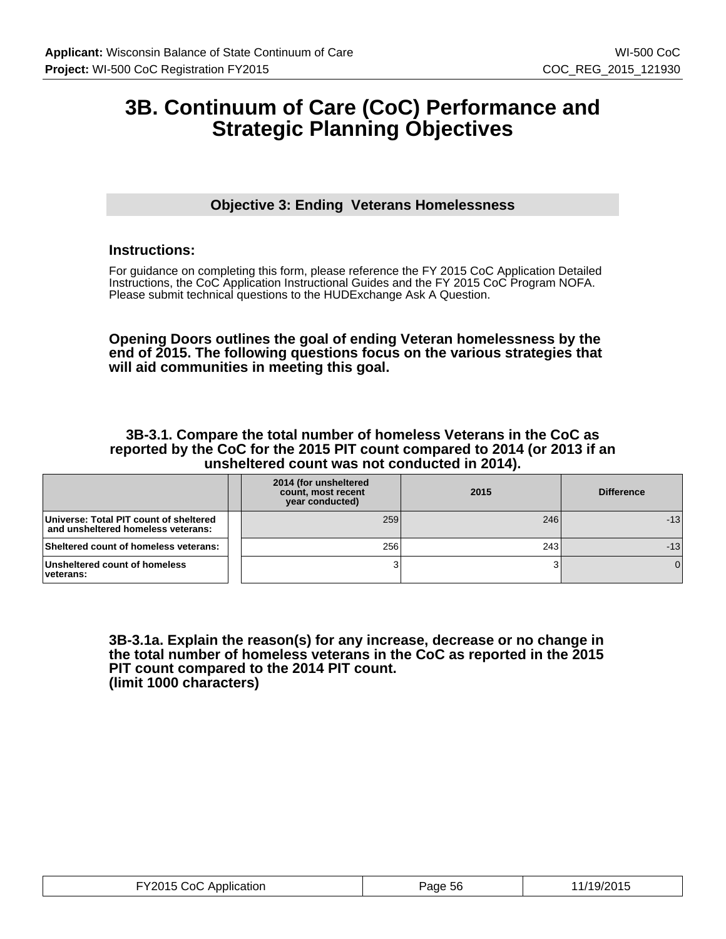## **3B. Continuum of Care (CoC) Performance and Strategic Planning Objectives**

## **Objective 3: Ending Veterans Homelessness**

## **Instructions:**

For guidance on completing this form, please reference the FY 2015 CoC Application Detailed Instructions, the CoC Application Instructional Guides and the FY 2015 CoC Program NOFA. Please submit technical questions to the HUDExchange Ask A Question.

**Opening Doors outlines the goal of ending Veteran homelessness by the end of 2015. The following questions focus on the various strategies that will aid communities in meeting this goal.**

**3B-3.1. Compare the total number of homeless Veterans in the CoC as reported by the CoC for the 2015 PIT count compared to 2014 (or 2013 if an unsheltered count was not conducted in 2014).**

|                                                                              | 2014 (for unsheltered<br>count, most recent<br>vear conducted) | 2015 | <b>Difference</b> |
|------------------------------------------------------------------------------|----------------------------------------------------------------|------|-------------------|
| Universe: Total PIT count of sheltered<br>and unsheltered homeless veterans: | 259                                                            | 246  | $-13$             |
| Sheltered count of homeless veterans:                                        | 256                                                            | 243  | $-13$             |
| Unsheltered count of homeless<br>veterans:                                   |                                                                |      |                   |

**3B-3.1a. Explain the reason(s) for any increase, decrease or no change in the total number of homeless veterans in the CoC as reported in the 2015 PIT count compared to the 2014 PIT count. (limit 1000 characters)**

| FY2015 CoC Application | Page 56 | 11/19/2015 |
|------------------------|---------|------------|
|------------------------|---------|------------|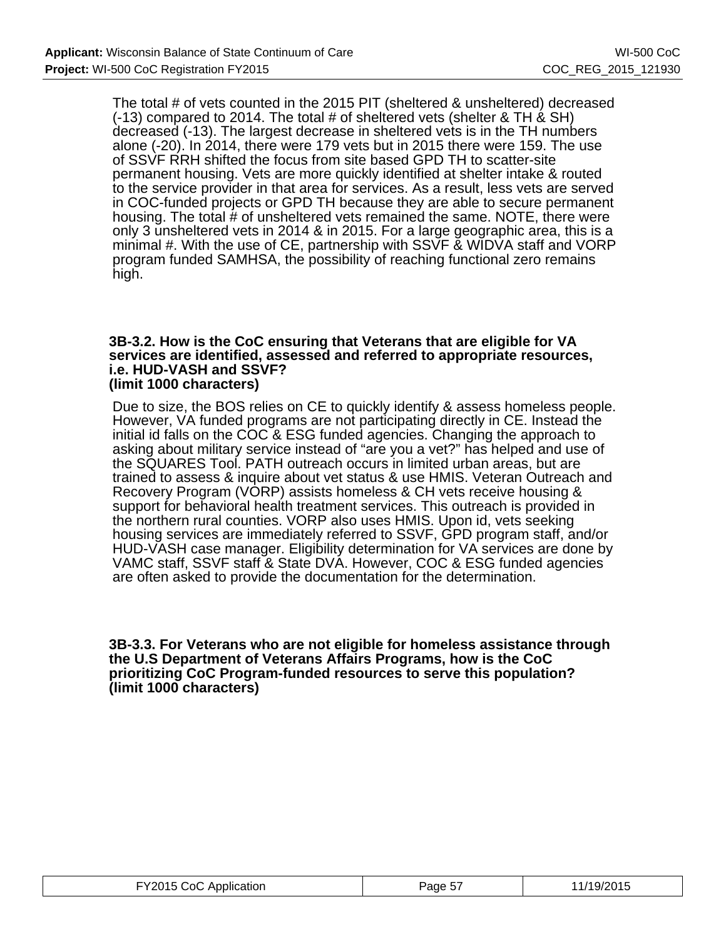The total # of vets counted in the 2015 PIT (sheltered & unsheltered) decreased  $(-13)$  compared to 2014. The total # of sheltered vets (shelter & TH & SH) decreased (-13). The largest decrease in sheltered vets is in the TH numbers alone (-20). In 2014, there were 179 vets but in 2015 there were 159. The use of SSVF RRH shifted the focus from site based GPD TH to scatter-site permanent housing. Vets are more quickly identified at shelter intake & routed to the service provider in that area for services. As a result, less vets are served in COC-funded projects or GPD TH because they are able to secure permanent housing. The total # of unsheltered vets remained the same. NOTE, there were only 3 unsheltered vets in 2014 & in 2015. For a large geographic area, this is a minimal #. With the use of CE, partnership with SSVF & WIDVA staff and VORP program funded SAMHSA, the possibility of reaching functional zero remains high.

#### **3B-3.2. How is the CoC ensuring that Veterans that are eligible for VA services are identified, assessed and referred to appropriate resources, i.e. HUD-VASH and SSVF? (limit 1000 characters)**

Due to size, the BOS relies on CE to quickly identify & assess homeless people. However, VA funded programs are not participating directly in CE. Instead the initial id falls on the COC & ESG funded agencies. Changing the approach to asking about military service instead of "are you a vet?" has helped and use of the SQUARES Tool. PATH outreach occurs in limited urban areas, but are trained to assess & inquire about vet status & use HMIS. Veteran Outreach and Recovery Program (VORP) assists homeless & CH vets receive housing & support for behavioral health treatment services. This outreach is provided in the northern rural counties. VORP also uses HMIS. Upon id, vets seeking housing services are immediately referred to SSVF, GPD program staff, and/or HUD-VASH case manager. Eligibility determination for VA services are done by VAMC staff, SSVF staff & State DVA. However, COC & ESG funded agencies are often asked to provide the documentation for the determination.

**3B-3.3. For Veterans who are not eligible for homeless assistance through the U.S Department of Veterans Affairs Programs, how is the CoC prioritizing CoC Program-funded resources to serve this population? (limit 1000 characters)**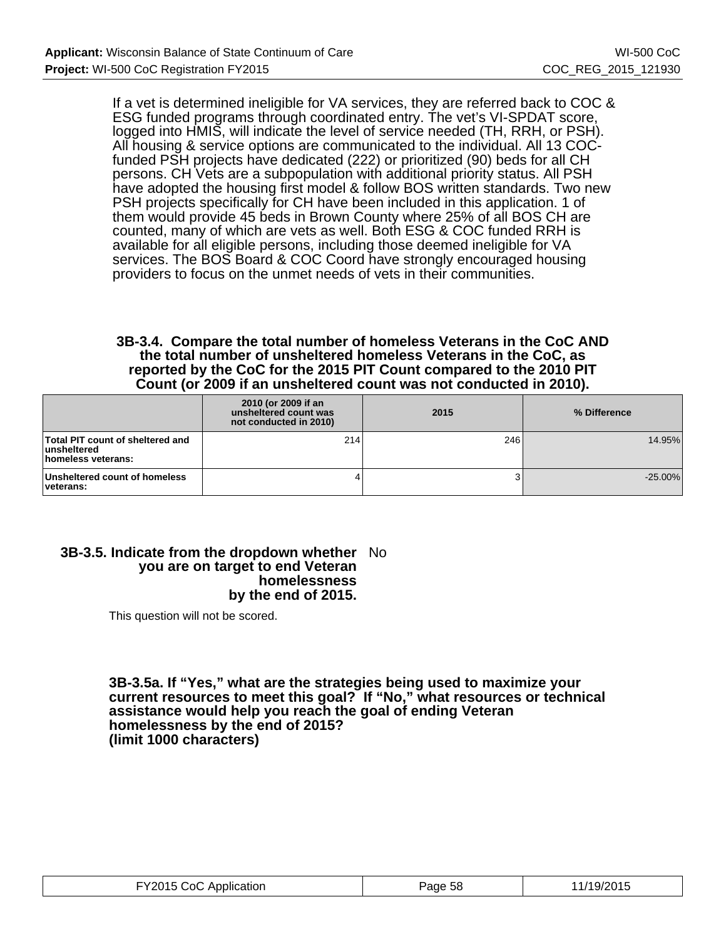If a vet is determined ineligible for VA services, they are referred back to COC & ESG funded programs through coordinated entry. The vet's VI-SPDAT score, logged into HMIS, will indicate the level of service needed (TH, RRH, or PSH). All housing & service options are communicated to the individual. All 13 COCfunded PSH projects have dedicated (222) or prioritized (90) beds for all CH persons. CH Vets are a subpopulation with additional priority status. All PSH have adopted the housing first model & follow BOS written standards. Two new PSH projects specifically for CH have been included in this application. 1 of them would provide 45 beds in Brown County where 25% of all BOS CH are counted, many of which are vets as well. Both ESG & COC funded RRH is available for all eligible persons, including those deemed ineligible for VA services. The BOS Board & COC Coord have strongly encouraged housing providers to focus on the unmet needs of vets in their communities.

## **3B-3.4. Compare the total number of homeless Veterans in the CoC AND the total number of unsheltered homeless Veterans in the CoC, as reported by the CoC for the 2015 PIT Count compared to the 2010 PIT Count (or 2009 if an unsheltered count was not conducted in 2010).**

|                                                                        | 2010 (or 2009 if an<br>unsheltered count was<br>not conducted in 2010) | 2015 | % Difference |
|------------------------------------------------------------------------|------------------------------------------------------------------------|------|--------------|
| Total PIT count of sheltered and<br>∣unsheltered<br>homeless veterans: | 214                                                                    | 246  | 14.95%       |
| Unsheltered count of homeless<br>veterans:                             |                                                                        |      | $-25.00\%$   |

### **3B-3.5. Indicate from the dropdown whether** No  **you are on target to end Veteran homelessness by the end of 2015.**

This question will not be scored.

**3B-3.5a. If "Yes," what are the strategies being used to maximize your current resources to meet this goal? If "No," what resources or technical assistance would help you reach the goal of ending Veteran homelessness by the end of 2015? (limit 1000 characters)**

| FY2015 CoC Application | Page 58 | 11/19/2015 |
|------------------------|---------|------------|
|------------------------|---------|------------|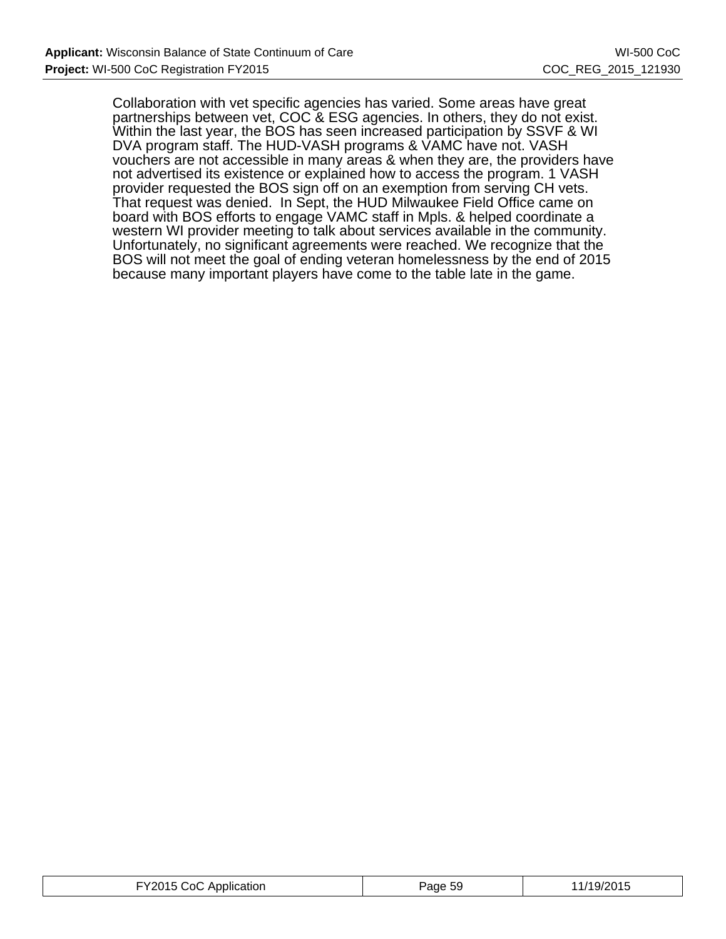Collaboration with vet specific agencies has varied. Some areas have great partnerships between vet, COC & ESG agencies. In others, they do not exist. Within the last year, the BOS has seen increased participation by SSVF & WI DVA program staff. The HUD-VASH programs & VAMC have not. VASH vouchers are not accessible in many areas & when they are, the providers have not advertised its existence or explained how to access the program. 1 VASH provider requested the BOS sign off on an exemption from serving CH vets. That request was denied. In Sept, the HUD Milwaukee Field Office came on board with BOS efforts to engage VAMC staff in Mpls. & helped coordinate a western WI provider meeting to talk about services available in the community. Unfortunately, no significant agreements were reached. We recognize that the BOS will not meet the goal of ending veteran homelessness by the end of 2015 because many important players have come to the table late in the game.

| -Y2015<br>Application<br>. CoC<br>$- - - - - - - -$ | Page 59 | י טו ט∠ש |
|-----------------------------------------------------|---------|----------|
|-----------------------------------------------------|---------|----------|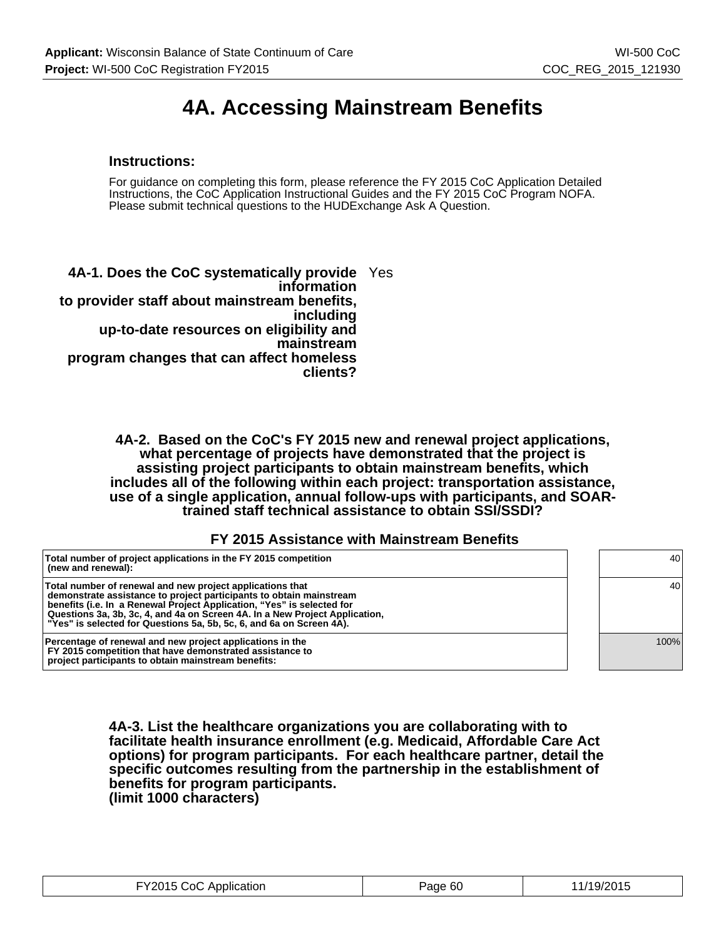## **4A. Accessing Mainstream Benefits**

### **Instructions:**

For guidance on completing this form, please reference the FY 2015 CoC Application Detailed Instructions, the CoC Application Instructional Guides and the FY 2015 CoC Program NOFA. Please submit technical questions to the HUDExchange Ask A Question.

**4A-1. Does the CoC systematically provide** Yes **information to provider staff about mainstream benefits, including up-to-date resources on eligibility and mainstream program changes that can affect homeless clients?**

> **4A-2. Based on the CoC's FY 2015 new and renewal project applications, what percentage of projects have demonstrated that the project is assisting project participants to obtain mainstream benefits, which includes all of the following within each project: transportation assistance, use of a single application, annual follow-ups with participants, and SOARtrained staff technical assistance to obtain SSI/SSDI?**

### **FY 2015 Assistance with Mainstream Benefits**

| Total number of project applications in the FY 2015 competition<br>(new and renewal):                                                                                                                                                                                                                                                                             | 40   |
|-------------------------------------------------------------------------------------------------------------------------------------------------------------------------------------------------------------------------------------------------------------------------------------------------------------------------------------------------------------------|------|
| Total number of renewal and new project applications that<br>demonstrate assistance to project participants to obtain mainstream<br>benefits (i.e. In a Renewal Project Application, "Yes" is selected for<br>Questions 3a, 3b, 3c, 4, and 4a on Screen 4A. In a New Project Application,<br>"Yes" is selected for Questions 5a, 5b, 5c, 6, and 6a on Screen 4A). | 40   |
| Percentage of renewal and new project applications in the<br>FY 2015 competition that have demonstrated assistance to<br>project participants to obtain mainstream benefits:                                                                                                                                                                                      | 100% |

**4A-3. List the healthcare organizations you are collaborating with to facilitate health insurance enrollment (e.g. Medicaid, Affordable Care Act options) for program participants. For each healthcare partner, detail the specific outcomes resulting from the partnership in the establishment of benefits for program participants. (limit 1000 characters)**

| FY2015 CoC Application | Page 60 | 11/19/2015 |
|------------------------|---------|------------|
|------------------------|---------|------------|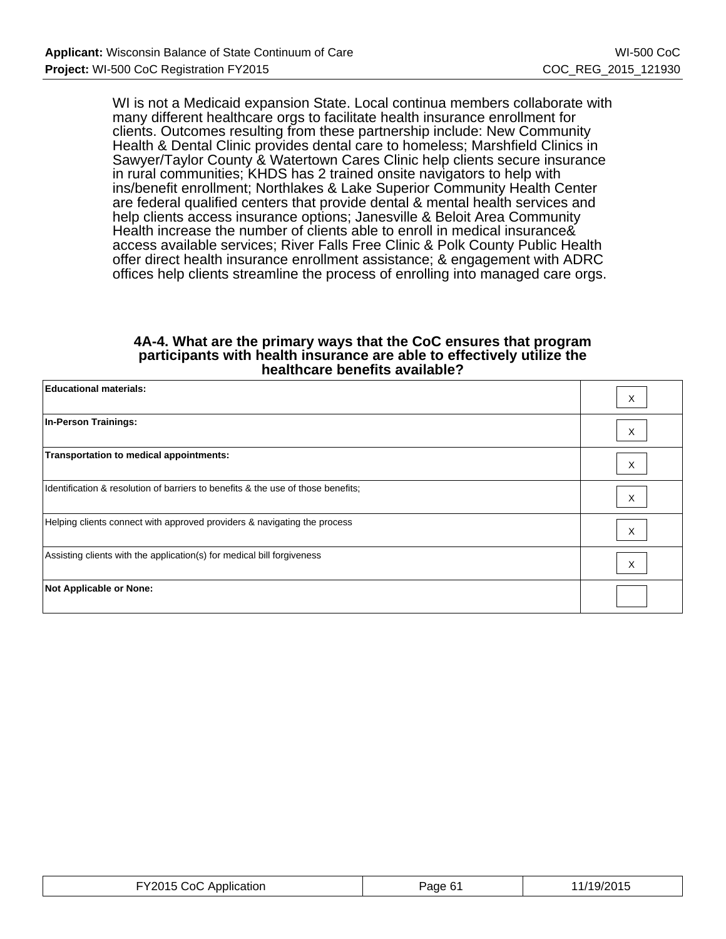WI is not a Medicaid expansion State. Local continua members collaborate with many different healthcare orgs to facilitate health insurance enrollment for clients. Outcomes resulting from these partnership include: New Community Health & Dental Clinic provides dental care to homeless; Marshfield Clinics in Sawyer/Taylor County & Watertown Cares Clinic help clients secure insurance in rural communities; KHDS has 2 trained onsite navigators to help with ins/benefit enrollment; Northlakes & Lake Superior Community Health Center are federal qualified centers that provide dental & mental health services and help clients access insurance options; Janesville & Beloit Area Community Health increase the number of clients able to enroll in medical insurance& access available services; River Falls Free Clinic & Polk County Public Health offer direct health insurance enrollment assistance; & engagement with ADRC offices help clients streamline the process of enrolling into managed care orgs.

### **4A-4. What are the primary ways that the CoC ensures that program participants with health insurance are able to effectively utilize the healthcare benefits available?**

| <b>Educational materials:</b>                                                    | X |
|----------------------------------------------------------------------------------|---|
| <b>In-Person Trainings:</b>                                                      | X |
| Transportation to medical appointments:                                          | X |
| Identification & resolution of barriers to benefits & the use of those benefits; | Χ |
| Helping clients connect with approved providers & navigating the process         | X |
| Assisting clients with the application(s) for medical bill forgiveness           | X |
| Not Applicable or None:                                                          |   |

| FY2015 CoC Application<br>Page 61 | 11/19/2015 |
|-----------------------------------|------------|
|-----------------------------------|------------|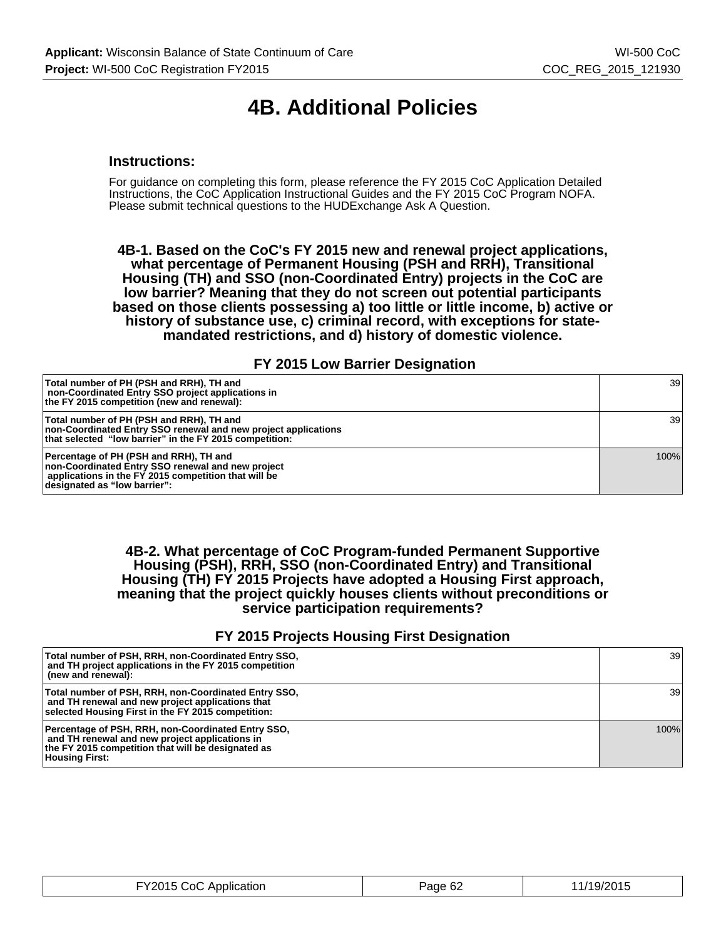# **4B. Additional Policies**

### **Instructions:**

For guidance on completing this form, please reference the FY 2015 CoC Application Detailed Instructions, the CoC Application Instructional Guides and the FY 2015 CoC Program NOFA. Please submit technical questions to the HUDExchange Ask A Question.

**4B-1. Based on the CoC's FY 2015 new and renewal project applications, what percentage of Permanent Housing (PSH and RRH), Transitional Housing (TH) and SSO (non-Coordinated Entry) projects in the CoC are low barrier? Meaning that they do not screen out potential participants based on those clients possessing a) too little or little income, b) active or history of substance use, c) criminal record, with exceptions for statemandated restrictions, and d) history of domestic violence.**

### **FY 2015 Low Barrier Designation**

| Total number of PH (PSH and RRH), TH and<br>non-Coordinated Entry SSO project applications in<br>the FY 2015 competition (new and renewal):                                         | 39 <sub>1</sub> |
|-------------------------------------------------------------------------------------------------------------------------------------------------------------------------------------|-----------------|
| Total number of PH (PSH and RRH), TH and<br>non-Coordinated Entry SSO renewal and new project applications<br>that selected "low barrier" in the FY 2015 competition:               | 39 <sub>1</sub> |
| Percentage of PH (PSH and RRH), TH and<br>non-Coordinated Entry SSO renewal and new project<br>applications in the FY 2015 competition that will be<br>designated as "low barrier": | 100%            |

### **4B-2. What percentage of CoC Program-funded Permanent Supportive Housing (PSH), RRH, SSO (non-Coordinated Entry) and Transitional Housing (TH) FY 2015 Projects have adopted a Housing First approach, meaning that the project quickly houses clients without preconditions or service participation requirements?**

### **FY 2015 Projects Housing First Designation**

| Total number of PSH, RRH, non-Coordinated Entry SSO,<br>and TH project applications in the FY 2015 competition<br>(new and renewal):                                                | 39 <sub>1</sub> |
|-------------------------------------------------------------------------------------------------------------------------------------------------------------------------------------|-----------------|
| Total number of PSH, RRH, non-Coordinated Entry SSO,<br>and TH renewal and new project applications that<br>selected Housing First in the FY 2015 competition:                      | 39 <sub>1</sub> |
| Percentage of PSH, RRH, non-Coordinated Entry SSO,<br>and TH renewal and new project applications in<br>the FY 2015 competition that will be designated as<br><b>Housing First:</b> | 100%            |

| FY2015 CoC App<br>Application | $\sim$<br>Page 62 | .19/2017<br>. . |
|-------------------------------|-------------------|-----------------|
|-------------------------------|-------------------|-----------------|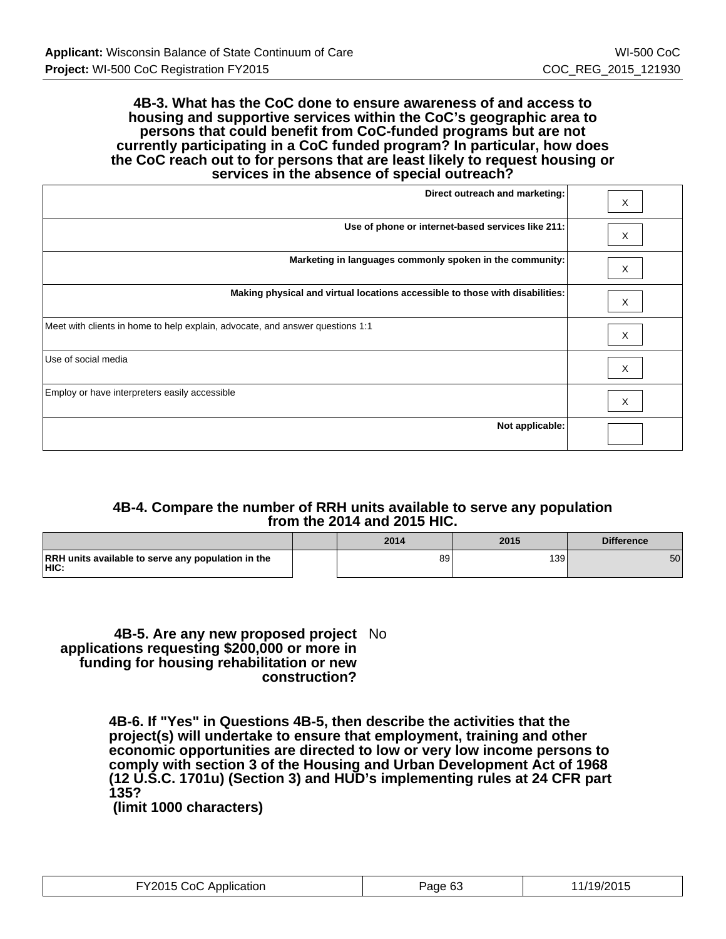### **4B-3. What has the CoC done to ensure awareness of and access to housing and supportive services within the CoC's geographic area to persons that could benefit from CoC-funded programs but are not currently participating in a CoC funded program? In particular, how does the CoC reach out to for persons that are least likely to request housing or services in the absence of special outreach?**

| Direct outreach and marketing:                                                | X        |
|-------------------------------------------------------------------------------|----------|
| Use of phone or internet-based services like 211:                             | $\times$ |
| Marketing in languages commonly spoken in the community:                      | X        |
| Making physical and virtual locations accessible to those with disabilities:  | X        |
| Meet with clients in home to help explain, advocate, and answer questions 1:1 | X        |
| Use of social media                                                           | X        |
| Employ or have interpreters easily accessible                                 | X        |
| Not applicable:                                                               |          |

## **4B-4. Compare the number of RRH units available to serve any population from the 2014 and 2015 HIC.**

|                                                                          | 2014 | 2015 | <b>Difference</b> |
|--------------------------------------------------------------------------|------|------|-------------------|
| <b>RRH</b> units available to serve any population in the<br><b>HIC:</b> | 89   | 139  | 50                |

**4B-5. Are any new proposed project** No **applications requesting \$200,000 or more in funding for housing rehabilitation or new construction?**

> **4B-6. If "Yes" in Questions 4B-5, then describe the activities that the project(s) will undertake to ensure that employment, training and other economic opportunities are directed to low or very low income persons to comply with section 3 of the Housing and Urban Development Act of 1968 (12 U.S.C. 1701u) (Section 3) and HUD's implementing rules at 24 CFR part 135?**

 **(limit 1000 characters)**

| FY2015 CoC Application | Page 63 | 11/19/2015 |
|------------------------|---------|------------|
|------------------------|---------|------------|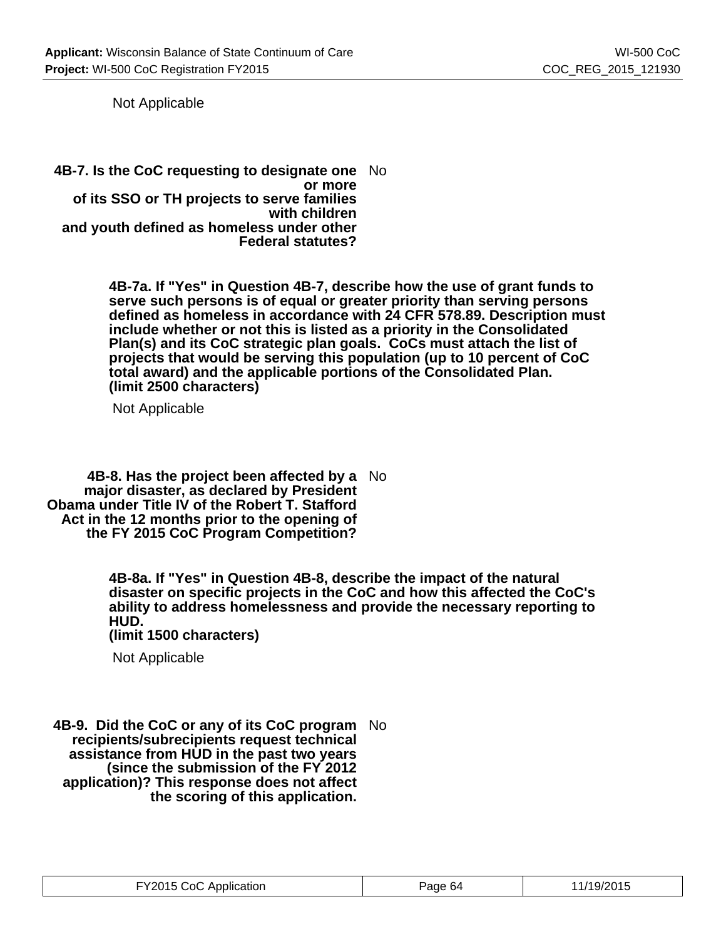Not Applicable

**4B-7. Is the CoC requesting to designate one** No **or more of its SSO or TH projects to serve families with children and youth defined as homeless under other Federal statutes?**

> **4B-7a. If "Yes" in Question 4B-7, describe how the use of grant funds to serve such persons is of equal or greater priority than serving persons defined as homeless in accordance with 24 CFR 578.89. Description must include whether or not this is listed as a priority in the Consolidated Plan(s) and its CoC strategic plan goals. CoCs must attach the list of projects that would be serving this population (up to 10 percent of CoC total award) and the applicable portions of the Consolidated Plan. (limit 2500 characters)**

Not Applicable

**4B-8. Has the project been affected by a** No **major disaster, as declared by President Obama under Title IV of the Robert T. Stafford Act in the 12 months prior to the opening of the FY 2015 CoC Program Competition?**

> **4B-8a. If "Yes" in Question 4B-8, describe the impact of the natural disaster on specific projects in the CoC and how this affected the CoC's ability to address homelessness and provide the necessary reporting to HUD.**

**(limit 1500 characters)**

Not Applicable

**4B-9. Did the CoC or any of its CoC program** No **recipients/subrecipients request technical assistance from HUD in the past two years (since the submission of the FY 2012 application)? This response does not affect the scoring of this application.**

FY2015 CoC Application Page 64 11/19/2015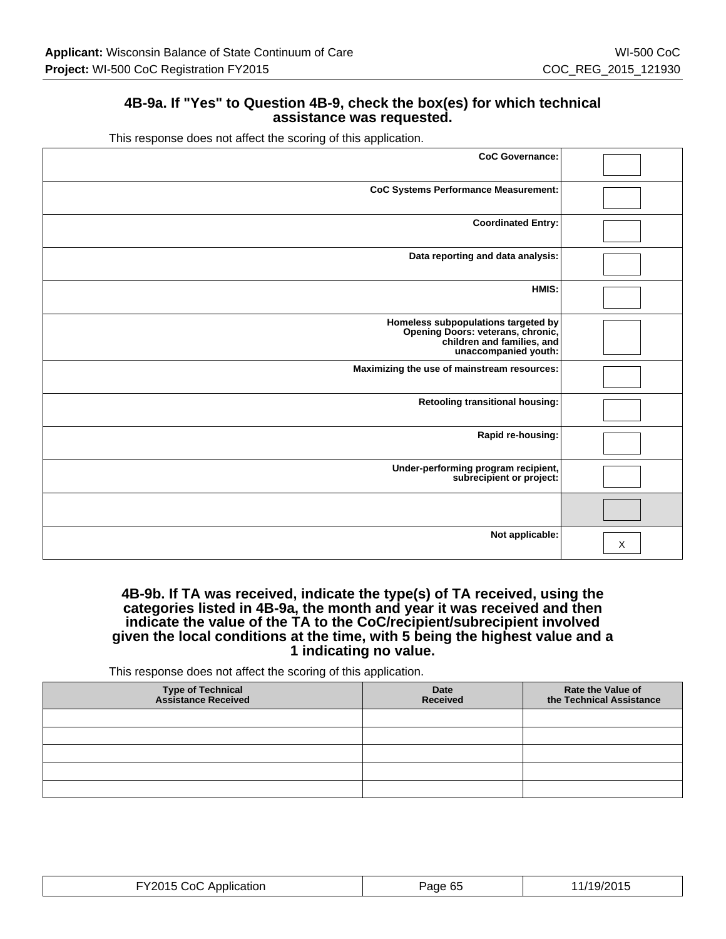## **4B-9a. If "Yes" to Question 4B-9, check the box(es) for which technical assistance was requested.**

This response does not affect the scoring of this application.

| <b>CoC Governance:</b>                                                                                                         |   |
|--------------------------------------------------------------------------------------------------------------------------------|---|
| <b>CoC Systems Performance Measurement:</b>                                                                                    |   |
| <b>Coordinated Entry:</b>                                                                                                      |   |
| Data reporting and data analysis:                                                                                              |   |
| HMIS:                                                                                                                          |   |
| Homeless subpopulations targeted by<br>Opening Doors: veterans, chronic,<br>children and families, and<br>unaccompanied youth: |   |
| Maximizing the use of mainstream resources:                                                                                    |   |
| <b>Retooling transitional housing:</b>                                                                                         |   |
| Rapid re-housing:                                                                                                              |   |
| Under-performing program recipient,<br>subrecipient or project:                                                                |   |
|                                                                                                                                |   |
| Not applicable:                                                                                                                | X |

### **4B-9b. If TA was received, indicate the type(s) of TA received, using the categories listed in 4B-9a, the month and year it was received and then indicate the value of the TA to the CoC/recipient/subrecipient involved given the local conditions at the time, with 5 being the highest value and a 1 indicating no value.**

This response does not affect the scoring of this application.

| Type of Technical<br>Assistance Received | <b>Date</b><br><b>Received</b> | <b>Rate the Value of</b><br>the Technical Assistance |
|------------------------------------------|--------------------------------|------------------------------------------------------|
|                                          |                                |                                                      |
|                                          |                                |                                                      |
|                                          |                                |                                                      |
|                                          |                                |                                                      |
|                                          |                                |                                                      |

| FY2015 CoC Application | $\sim$ $\sim$<br>Page 65 | 0.0015<br>ີ່ 19/20 ເບ<br>. |
|------------------------|--------------------------|----------------------------|
|------------------------|--------------------------|----------------------------|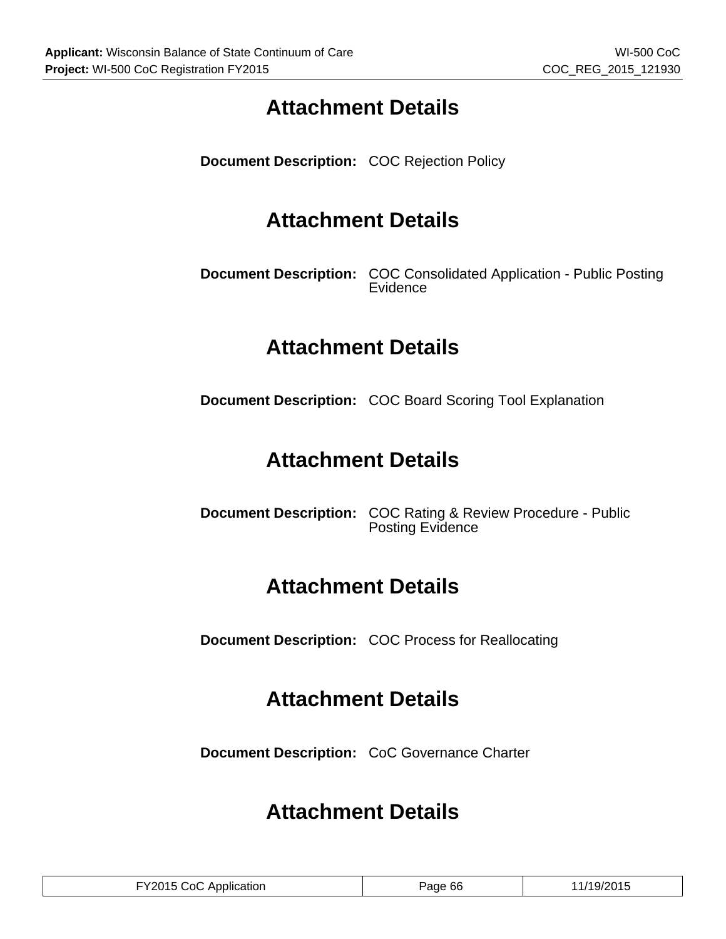# **Attachment Details**

**Document Description:** COC Rejection Policy

# **Attachment Details**

**Document Description:** COC Consolidated Application - Public Posting Evidence

# **Attachment Details**

**Document Description:** COC Board Scoring Tool Explanation

# **Attachment Details**

**Document Description:** COC Rating & Review Procedure - Public Posting Evidence

# **Attachment Details**

**Document Description:** COC Process for Reallocating

# **Attachment Details**

**Document Description:** CoC Governance Charter

# **Attachment Details**

| FY2015 CoC Application | Page 66 | 11/19/2015 |
|------------------------|---------|------------|
|------------------------|---------|------------|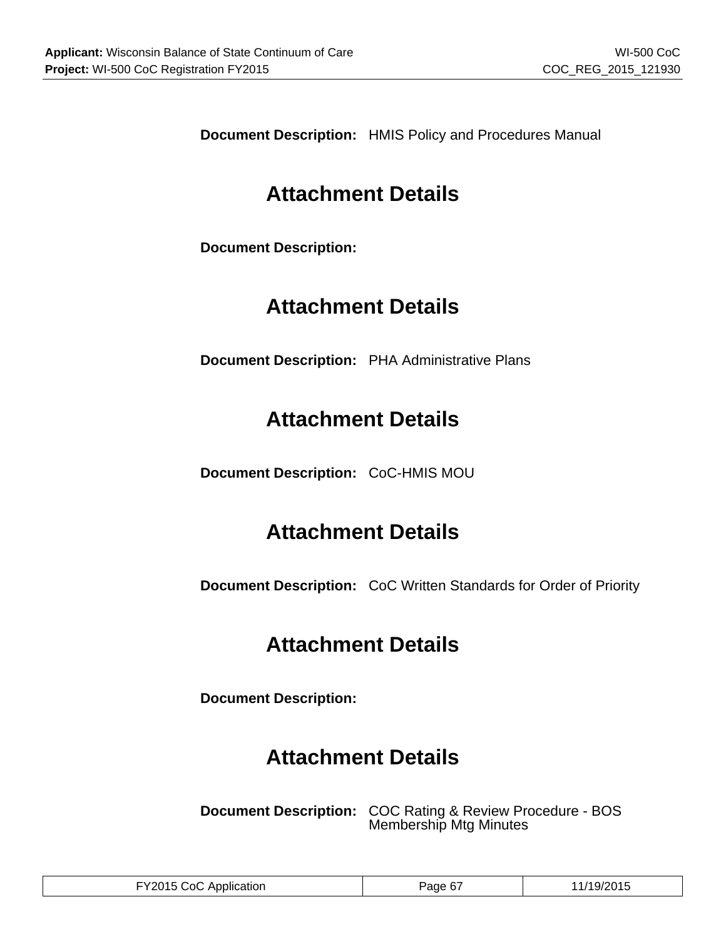**Document Description:** HMIS Policy and Procedures Manual

# **Attachment Details**

**Document Description:**

## **Attachment Details**

**Document Description:** PHA Administrative Plans

## **Attachment Details**

**Document Description:** CoC-HMIS MOU

# **Attachment Details**

**Document Description:** CoC Written Standards for Order of Priority

# **Attachment Details**

**Document Description:**

# **Attachment Details**

**Document Description:** COC Rating & Review Procedure - BOS Membership Mtg Minutes

|                        | $\sim$  | 110/2015          |
|------------------------|---------|-------------------|
| FY2015 CoC Application | Page 67 | כו ט∠ <i>ו</i> צו |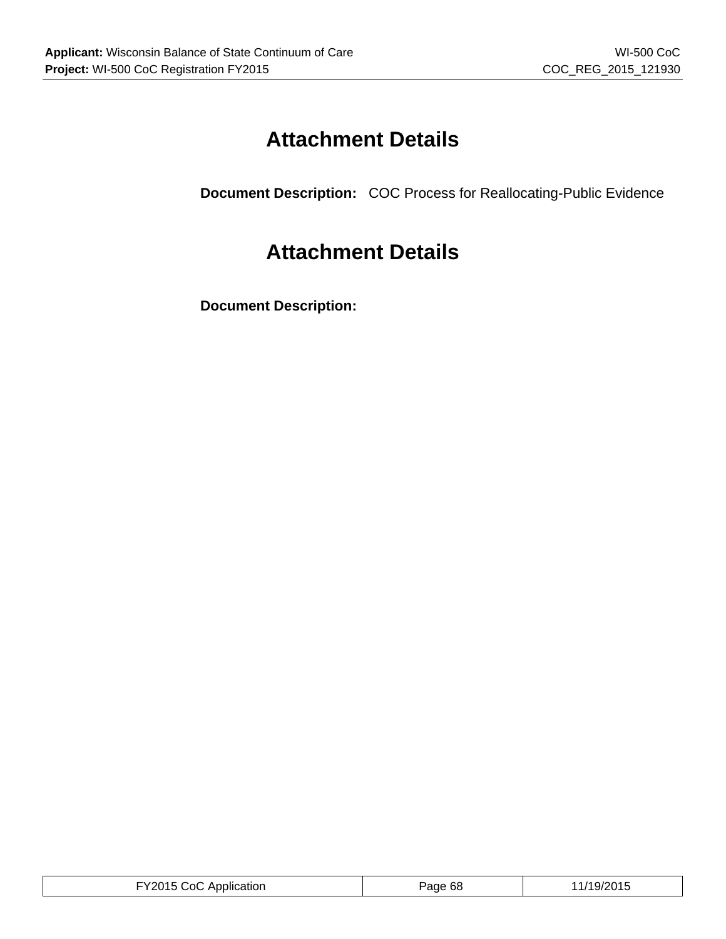# **Attachment Details**

**Document Description:** COC Process for Reallocating-Public Evidence

# **Attachment Details**

**Document Description:**

| FY2015 CoC Application | Page 68 | 11/19/2015 |
|------------------------|---------|------------|
|------------------------|---------|------------|